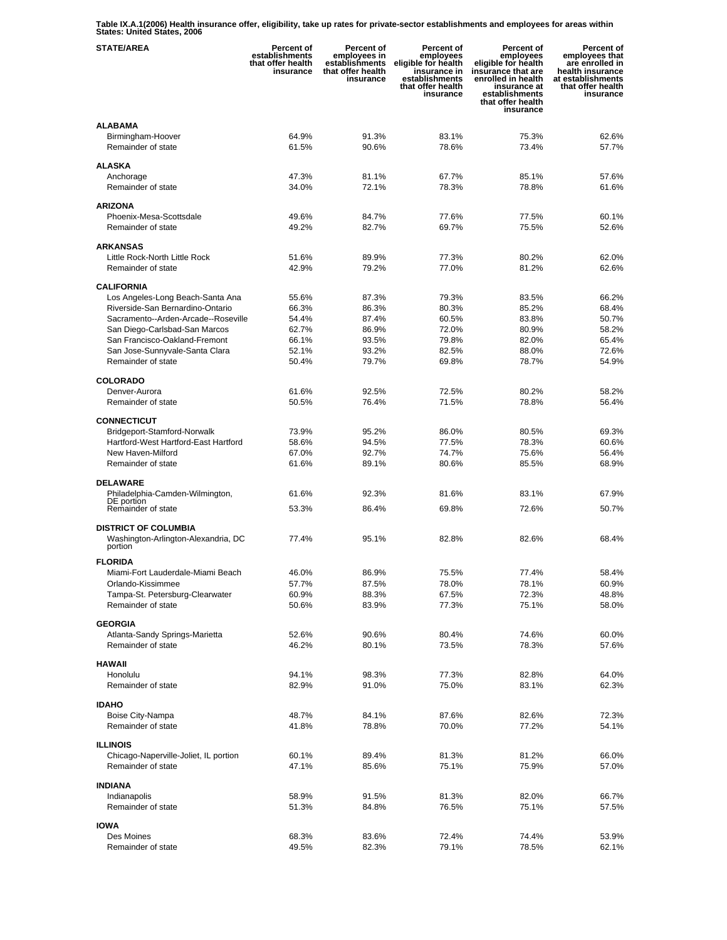**Table IX.A.1(2006) Health insurance offer, eligibility, take up rates for private-sector establishments and employees for areas within States: United States, 2006** 

| <b>STATE/AREA</b>                                                    | <b>Percent of</b><br>establishments<br>that offer health<br>insurance | Percent of<br>employees in<br>establishments<br>that offer health<br>insurance | Percent of<br>employees<br>eligible for health<br>insurance in<br>establishments<br>that offer health<br>insurance | Percent of<br>employees<br>eligible for health<br>insurance that are<br>enrolled in health<br>insurance at<br>establishments<br>that offer health<br>insurance | <b>Percent of</b><br>employees that<br>are enrolled in<br>health insurance<br>at establishments<br>that offer health<br>insurance |
|----------------------------------------------------------------------|-----------------------------------------------------------------------|--------------------------------------------------------------------------------|--------------------------------------------------------------------------------------------------------------------|----------------------------------------------------------------------------------------------------------------------------------------------------------------|-----------------------------------------------------------------------------------------------------------------------------------|
| <b>ALABAMA</b>                                                       |                                                                       |                                                                                |                                                                                                                    |                                                                                                                                                                |                                                                                                                                   |
| Birmingham-Hoover<br>Remainder of state                              | 64.9%<br>61.5%                                                        | 91.3%<br>90.6%                                                                 | 83.1%<br>78.6%                                                                                                     | 75.3%<br>73.4%                                                                                                                                                 | 62.6%<br>57.7%                                                                                                                    |
| <b>ALASKA</b>                                                        |                                                                       |                                                                                |                                                                                                                    |                                                                                                                                                                |                                                                                                                                   |
| Anchorage<br>Remainder of state                                      | 47.3%<br>34.0%                                                        | 81.1%<br>72.1%                                                                 | 67.7%<br>78.3%                                                                                                     | 85.1%<br>78.8%                                                                                                                                                 | 57.6%<br>61.6%                                                                                                                    |
| <b>ARIZONA</b>                                                       |                                                                       |                                                                                |                                                                                                                    |                                                                                                                                                                |                                                                                                                                   |
| Phoenix-Mesa-Scottsdale                                              | 49.6%                                                                 | 84.7%                                                                          | 77.6%                                                                                                              | 77.5%                                                                                                                                                          | 60.1%                                                                                                                             |
| Remainder of state                                                   | 49.2%                                                                 | 82.7%                                                                          | 69.7%                                                                                                              | 75.5%                                                                                                                                                          | 52.6%                                                                                                                             |
| <b>ARKANSAS</b>                                                      |                                                                       |                                                                                |                                                                                                                    |                                                                                                                                                                |                                                                                                                                   |
| Little Rock-North Little Rock                                        | 51.6%                                                                 | 89.9%                                                                          | 77.3%                                                                                                              | 80.2%                                                                                                                                                          | 62.0%                                                                                                                             |
| Remainder of state                                                   | 42.9%                                                                 | 79.2%                                                                          | 77.0%                                                                                                              | 81.2%                                                                                                                                                          | 62.6%                                                                                                                             |
| <b>CALIFORNIA</b>                                                    |                                                                       |                                                                                |                                                                                                                    |                                                                                                                                                                |                                                                                                                                   |
| Los Angeles-Long Beach-Santa Ana<br>Riverside-San Bernardino-Ontario | 55.6%                                                                 | 87.3%                                                                          | 79.3%                                                                                                              | 83.5%                                                                                                                                                          | 66.2%                                                                                                                             |
| Sacramento--Arden-Arcade--Roseville                                  | 66.3%<br>54.4%                                                        | 86.3%<br>87.4%                                                                 | 80.3%<br>60.5%                                                                                                     | 85.2%<br>83.8%                                                                                                                                                 | 68.4%<br>50.7%                                                                                                                    |
| San Diego-Carlsbad-San Marcos                                        | 62.7%                                                                 | 86.9%                                                                          | 72.0%                                                                                                              | 80.9%                                                                                                                                                          | 58.2%                                                                                                                             |
| San Francisco-Oakland-Fremont                                        | 66.1%                                                                 | 93.5%                                                                          | 79.8%                                                                                                              | 82.0%                                                                                                                                                          | 65.4%                                                                                                                             |
| San Jose-Sunnyvale-Santa Clara                                       | 52.1%                                                                 | 93.2%                                                                          | 82.5%                                                                                                              | 88.0%                                                                                                                                                          | 72.6%                                                                                                                             |
| Remainder of state                                                   | 50.4%                                                                 | 79.7%                                                                          | 69.8%                                                                                                              | 78.7%                                                                                                                                                          | 54.9%                                                                                                                             |
| <b>COLORADO</b>                                                      |                                                                       |                                                                                |                                                                                                                    |                                                                                                                                                                |                                                                                                                                   |
| Denver-Aurora                                                        | 61.6%                                                                 | 92.5%                                                                          | 72.5%                                                                                                              | 80.2%                                                                                                                                                          | 58.2%                                                                                                                             |
| Remainder of state                                                   | 50.5%                                                                 | 76.4%                                                                          | 71.5%                                                                                                              | 78.8%                                                                                                                                                          | 56.4%                                                                                                                             |
| <b>CONNECTICUT</b>                                                   |                                                                       |                                                                                |                                                                                                                    |                                                                                                                                                                |                                                                                                                                   |
| Bridgeport-Stamford-Norwalk                                          | 73.9%                                                                 | 95.2%                                                                          | 86.0%                                                                                                              | 80.5%                                                                                                                                                          | 69.3%                                                                                                                             |
| Hartford-West Hartford-East Hartford                                 | 58.6%                                                                 | 94.5%                                                                          | 77.5%                                                                                                              | 78.3%                                                                                                                                                          | 60.6%                                                                                                                             |
| New Haven-Milford<br>Remainder of state                              | 67.0%<br>61.6%                                                        | 92.7%<br>89.1%                                                                 | 74.7%<br>80.6%                                                                                                     | 75.6%<br>85.5%                                                                                                                                                 | 56.4%<br>68.9%                                                                                                                    |
|                                                                      |                                                                       |                                                                                |                                                                                                                    |                                                                                                                                                                |                                                                                                                                   |
| <b>DELAWARE</b><br>Philadelphia-Camden-Wilmington,                   | 61.6%                                                                 | 92.3%                                                                          | 81.6%                                                                                                              | 83.1%                                                                                                                                                          | 67.9%                                                                                                                             |
| DE portion                                                           |                                                                       |                                                                                |                                                                                                                    |                                                                                                                                                                |                                                                                                                                   |
| Remainder of state                                                   | 53.3%                                                                 | 86.4%                                                                          | 69.8%                                                                                                              | 72.6%                                                                                                                                                          | 50.7%                                                                                                                             |
| <b>DISTRICT OF COLUMBIA</b>                                          |                                                                       |                                                                                |                                                                                                                    |                                                                                                                                                                |                                                                                                                                   |
| Washington-Arlington-Alexandria, DC<br>portion                       | 77.4%                                                                 | 95.1%                                                                          | 82.8%                                                                                                              | 82.6%                                                                                                                                                          | 68.4%                                                                                                                             |
| <b>FLORIDA</b>                                                       |                                                                       |                                                                                |                                                                                                                    |                                                                                                                                                                |                                                                                                                                   |
| Miami-Fort Lauderdale-Miami Beach                                    | 46.0%                                                                 | 86.9%                                                                          | 75.5%                                                                                                              | 77.4%                                                                                                                                                          | 58.4%                                                                                                                             |
| Orlando-Kissimmee<br>Tampa-St. Petersburg-Clearwater                 | 57.7%<br>60.9%                                                        | 87.5%<br>88.3%                                                                 | 78.0%<br>67.5%                                                                                                     | 78.1%<br>72.3%                                                                                                                                                 | 60.9%<br>48.8%                                                                                                                    |
| Remainder of state                                                   | 50.6%                                                                 | 83.9%                                                                          | 77.3%                                                                                                              | 75.1%                                                                                                                                                          | 58.0%                                                                                                                             |
| <b>GEORGIA</b>                                                       |                                                                       |                                                                                |                                                                                                                    |                                                                                                                                                                |                                                                                                                                   |
| Atlanta-Sandy Springs-Marietta                                       | 52.6%                                                                 | 90.6%                                                                          | 80.4%                                                                                                              | 74.6%                                                                                                                                                          | 60.0%                                                                                                                             |
| Remainder of state                                                   | 46.2%                                                                 | 80.1%                                                                          | 73.5%                                                                                                              | 78.3%                                                                                                                                                          | 57.6%                                                                                                                             |
| <b>HAWAII</b>                                                        |                                                                       |                                                                                |                                                                                                                    |                                                                                                                                                                |                                                                                                                                   |
| Honolulu                                                             | 94.1%                                                                 | 98.3%                                                                          | 77.3%                                                                                                              | 82.8%                                                                                                                                                          | 64.0%                                                                                                                             |
| Remainder of state                                                   | 82.9%                                                                 | 91.0%                                                                          | 75.0%                                                                                                              | 83.1%                                                                                                                                                          | 62.3%                                                                                                                             |
| <b>IDAHO</b>                                                         |                                                                       |                                                                                |                                                                                                                    |                                                                                                                                                                |                                                                                                                                   |
| Boise City-Nampa                                                     | 48.7%                                                                 | 84.1%                                                                          | 87.6%                                                                                                              | 82.6%                                                                                                                                                          | 72.3%                                                                                                                             |
| Remainder of state                                                   | 41.8%                                                                 | 78.8%                                                                          | 70.0%                                                                                                              | 77.2%                                                                                                                                                          | 54.1%                                                                                                                             |
| <b>ILLINOIS</b>                                                      |                                                                       |                                                                                |                                                                                                                    |                                                                                                                                                                |                                                                                                                                   |
| Chicago-Naperville-Joliet, IL portion                                | 60.1%                                                                 | 89.4%                                                                          | 81.3%                                                                                                              | 81.2%                                                                                                                                                          | 66.0%                                                                                                                             |
| Remainder of state                                                   | 47.1%                                                                 | 85.6%                                                                          | 75.1%                                                                                                              | 75.9%                                                                                                                                                          | 57.0%                                                                                                                             |
| <b>INDIANA</b>                                                       |                                                                       |                                                                                |                                                                                                                    |                                                                                                                                                                |                                                                                                                                   |
| Indianapolis                                                         | 58.9%                                                                 | 91.5%                                                                          | 81.3%                                                                                                              | 82.0%                                                                                                                                                          | 66.7%                                                                                                                             |
| Remainder of state                                                   | 51.3%                                                                 | 84.8%                                                                          | 76.5%                                                                                                              | 75.1%                                                                                                                                                          | 57.5%                                                                                                                             |
| <b>IOWA</b>                                                          |                                                                       |                                                                                |                                                                                                                    |                                                                                                                                                                |                                                                                                                                   |
| Des Moines                                                           | 68.3%                                                                 | 83.6%                                                                          | 72.4%                                                                                                              | 74.4%                                                                                                                                                          | 53.9%                                                                                                                             |
| Remainder of state                                                   | 49.5%                                                                 | 82.3%                                                                          | 79.1%                                                                                                              | 78.5%                                                                                                                                                          | 62.1%                                                                                                                             |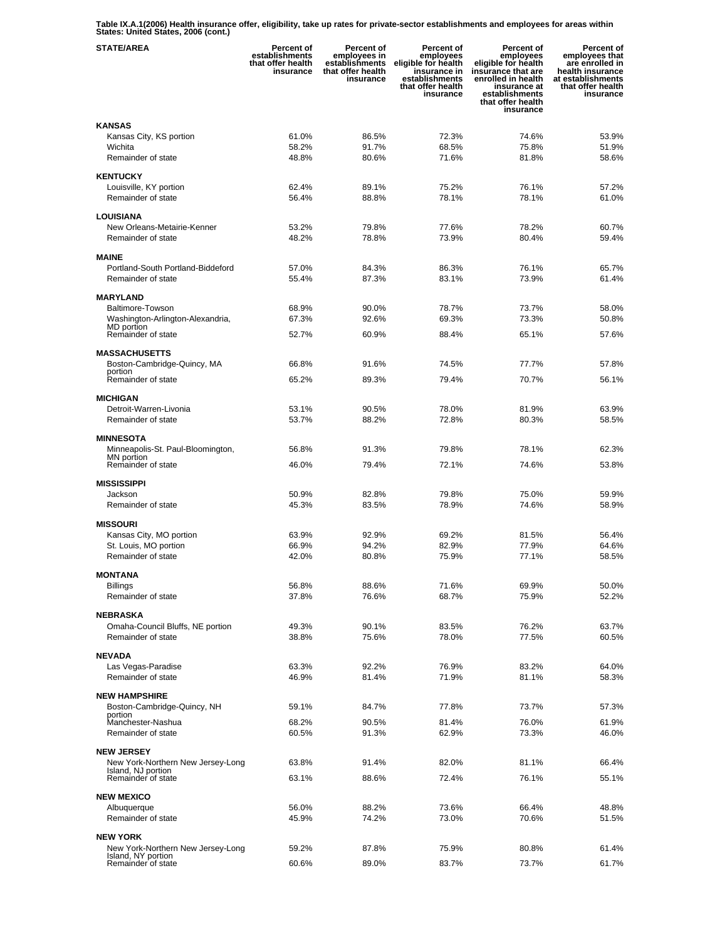**Table IX.A.1(2006) Health insurance offer, eligibility, take up rates for private-sector establishments and employees for areas within States: United States, 2006 (cont.)** 

| <b>STATE/AREA</b>                                       | <b>Percent of</b><br>establishments<br>that offer health<br>insurance | <b>Percent of</b><br>employees in<br>establishments<br>that offer health<br>insurance | Percent of<br>employees<br>eligible for health<br>insurance in<br>establishments<br>that offer health<br>insurance | <b>Percent of</b><br>employees<br>eligible for health<br>insurance that are<br>enrolled in health<br>insurance at<br>establishments<br>that offer health<br>insurance | Percent of<br>employees that<br>are enrolled in<br>health insurance<br>at establishments<br>that offer health<br>insurance |
|---------------------------------------------------------|-----------------------------------------------------------------------|---------------------------------------------------------------------------------------|--------------------------------------------------------------------------------------------------------------------|-----------------------------------------------------------------------------------------------------------------------------------------------------------------------|----------------------------------------------------------------------------------------------------------------------------|
| <b>KANSAS</b>                                           |                                                                       |                                                                                       |                                                                                                                    |                                                                                                                                                                       |                                                                                                                            |
| Kansas City, KS portion                                 | 61.0%                                                                 | 86.5%                                                                                 | 72.3%                                                                                                              | 74.6%                                                                                                                                                                 | 53.9%                                                                                                                      |
| Wichita                                                 | 58.2%                                                                 | 91.7%                                                                                 | 68.5%                                                                                                              | 75.8%                                                                                                                                                                 | 51.9%                                                                                                                      |
| Remainder of state                                      | 48.8%                                                                 | 80.6%                                                                                 | 71.6%                                                                                                              | 81.8%                                                                                                                                                                 | 58.6%                                                                                                                      |
| <b>KENTUCKY</b>                                         |                                                                       |                                                                                       |                                                                                                                    |                                                                                                                                                                       |                                                                                                                            |
| Louisville, KY portion                                  | 62.4%                                                                 | 89.1%                                                                                 | 75.2%                                                                                                              | 76.1%                                                                                                                                                                 | 57.2%                                                                                                                      |
| Remainder of state                                      | 56.4%                                                                 | 88.8%                                                                                 | 78.1%                                                                                                              | 78.1%                                                                                                                                                                 | 61.0%                                                                                                                      |
|                                                         |                                                                       |                                                                                       |                                                                                                                    |                                                                                                                                                                       |                                                                                                                            |
| LOUISIANA<br>New Orleans-Metairie-Kenner                | 53.2%                                                                 | 79.8%                                                                                 | 77.6%                                                                                                              | 78.2%                                                                                                                                                                 | 60.7%                                                                                                                      |
| Remainder of state                                      | 48.2%                                                                 | 78.8%                                                                                 | 73.9%                                                                                                              | 80.4%                                                                                                                                                                 | 59.4%                                                                                                                      |
|                                                         |                                                                       |                                                                                       |                                                                                                                    |                                                                                                                                                                       |                                                                                                                            |
| <b>MAINE</b>                                            |                                                                       |                                                                                       |                                                                                                                    |                                                                                                                                                                       |                                                                                                                            |
| Portland-South Portland-Biddeford                       | 57.0%                                                                 | 84.3%                                                                                 | 86.3%                                                                                                              | 76.1%                                                                                                                                                                 | 65.7%                                                                                                                      |
| Remainder of state                                      | 55.4%                                                                 | 87.3%                                                                                 | 83.1%                                                                                                              | 73.9%                                                                                                                                                                 | 61.4%                                                                                                                      |
| <b>MARYLAND</b>                                         |                                                                       |                                                                                       |                                                                                                                    |                                                                                                                                                                       |                                                                                                                            |
| Baltimore-Towson                                        | 68.9%                                                                 | 90.0%                                                                                 | 78.7%                                                                                                              | 73.7%                                                                                                                                                                 | 58.0%                                                                                                                      |
| Washington-Arlington-Alexandria,                        | 67.3%                                                                 | 92.6%                                                                                 | 69.3%                                                                                                              | 73.3%                                                                                                                                                                 | 50.8%                                                                                                                      |
| MD portion<br>Remainder of state                        | 52.7%                                                                 | 60.9%                                                                                 | 88.4%                                                                                                              | 65.1%                                                                                                                                                                 | 57.6%                                                                                                                      |
|                                                         |                                                                       |                                                                                       |                                                                                                                    |                                                                                                                                                                       |                                                                                                                            |
| <b>MASSACHUSETTS</b>                                    |                                                                       |                                                                                       |                                                                                                                    |                                                                                                                                                                       |                                                                                                                            |
| Boston-Cambridge-Quincy, MA<br>portion                  | 66.8%                                                                 | 91.6%                                                                                 | 74.5%                                                                                                              | 77.7%                                                                                                                                                                 | 57.8%                                                                                                                      |
| Remainder of state                                      | 65.2%                                                                 | 89.3%                                                                                 | 79.4%                                                                                                              | 70.7%                                                                                                                                                                 | 56.1%                                                                                                                      |
| <b>MICHIGAN</b>                                         |                                                                       |                                                                                       |                                                                                                                    |                                                                                                                                                                       |                                                                                                                            |
| Detroit-Warren-Livonia                                  | 53.1%                                                                 | 90.5%                                                                                 | 78.0%                                                                                                              | 81.9%                                                                                                                                                                 | 63.9%                                                                                                                      |
| Remainder of state                                      | 53.7%                                                                 | 88.2%                                                                                 | 72.8%                                                                                                              | 80.3%                                                                                                                                                                 | 58.5%                                                                                                                      |
|                                                         |                                                                       |                                                                                       |                                                                                                                    |                                                                                                                                                                       |                                                                                                                            |
| <b>MINNESOTA</b>                                        |                                                                       |                                                                                       |                                                                                                                    |                                                                                                                                                                       |                                                                                                                            |
| Minneapolis-St. Paul-Bloomington,<br>MN portion         | 56.8%                                                                 | 91.3%                                                                                 | 79.8%                                                                                                              | 78.1%                                                                                                                                                                 | 62.3%                                                                                                                      |
| Remainder of state                                      | 46.0%                                                                 | 79.4%                                                                                 | 72.1%                                                                                                              | 74.6%                                                                                                                                                                 | 53.8%                                                                                                                      |
| <b>MISSISSIPPI</b>                                      |                                                                       |                                                                                       |                                                                                                                    |                                                                                                                                                                       |                                                                                                                            |
| Jackson                                                 | 50.9%                                                                 | 82.8%                                                                                 | 79.8%                                                                                                              | 75.0%                                                                                                                                                                 | 59.9%                                                                                                                      |
| Remainder of state                                      | 45.3%                                                                 | 83.5%                                                                                 | 78.9%                                                                                                              | 74.6%                                                                                                                                                                 | 58.9%                                                                                                                      |
| <b>MISSOURI</b>                                         |                                                                       |                                                                                       |                                                                                                                    |                                                                                                                                                                       |                                                                                                                            |
| Kansas City, MO portion                                 | 63.9%                                                                 | 92.9%                                                                                 | 69.2%                                                                                                              | 81.5%                                                                                                                                                                 | 56.4%                                                                                                                      |
| St. Louis, MO portion                                   | 66.9%                                                                 | 94.2%                                                                                 | 82.9%                                                                                                              | 77.9%                                                                                                                                                                 | 64.6%                                                                                                                      |
| Remainder of state                                      | 42.0%                                                                 | 80.8%                                                                                 | 75.9%                                                                                                              | 77.1%                                                                                                                                                                 | 58.5%                                                                                                                      |
|                                                         |                                                                       |                                                                                       |                                                                                                                    |                                                                                                                                                                       |                                                                                                                            |
| <b>MONTANA</b><br><b>Billings</b>                       | 56.8%                                                                 | 88.6%                                                                                 | 71.6%                                                                                                              | 69.9%                                                                                                                                                                 | 50.0%                                                                                                                      |
| Remainder of state                                      | 37.8%                                                                 | 76.6%                                                                                 | 68.7%                                                                                                              | 75.9%                                                                                                                                                                 | 52.2%                                                                                                                      |
|                                                         |                                                                       |                                                                                       |                                                                                                                    |                                                                                                                                                                       |                                                                                                                            |
| <b>NEBRASKA</b>                                         |                                                                       |                                                                                       |                                                                                                                    |                                                                                                                                                                       |                                                                                                                            |
| Omaha-Council Bluffs, NE portion<br>Remainder of state  | 49.3%                                                                 | 90.1%                                                                                 | 83.5%                                                                                                              | 76.2%                                                                                                                                                                 | 63.7%                                                                                                                      |
|                                                         | 38.8%                                                                 | 75.6%                                                                                 | 78.0%                                                                                                              | 77.5%                                                                                                                                                                 | 60.5%                                                                                                                      |
| <b>NEVADA</b>                                           |                                                                       |                                                                                       |                                                                                                                    |                                                                                                                                                                       |                                                                                                                            |
| Las Vegas-Paradise                                      | 63.3%                                                                 | 92.2%                                                                                 | 76.9%                                                                                                              | 83.2%                                                                                                                                                                 | 64.0%                                                                                                                      |
| Remainder of state                                      | 46.9%                                                                 | 81.4%                                                                                 | 71.9%                                                                                                              | 81.1%                                                                                                                                                                 | 58.3%                                                                                                                      |
| <b>NEW HAMPSHIRE</b>                                    |                                                                       |                                                                                       |                                                                                                                    |                                                                                                                                                                       |                                                                                                                            |
| Boston-Cambridge-Quincy, NH                             | 59.1%                                                                 | 84.7%                                                                                 | 77.8%                                                                                                              | 73.7%                                                                                                                                                                 | 57.3%                                                                                                                      |
| portion<br>Manchester-Nashua                            | 68.2%                                                                 | 90.5%                                                                                 | 81.4%                                                                                                              | 76.0%                                                                                                                                                                 | 61.9%                                                                                                                      |
| Remainder of state                                      | 60.5%                                                                 | 91.3%                                                                                 | 62.9%                                                                                                              | 73.3%                                                                                                                                                                 | 46.0%                                                                                                                      |
|                                                         |                                                                       |                                                                                       |                                                                                                                    |                                                                                                                                                                       |                                                                                                                            |
| <b>NEW JERSEY</b>                                       |                                                                       |                                                                                       |                                                                                                                    |                                                                                                                                                                       |                                                                                                                            |
| New York-Northern New Jersey-Long<br>Island, NJ portion | 63.8%                                                                 | 91.4%                                                                                 | 82.0%                                                                                                              | 81.1%                                                                                                                                                                 | 66.4%                                                                                                                      |
| Remainder of state                                      | 63.1%                                                                 | 88.6%                                                                                 | 72.4%                                                                                                              | 76.1%                                                                                                                                                                 | 55.1%                                                                                                                      |
| <b>NEW MEXICO</b>                                       |                                                                       |                                                                                       |                                                                                                                    |                                                                                                                                                                       |                                                                                                                            |
| Albuquerque                                             | 56.0%                                                                 | 88.2%                                                                                 | 73.6%                                                                                                              | 66.4%                                                                                                                                                                 | 48.8%                                                                                                                      |
| Remainder of state                                      | 45.9%                                                                 | 74.2%                                                                                 | 73.0%                                                                                                              | 70.6%                                                                                                                                                                 | 51.5%                                                                                                                      |
|                                                         |                                                                       |                                                                                       |                                                                                                                    |                                                                                                                                                                       |                                                                                                                            |
| <b>NEW YORK</b>                                         |                                                                       |                                                                                       |                                                                                                                    |                                                                                                                                                                       |                                                                                                                            |
| New York-Northern New Jersey-Long<br>Island, NY portion | 59.2%                                                                 | 87.8%                                                                                 | 75.9%                                                                                                              | 80.8%                                                                                                                                                                 | 61.4%                                                                                                                      |
| Remainder of state                                      | 60.6%                                                                 | 89.0%                                                                                 | 83.7%                                                                                                              | 73.7%                                                                                                                                                                 | 61.7%                                                                                                                      |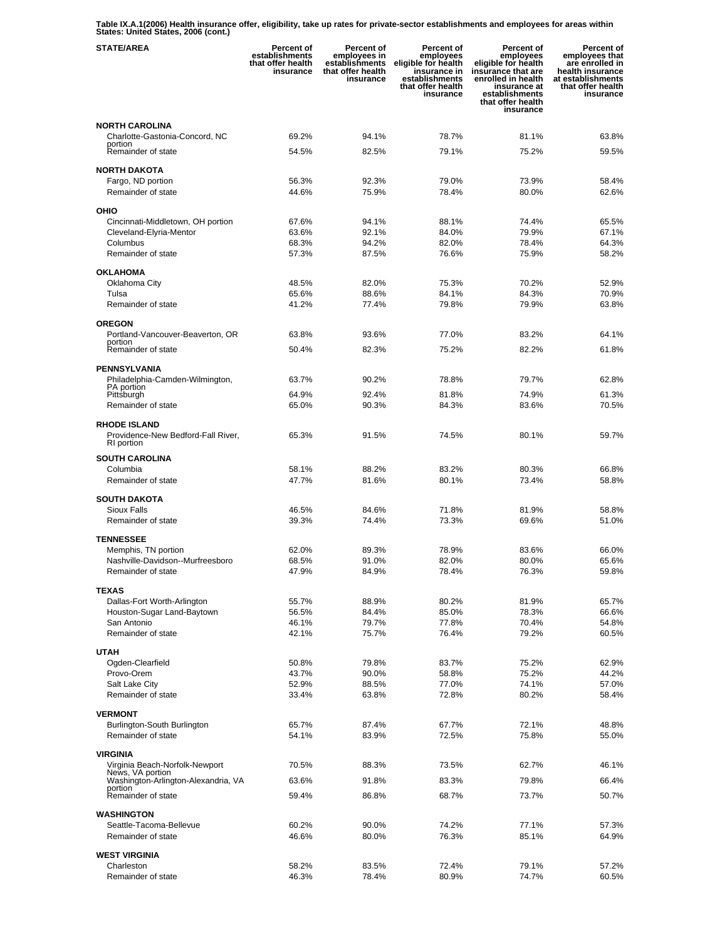**Table IX.A.1(2006) Health insurance offer, eligibility, take up rates for private-sector establishments and employees for areas within States: United States, 2006 (cont.)** 

| <b>STATE/AREA</b>                                  | <b>Percent of</b><br>establishments<br>that offer health<br>insurance | Percent of<br>employees in<br>establishments<br>that offer health<br>insurance | Percent of<br>employees<br>eligible for health<br>insurance in<br>establishments<br>that offer health<br>insurance | <b>Percent of</b><br>employees<br>eligible for health<br>insurance that are<br>enrolled in health<br>insurance at<br>establishments<br>that offer health<br>insurance | Percent of<br>employees that<br>are enrolled in<br>health insurance<br>at establishments<br>that offer health<br>insurance |
|----------------------------------------------------|-----------------------------------------------------------------------|--------------------------------------------------------------------------------|--------------------------------------------------------------------------------------------------------------------|-----------------------------------------------------------------------------------------------------------------------------------------------------------------------|----------------------------------------------------------------------------------------------------------------------------|
| <b>NORTH CAROLINA</b>                              |                                                                       |                                                                                |                                                                                                                    |                                                                                                                                                                       |                                                                                                                            |
| Charlotte-Gastonia-Concord, NC<br>portion          | 69.2%                                                                 | 94.1%                                                                          | 78.7%                                                                                                              | 81.1%                                                                                                                                                                 | 63.8%                                                                                                                      |
| Remainder of state                                 | 54.5%                                                                 | 82.5%                                                                          | 79.1%                                                                                                              | 75.2%                                                                                                                                                                 | 59.5%                                                                                                                      |
| <b>NORTH DAKOTA</b>                                |                                                                       |                                                                                |                                                                                                                    |                                                                                                                                                                       |                                                                                                                            |
| Fargo, ND portion                                  | 56.3%                                                                 | 92.3%                                                                          | 79.0%                                                                                                              | 73.9%                                                                                                                                                                 | 58.4%                                                                                                                      |
| Remainder of state                                 | 44.6%                                                                 | 75.9%                                                                          | 78.4%                                                                                                              | 80.0%                                                                                                                                                                 | 62.6%                                                                                                                      |
| OHIO                                               |                                                                       |                                                                                |                                                                                                                    |                                                                                                                                                                       |                                                                                                                            |
| Cincinnati-Middletown, OH portion                  | 67.6%                                                                 | 94.1%                                                                          | 88.1%                                                                                                              | 74.4%                                                                                                                                                                 | 65.5%                                                                                                                      |
| Cleveland-Elyria-Mentor<br>Columbus                | 63.6%<br>68.3%                                                        | 92.1%<br>94.2%                                                                 | 84.0%<br>82.0%                                                                                                     | 79.9%<br>78.4%                                                                                                                                                        | 67.1%<br>64.3%                                                                                                             |
| Remainder of state                                 | 57.3%                                                                 | 87.5%                                                                          | 76.6%                                                                                                              | 75.9%                                                                                                                                                                 | 58.2%                                                                                                                      |
|                                                    |                                                                       |                                                                                |                                                                                                                    |                                                                                                                                                                       |                                                                                                                            |
| <b>OKLAHOMA</b><br>Oklahoma City                   | 48.5%                                                                 | 82.0%                                                                          | 75.3%                                                                                                              | 70.2%                                                                                                                                                                 | 52.9%                                                                                                                      |
| Tulsa                                              | 65.6%                                                                 | 88.6%                                                                          | 84.1%                                                                                                              | 84.3%                                                                                                                                                                 | 70.9%                                                                                                                      |
| Remainder of state                                 | 41.2%                                                                 | 77.4%                                                                          | 79.8%                                                                                                              | 79.9%                                                                                                                                                                 | 63.8%                                                                                                                      |
| <b>OREGON</b>                                      |                                                                       |                                                                                |                                                                                                                    |                                                                                                                                                                       |                                                                                                                            |
| Portland-Vancouver-Beaverton, OR                   | 63.8%                                                                 | 93.6%                                                                          | 77.0%                                                                                                              | 83.2%                                                                                                                                                                 | 64.1%                                                                                                                      |
| portion<br>Remainder of state                      | 50.4%                                                                 | 82.3%                                                                          | 75.2%                                                                                                              | 82.2%                                                                                                                                                                 | 61.8%                                                                                                                      |
| <b>PENNSYLVANIA</b>                                |                                                                       |                                                                                |                                                                                                                    |                                                                                                                                                                       |                                                                                                                            |
| Philadelphia-Camden-Wilmington,                    | 63.7%                                                                 | 90.2%                                                                          | 78.8%                                                                                                              | 79.7%                                                                                                                                                                 | 62.8%                                                                                                                      |
| PA portion<br>Pittsburgh                           | 64.9%                                                                 | 92.4%                                                                          | 81.8%                                                                                                              | 74.9%                                                                                                                                                                 | 61.3%                                                                                                                      |
| Remainder of state                                 | 65.0%                                                                 | 90.3%                                                                          | 84.3%                                                                                                              | 83.6%                                                                                                                                                                 | 70.5%                                                                                                                      |
| <b>RHODE ISLAND</b>                                |                                                                       |                                                                                |                                                                                                                    |                                                                                                                                                                       |                                                                                                                            |
| Providence-New Bedford-Fall River,                 | 65.3%                                                                 | 91.5%                                                                          | 74.5%                                                                                                              | 80.1%                                                                                                                                                                 | 59.7%                                                                                                                      |
| RI portion                                         |                                                                       |                                                                                |                                                                                                                    |                                                                                                                                                                       |                                                                                                                            |
| <b>SOUTH CAROLINA</b>                              |                                                                       |                                                                                |                                                                                                                    |                                                                                                                                                                       |                                                                                                                            |
| Columbia<br>Remainder of state                     | 58.1%<br>47.7%                                                        | 88.2%<br>81.6%                                                                 | 83.2%<br>80.1%                                                                                                     | 80.3%<br>73.4%                                                                                                                                                        | 66.8%<br>58.8%                                                                                                             |
|                                                    |                                                                       |                                                                                |                                                                                                                    |                                                                                                                                                                       |                                                                                                                            |
| <b>SOUTH DAKOTA</b><br>Sioux Falls                 | 46.5%                                                                 | 84.6%                                                                          | 71.8%                                                                                                              | 81.9%                                                                                                                                                                 | 58.8%                                                                                                                      |
| Remainder of state                                 | 39.3%                                                                 | 74.4%                                                                          | 73.3%                                                                                                              | 69.6%                                                                                                                                                                 | 51.0%                                                                                                                      |
| <b>TENNESSEE</b>                                   |                                                                       |                                                                                |                                                                                                                    |                                                                                                                                                                       |                                                                                                                            |
| Memphis, TN portion                                | 62.0%                                                                 | 89.3%                                                                          | 78.9%                                                                                                              | 83.6%                                                                                                                                                                 | 66.0%                                                                                                                      |
| Nashville-Davidson--Murfreesboro                   | 68.5%                                                                 | 91.0%                                                                          | 82.0%                                                                                                              | 80.0%                                                                                                                                                                 | 65.6%                                                                                                                      |
| Remainder of state                                 | 47.9%                                                                 | 84.9%                                                                          | 78.4%                                                                                                              | 76.3%                                                                                                                                                                 | 59.8%                                                                                                                      |
| <b>TEXAS</b>                                       |                                                                       |                                                                                |                                                                                                                    |                                                                                                                                                                       |                                                                                                                            |
| Dallas-Fort Worth-Arlington                        | 55.7%                                                                 | 88.9%                                                                          | 80.2%                                                                                                              | 81.9%                                                                                                                                                                 | 65.7%                                                                                                                      |
| Houston-Sugar Land-Baytown                         | 56.5%                                                                 | 84.4%                                                                          | 85.0%                                                                                                              | 78.3%                                                                                                                                                                 | 66.6%                                                                                                                      |
| San Antonio<br>Remainder of state                  | 46.1%<br>42.1%                                                        | 79.7%<br>75.7%                                                                 | 77.8%<br>76.4%                                                                                                     | 70.4%<br>79.2%                                                                                                                                                        | 54.8%<br>60.5%                                                                                                             |
|                                                    |                                                                       |                                                                                |                                                                                                                    |                                                                                                                                                                       |                                                                                                                            |
| <b>UTAH</b>                                        |                                                                       |                                                                                |                                                                                                                    |                                                                                                                                                                       |                                                                                                                            |
| Ogden-Clearfield<br>Provo-Orem                     | 50.8%<br>43.7%                                                        | 79.8%<br>90.0%                                                                 | 83.7%<br>58.8%                                                                                                     | 75.2%<br>75.2%                                                                                                                                                        | 62.9%<br>44.2%                                                                                                             |
| Salt Lake City                                     | 52.9%                                                                 | 88.5%                                                                          | 77.0%                                                                                                              | 74.1%                                                                                                                                                                 | 57.0%                                                                                                                      |
| Remainder of state                                 | 33.4%                                                                 | 63.8%                                                                          | 72.8%                                                                                                              | 80.2%                                                                                                                                                                 | 58.4%                                                                                                                      |
| <b>VERMONT</b>                                     |                                                                       |                                                                                |                                                                                                                    |                                                                                                                                                                       |                                                                                                                            |
| Burlington-South Burlington                        | 65.7%                                                                 | 87.4%                                                                          | 67.7%                                                                                                              | 72.1%                                                                                                                                                                 | 48.8%                                                                                                                      |
| Remainder of state                                 | 54.1%                                                                 | 83.9%                                                                          | 72.5%                                                                                                              | 75.8%                                                                                                                                                                 | 55.0%                                                                                                                      |
| VIRGINIA                                           |                                                                       |                                                                                |                                                                                                                    |                                                                                                                                                                       |                                                                                                                            |
| Virginia Beach-Norfolk-Newport<br>News, VA portion | 70.5%                                                                 | 88.3%                                                                          | 73.5%                                                                                                              | 62.7%                                                                                                                                                                 | 46.1%                                                                                                                      |
| Washington-Arlington-Alexandria, VA                | 63.6%                                                                 | 91.8%                                                                          | 83.3%                                                                                                              | 79.8%                                                                                                                                                                 | 66.4%                                                                                                                      |
| portion<br>Remainder of state                      | 59.4%                                                                 | 86.8%                                                                          | 68.7%                                                                                                              | 73.7%                                                                                                                                                                 | 50.7%                                                                                                                      |
| <b>WASHINGTON</b>                                  |                                                                       |                                                                                |                                                                                                                    |                                                                                                                                                                       |                                                                                                                            |
| Seattle-Tacoma-Bellevue                            | 60.2%                                                                 | 90.0%                                                                          | 74.2%                                                                                                              | 77.1%                                                                                                                                                                 | 57.3%                                                                                                                      |
| Remainder of state                                 | 46.6%                                                                 | 80.0%                                                                          | 76.3%                                                                                                              | 85.1%                                                                                                                                                                 | 64.9%                                                                                                                      |
| <b>WEST VIRGINIA</b>                               |                                                                       |                                                                                |                                                                                                                    |                                                                                                                                                                       |                                                                                                                            |
| Charleston                                         | 58.2%                                                                 | 83.5%                                                                          | 72.4%                                                                                                              | 79.1%                                                                                                                                                                 | 57.2%                                                                                                                      |
| Remainder of state                                 | 46.3%                                                                 | 78.4%                                                                          | 80.9%                                                                                                              | 74.7%                                                                                                                                                                 | 60.5%                                                                                                                      |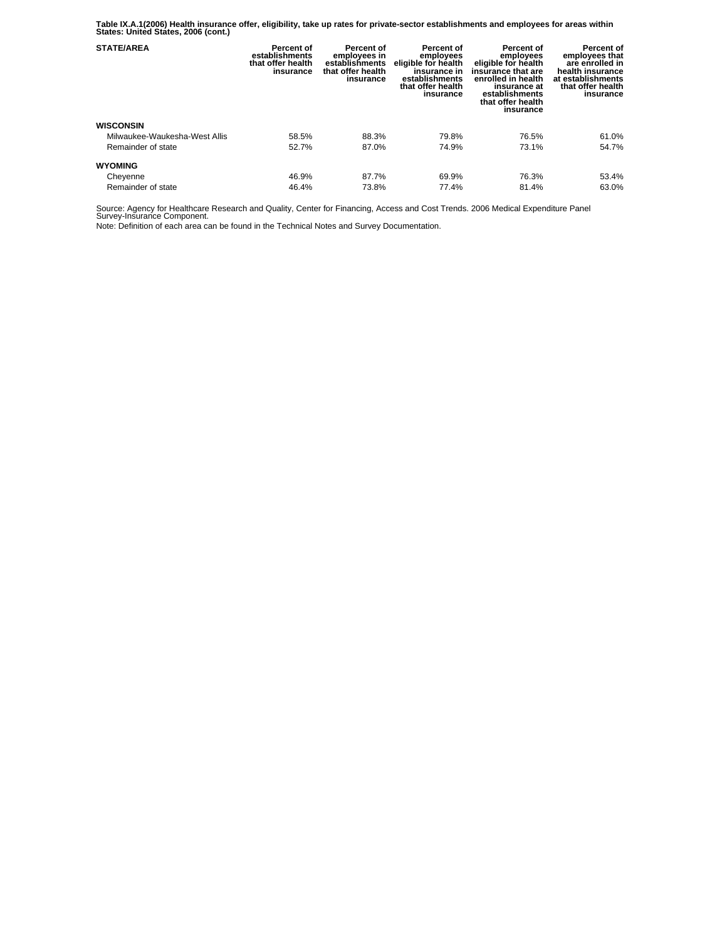**Table IX.A.1(2006) Health insurance offer, eligibility, take up rates for private-sector establishments and employees for areas within States: United States, 2006 (cont.)** 

| <b>STATE/AREA</b>             | Percent of<br>establishments<br>that offer health<br>insurance | Percent of<br>employees in<br>establishments<br>that offer health<br>insurance | Percent of<br>employees<br>eligible for health<br>insurance in<br>establishments<br>that offer health<br>insurance | Percent of<br>employees<br>eligible for health<br>insurance that are<br>enrolled in health<br>insurance at<br>establishments<br>that offer health<br>insurance | Percent of<br>employees that<br>are enrolled in<br>health insurance<br>at establishments<br>that offer health<br>insurance |
|-------------------------------|----------------------------------------------------------------|--------------------------------------------------------------------------------|--------------------------------------------------------------------------------------------------------------------|----------------------------------------------------------------------------------------------------------------------------------------------------------------|----------------------------------------------------------------------------------------------------------------------------|
| <b>WISCONSIN</b>              |                                                                |                                                                                |                                                                                                                    |                                                                                                                                                                |                                                                                                                            |
| Milwaukee-Waukesha-West Allis | 58.5%                                                          | 88.3%                                                                          | 79.8%                                                                                                              | 76.5%                                                                                                                                                          | 61.0%                                                                                                                      |
| Remainder of state            | 52.7%                                                          | 87.0%                                                                          | 74.9%                                                                                                              | 73.1%                                                                                                                                                          | 54.7%                                                                                                                      |
| <b>WYOMING</b>                |                                                                |                                                                                |                                                                                                                    |                                                                                                                                                                |                                                                                                                            |
| Cheyenne                      | 46.9%                                                          | 87.7%                                                                          | 69.9%                                                                                                              | 76.3%                                                                                                                                                          | 53.4%                                                                                                                      |
| Remainder of state            | 46.4%                                                          | 73.8%                                                                          | 77.4%                                                                                                              | 81.4%                                                                                                                                                          | 63.0%                                                                                                                      |

Source: Agency for Healthcare Research and Quality, Center for Financing, Access and Cost Trends. 2006 Medical Expenditure Panel Survey-Insurance Component.

Note: Definition of each area can be found in the Technical Notes and Survey Documentation.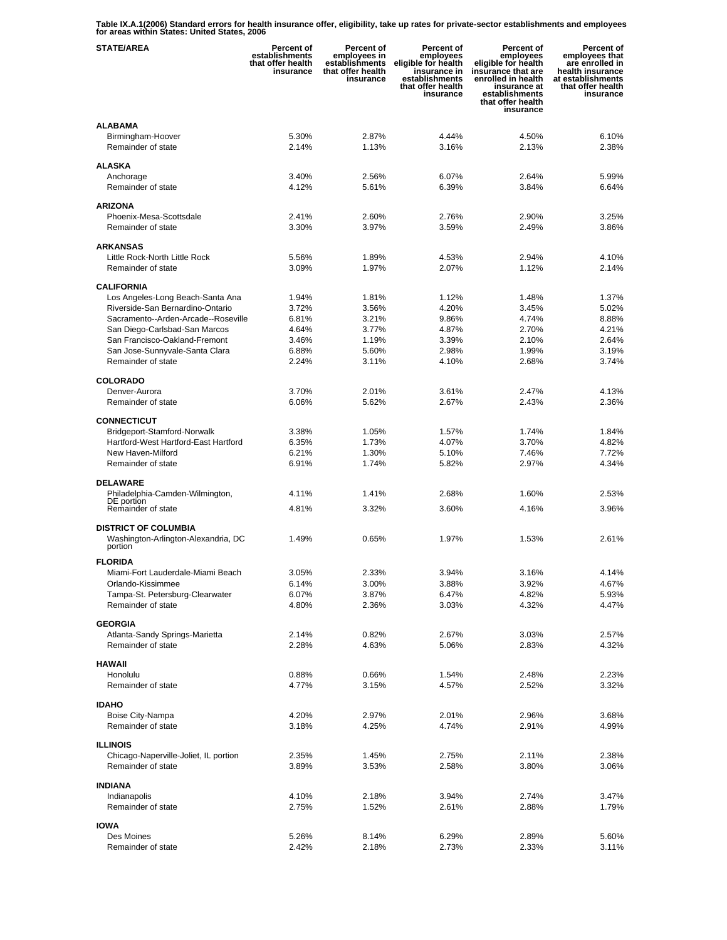**Table IX.A.1(2006) Standard errors for health insurance offer, eligibility, take up rates for private-sector establishments and employees for areas within States: United States, 2006** 

| <b>STATE/AREA</b>                              | <b>Percent of</b><br>establishments<br>that offer health<br>insurance | Percent of<br>employees in<br>establishments<br>that offer health<br>insurance | Percent of<br>employees<br>eligible for health<br>insurance in<br>establishments<br>that offer health<br>insurance | Percent of<br>employees<br>eligible for health<br>insurance that are<br>enrolled in health<br>insurance at<br>establishments<br>that offer health<br>insurance | Percent of<br>employees that<br>are enrolled in<br>health insurance<br>at establishments<br>that offer health<br>insurance |
|------------------------------------------------|-----------------------------------------------------------------------|--------------------------------------------------------------------------------|--------------------------------------------------------------------------------------------------------------------|----------------------------------------------------------------------------------------------------------------------------------------------------------------|----------------------------------------------------------------------------------------------------------------------------|
| <b>ALABAMA</b>                                 |                                                                       |                                                                                |                                                                                                                    |                                                                                                                                                                |                                                                                                                            |
| Birmingham-Hoover<br>Remainder of state        | 5.30%<br>2.14%                                                        | 2.87%<br>1.13%                                                                 | 4.44%<br>3.16%                                                                                                     | 4.50%<br>2.13%                                                                                                                                                 | 6.10%<br>2.38%                                                                                                             |
|                                                |                                                                       |                                                                                |                                                                                                                    |                                                                                                                                                                |                                                                                                                            |
| <b>ALASKA</b>                                  |                                                                       |                                                                                |                                                                                                                    |                                                                                                                                                                |                                                                                                                            |
| Anchorage                                      | 3.40%                                                                 | 2.56%                                                                          | 6.07%                                                                                                              | 2.64%                                                                                                                                                          | 5.99%                                                                                                                      |
| Remainder of state                             | 4.12%                                                                 | 5.61%                                                                          | 6.39%                                                                                                              | 3.84%                                                                                                                                                          | 6.64%                                                                                                                      |
| <b>ARIZONA</b>                                 |                                                                       |                                                                                |                                                                                                                    |                                                                                                                                                                |                                                                                                                            |
| Phoenix-Mesa-Scottsdale                        | 2.41%                                                                 | 2.60%                                                                          | 2.76%                                                                                                              | 2.90%                                                                                                                                                          | 3.25%                                                                                                                      |
| Remainder of state                             | 3.30%                                                                 | 3.97%                                                                          | 3.59%                                                                                                              | 2.49%                                                                                                                                                          | 3.86%                                                                                                                      |
| <b>ARKANSAS</b>                                |                                                                       |                                                                                |                                                                                                                    |                                                                                                                                                                |                                                                                                                            |
| Little Rock-North Little Rock                  | 5.56%                                                                 | 1.89%                                                                          | 4.53%                                                                                                              | 2.94%                                                                                                                                                          | 4.10%                                                                                                                      |
| Remainder of state                             | 3.09%                                                                 | 1.97%                                                                          | 2.07%                                                                                                              | 1.12%                                                                                                                                                          | 2.14%                                                                                                                      |
| <b>CALIFORNIA</b>                              |                                                                       |                                                                                |                                                                                                                    |                                                                                                                                                                |                                                                                                                            |
| Los Angeles-Long Beach-Santa Ana               | 1.94%                                                                 | 1.81%                                                                          | 1.12%                                                                                                              | 1.48%                                                                                                                                                          | 1.37%                                                                                                                      |
| Riverside-San Bernardino-Ontario               | 3.72%                                                                 | 3.56%                                                                          | 4.20%                                                                                                              | 3.45%                                                                                                                                                          | 5.02%                                                                                                                      |
| Sacramento--Arden-Arcade--Roseville            | 6.81%                                                                 | 3.21%                                                                          | 9.86%                                                                                                              | 4.74%                                                                                                                                                          | 8.88%                                                                                                                      |
| San Diego-Carlsbad-San Marcos                  | 4.64%                                                                 | 3.77%                                                                          | 4.87%                                                                                                              | 2.70%                                                                                                                                                          | 4.21%                                                                                                                      |
| San Francisco-Oakland-Fremont                  | 3.46%                                                                 | 1.19%                                                                          | 3.39%                                                                                                              | 2.10%                                                                                                                                                          | 2.64%                                                                                                                      |
| San Jose-Sunnyvale-Santa Clara                 | 6.88%                                                                 | 5.60%                                                                          | 2.98%                                                                                                              | 1.99%                                                                                                                                                          | 3.19%                                                                                                                      |
| Remainder of state                             | 2.24%                                                                 | 3.11%                                                                          | 4.10%                                                                                                              | 2.68%                                                                                                                                                          | 3.74%                                                                                                                      |
| <b>COLORADO</b>                                |                                                                       |                                                                                |                                                                                                                    |                                                                                                                                                                |                                                                                                                            |
| Denver-Aurora                                  | 3.70%                                                                 | 2.01%                                                                          | 3.61%                                                                                                              | 2.47%                                                                                                                                                          | 4.13%                                                                                                                      |
| Remainder of state                             | 6.06%                                                                 | 5.62%                                                                          | 2.67%                                                                                                              | 2.43%                                                                                                                                                          | 2.36%                                                                                                                      |
| <b>CONNECTICUT</b>                             |                                                                       |                                                                                |                                                                                                                    |                                                                                                                                                                |                                                                                                                            |
| Bridgeport-Stamford-Norwalk                    | 3.38%                                                                 | 1.05%                                                                          | 1.57%                                                                                                              | 1.74%                                                                                                                                                          | 1.84%                                                                                                                      |
| Hartford-West Hartford-East Hartford           | 6.35%                                                                 | 1.73%                                                                          | 4.07%                                                                                                              | 3.70%                                                                                                                                                          | 4.82%                                                                                                                      |
| New Haven-Milford                              | 6.21%                                                                 | 1.30%                                                                          | 5.10%                                                                                                              | 7.46%                                                                                                                                                          | 7.72%                                                                                                                      |
| Remainder of state                             | 6.91%                                                                 | 1.74%                                                                          | 5.82%                                                                                                              | 2.97%                                                                                                                                                          | 4.34%                                                                                                                      |
| <b>DELAWARE</b>                                |                                                                       |                                                                                |                                                                                                                    |                                                                                                                                                                |                                                                                                                            |
| Philadelphia-Camden-Wilmington,                | 4.11%                                                                 | 1.41%                                                                          | 2.68%                                                                                                              | 1.60%                                                                                                                                                          | 2.53%                                                                                                                      |
| DE portion<br>Remainder of state               | 4.81%                                                                 | 3.32%                                                                          | 3.60%                                                                                                              | 4.16%                                                                                                                                                          | 3.96%                                                                                                                      |
|                                                |                                                                       |                                                                                |                                                                                                                    |                                                                                                                                                                |                                                                                                                            |
| <b>DISTRICT OF COLUMBIA</b>                    |                                                                       |                                                                                |                                                                                                                    |                                                                                                                                                                |                                                                                                                            |
| Washington-Arlington-Alexandria, DC<br>portion | 1.49%                                                                 | 0.65%                                                                          | 1.97%                                                                                                              | 1.53%                                                                                                                                                          | 2.61%                                                                                                                      |
| <b>FLORIDA</b>                                 |                                                                       |                                                                                |                                                                                                                    |                                                                                                                                                                |                                                                                                                            |
| Miami-Fort Lauderdale-Miami Beach              | 3.05%                                                                 | 2.33%                                                                          | 3.94%                                                                                                              | 3.16%                                                                                                                                                          | 4.14%                                                                                                                      |
| Orlando-Kissimmee                              | 6.14%                                                                 | 3.00%                                                                          | 3.88%                                                                                                              | 3.92%                                                                                                                                                          | 4.67%                                                                                                                      |
| Tampa-St. Petersburg-Clearwater                | 6.07%                                                                 | 3.87%                                                                          | 6.47%                                                                                                              | 4.82%                                                                                                                                                          | 5.93%                                                                                                                      |
| Remainder of state                             | 4.80%                                                                 | 2.36%                                                                          | 3.03%                                                                                                              | 4.32%                                                                                                                                                          | 4.47%                                                                                                                      |
| <b>GEORGIA</b>                                 |                                                                       |                                                                                |                                                                                                                    |                                                                                                                                                                |                                                                                                                            |
| Atlanta-Sandy Springs-Marietta                 | 2.14%                                                                 | 0.82%                                                                          | 2.67%                                                                                                              | 3.03%                                                                                                                                                          | 2.57%                                                                                                                      |
| Remainder of state                             | 2.28%                                                                 | 4.63%                                                                          | 5.06%                                                                                                              | 2.83%                                                                                                                                                          | 4.32%                                                                                                                      |
|                                                |                                                                       |                                                                                |                                                                                                                    |                                                                                                                                                                |                                                                                                                            |
| <b>HAWAII</b><br>Honolulu                      | 0.88%                                                                 |                                                                                | 1.54%                                                                                                              |                                                                                                                                                                | 2.23%                                                                                                                      |
| Remainder of state                             | 4.77%                                                                 | 0.66%<br>3.15%                                                                 | 4.57%                                                                                                              | 2.48%<br>2.52%                                                                                                                                                 | 3.32%                                                                                                                      |
|                                                |                                                                       |                                                                                |                                                                                                                    |                                                                                                                                                                |                                                                                                                            |
| <b>IDAHO</b>                                   |                                                                       |                                                                                |                                                                                                                    |                                                                                                                                                                |                                                                                                                            |
| Boise City-Nampa                               | 4.20%                                                                 | 2.97%                                                                          | 2.01%                                                                                                              | 2.96%                                                                                                                                                          | 3.68%                                                                                                                      |
| Remainder of state                             | 3.18%                                                                 | 4.25%                                                                          | 4.74%                                                                                                              | 2.91%                                                                                                                                                          | 4.99%                                                                                                                      |
| <b>ILLINOIS</b>                                |                                                                       |                                                                                |                                                                                                                    |                                                                                                                                                                |                                                                                                                            |
| Chicago-Naperville-Joliet, IL portion          | 2.35%                                                                 | 1.45%                                                                          | 2.75%                                                                                                              | 2.11%                                                                                                                                                          | 2.38%                                                                                                                      |
| Remainder of state                             | 3.89%                                                                 | 3.53%                                                                          | 2.58%                                                                                                              | 3.80%                                                                                                                                                          | 3.06%                                                                                                                      |
| <b>INDIANA</b>                                 |                                                                       |                                                                                |                                                                                                                    |                                                                                                                                                                |                                                                                                                            |
| Indianapolis                                   | 4.10%                                                                 | 2.18%                                                                          | 3.94%                                                                                                              | 2.74%                                                                                                                                                          | 3.47%                                                                                                                      |
| Remainder of state                             | 2.75%                                                                 | 1.52%                                                                          | 2.61%                                                                                                              | 2.88%                                                                                                                                                          | 1.79%                                                                                                                      |
| <b>IOWA</b>                                    |                                                                       |                                                                                |                                                                                                                    |                                                                                                                                                                |                                                                                                                            |
| Des Moines                                     | 5.26%                                                                 | 8.14%                                                                          | 6.29%                                                                                                              | 2.89%                                                                                                                                                          | 5.60%                                                                                                                      |
| Remainder of state                             | 2.42%                                                                 | 2.18%                                                                          | 2.73%                                                                                                              | 2.33%                                                                                                                                                          | 3.11%                                                                                                                      |
|                                                |                                                                       |                                                                                |                                                                                                                    |                                                                                                                                                                |                                                                                                                            |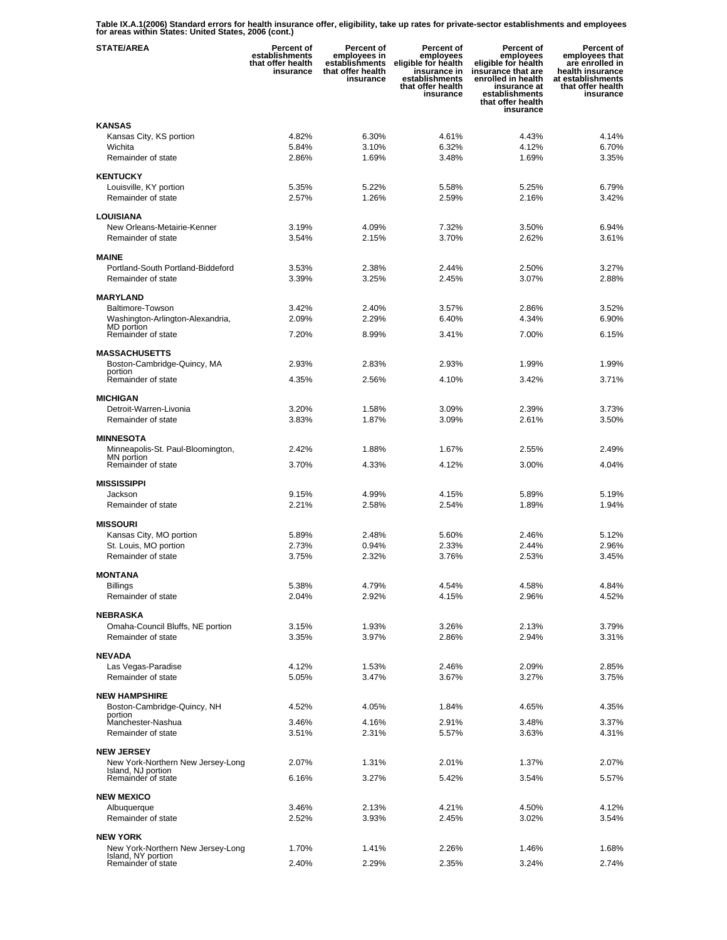**Table IX.A.1(2006) Standard errors for health insurance offer, eligibility, take up rates for private-sector establishments and employees for areas within States: United States, 2006 (cont.)** 

| <b>STATE/AREA</b>                                    | Percent of<br>establishments<br>that offer health<br>insurance | Percent of<br>employees in<br>establishments<br>that offer health<br>insurance | Percent of<br>employees<br>eligible for health<br>insurance in<br>establishments<br>that offer health<br>insurance | <b>Percent of</b><br>employees<br>eligible for health<br>insurance that are<br>enrolled in health<br>insurance at<br>establishments<br>that offer health<br>insurance | Percent of<br>employees that<br>are enrolled in<br>health insurance<br>at establishments<br>that offer health<br>insurance |
|------------------------------------------------------|----------------------------------------------------------------|--------------------------------------------------------------------------------|--------------------------------------------------------------------------------------------------------------------|-----------------------------------------------------------------------------------------------------------------------------------------------------------------------|----------------------------------------------------------------------------------------------------------------------------|
| <b>KANSAS</b>                                        |                                                                |                                                                                |                                                                                                                    |                                                                                                                                                                       |                                                                                                                            |
| Kansas City, KS portion                              | 4.82%                                                          | 6.30%                                                                          | 4.61%                                                                                                              | 4.43%                                                                                                                                                                 | 4.14%                                                                                                                      |
| Wichita                                              | 5.84%                                                          | 3.10%                                                                          | 6.32%                                                                                                              | 4.12%                                                                                                                                                                 | 6.70%                                                                                                                      |
| Remainder of state                                   | 2.86%                                                          | 1.69%                                                                          | 3.48%                                                                                                              | 1.69%                                                                                                                                                                 | 3.35%                                                                                                                      |
| <b>KENTUCKY</b>                                      |                                                                |                                                                                |                                                                                                                    |                                                                                                                                                                       |                                                                                                                            |
| Louisville, KY portion                               | 5.35%                                                          | 5.22%                                                                          | 5.58%                                                                                                              | 5.25%                                                                                                                                                                 | 6.79%                                                                                                                      |
| Remainder of state                                   | 2.57%                                                          | 1.26%                                                                          | 2.59%                                                                                                              | 2.16%                                                                                                                                                                 | 3.42%                                                                                                                      |
| LOUISIANA                                            |                                                                |                                                                                |                                                                                                                    |                                                                                                                                                                       |                                                                                                                            |
| New Orleans-Metairie-Kenner                          | 3.19%                                                          | 4.09%                                                                          | 7.32%                                                                                                              | 3.50%                                                                                                                                                                 | 6.94%                                                                                                                      |
| Remainder of state                                   | 3.54%                                                          | 2.15%                                                                          | 3.70%                                                                                                              | 2.62%                                                                                                                                                                 | 3.61%                                                                                                                      |
| <b>MAINE</b>                                         |                                                                |                                                                                |                                                                                                                    |                                                                                                                                                                       |                                                                                                                            |
| Portland-South Portland-Biddeford                    | 3.53%                                                          | 2.38%                                                                          | 2.44%                                                                                                              | 2.50%                                                                                                                                                                 | 3.27%                                                                                                                      |
| Remainder of state                                   | 3.39%                                                          | 3.25%                                                                          | 2.45%                                                                                                              | 3.07%                                                                                                                                                                 | 2.88%                                                                                                                      |
| <b>MARYLAND</b>                                      |                                                                |                                                                                |                                                                                                                    |                                                                                                                                                                       |                                                                                                                            |
| Baltimore-Towson                                     | 3.42%                                                          | 2.40%                                                                          | 3.57%                                                                                                              | 2.86%                                                                                                                                                                 | 3.52%                                                                                                                      |
| Washington-Arlington-Alexandria,<br>MD portion       | 2.09%                                                          | 2.29%                                                                          | 6.40%                                                                                                              | 4.34%                                                                                                                                                                 | 6.90%                                                                                                                      |
| Remainder of state                                   | 7.20%                                                          | 8.99%                                                                          | 3.41%                                                                                                              | 7.00%                                                                                                                                                                 | 6.15%                                                                                                                      |
| <b>MASSACHUSETTS</b>                                 |                                                                |                                                                                |                                                                                                                    |                                                                                                                                                                       |                                                                                                                            |
| Boston-Cambridge-Quincy, MA                          | 2.93%                                                          | 2.83%                                                                          | 2.93%                                                                                                              | 1.99%                                                                                                                                                                 | 1.99%                                                                                                                      |
| portion<br>Remainder of state                        | 4.35%                                                          | 2.56%                                                                          | 4.10%                                                                                                              | 3.42%                                                                                                                                                                 | 3.71%                                                                                                                      |
|                                                      |                                                                |                                                                                |                                                                                                                    |                                                                                                                                                                       |                                                                                                                            |
| <b>MICHIGAN</b>                                      |                                                                |                                                                                |                                                                                                                    |                                                                                                                                                                       |                                                                                                                            |
| Detroit-Warren-Livonia<br>Remainder of state         | 3.20%<br>3.83%                                                 | 1.58%<br>1.87%                                                                 | 3.09%<br>3.09%                                                                                                     | 2.39%<br>2.61%                                                                                                                                                        | 3.73%<br>3.50%                                                                                                             |
|                                                      |                                                                |                                                                                |                                                                                                                    |                                                                                                                                                                       |                                                                                                                            |
| <b>MINNESOTA</b>                                     |                                                                |                                                                                |                                                                                                                    |                                                                                                                                                                       |                                                                                                                            |
| Minneapolis-St. Paul-Bloomington,<br>MN portion      | 2.42%                                                          | 1.88%                                                                          | 1.67%                                                                                                              | 2.55%                                                                                                                                                                 | 2.49%                                                                                                                      |
| Remainder of state                                   | 3.70%                                                          | 4.33%                                                                          | 4.12%                                                                                                              | 3.00%                                                                                                                                                                 | 4.04%                                                                                                                      |
| <b>MISSISSIPPI</b>                                   |                                                                |                                                                                |                                                                                                                    |                                                                                                                                                                       |                                                                                                                            |
| Jackson                                              | 9.15%                                                          | 4.99%                                                                          | 4.15%                                                                                                              | 5.89%                                                                                                                                                                 | 5.19%                                                                                                                      |
| Remainder of state                                   | 2.21%                                                          | 2.58%                                                                          | 2.54%                                                                                                              | 1.89%                                                                                                                                                                 | 1.94%                                                                                                                      |
| <b>MISSOURI</b>                                      |                                                                |                                                                                |                                                                                                                    |                                                                                                                                                                       |                                                                                                                            |
| Kansas City, MO portion                              | 5.89%                                                          | 2.48%                                                                          | 5.60%                                                                                                              | 2.46%                                                                                                                                                                 | 5.12%                                                                                                                      |
| St. Louis, MO portion                                | 2.73%                                                          | 0.94%                                                                          | 2.33%                                                                                                              | 2.44%                                                                                                                                                                 | 2.96%                                                                                                                      |
| Remainder of state                                   | 3.75%                                                          | 2.32%                                                                          | 3.76%                                                                                                              | 2.53%                                                                                                                                                                 | 3.45%                                                                                                                      |
| <b>MONTANA</b>                                       |                                                                |                                                                                |                                                                                                                    |                                                                                                                                                                       |                                                                                                                            |
| <b>Billings</b>                                      | 5.38%                                                          | 4.79%                                                                          | 4.54%                                                                                                              | 4.58%                                                                                                                                                                 | 4.84%                                                                                                                      |
| Remainder of state                                   | 2.04%                                                          | 2.92%                                                                          | 4.15%                                                                                                              | 2.96%                                                                                                                                                                 | 4.52%                                                                                                                      |
| <b>NEBRASKA</b>                                      |                                                                |                                                                                |                                                                                                                    |                                                                                                                                                                       |                                                                                                                            |
| Omaha-Council Bluffs, NE portion                     | 3.15%                                                          | 1.93%                                                                          | 3.26%                                                                                                              | 2.13%                                                                                                                                                                 | 3.79%                                                                                                                      |
| Remainder of state                                   | 3.35%                                                          | 3.97%                                                                          | 2.86%                                                                                                              | 2.94%                                                                                                                                                                 | 3.31%                                                                                                                      |
| <b>NEVADA</b>                                        |                                                                |                                                                                |                                                                                                                    |                                                                                                                                                                       |                                                                                                                            |
| Las Vegas-Paradise                                   | 4.12%                                                          | 1.53%                                                                          | 2.46%                                                                                                              | 2.09%                                                                                                                                                                 | 2.85%                                                                                                                      |
| Remainder of state                                   | 5.05%                                                          | 3.47%                                                                          | 3.67%                                                                                                              | 3.27%                                                                                                                                                                 | 3.75%                                                                                                                      |
| <b>NEW HAMPSHIRE</b>                                 |                                                                |                                                                                |                                                                                                                    |                                                                                                                                                                       |                                                                                                                            |
| Boston-Cambridge-Quincy, NH<br>portion               | 4.52%                                                          | 4.05%                                                                          | 1.84%                                                                                                              | 4.65%                                                                                                                                                                 | 4.35%                                                                                                                      |
| Manchester-Nashua                                    | 3.46%                                                          | 4.16%                                                                          | 2.91%                                                                                                              | 3.48%                                                                                                                                                                 | 3.37%                                                                                                                      |
| Remainder of state                                   | 3.51%                                                          | 2.31%                                                                          | 5.57%                                                                                                              | 3.63%                                                                                                                                                                 | 4.31%                                                                                                                      |
| <b>NEW JERSEY</b>                                    |                                                                |                                                                                |                                                                                                                    |                                                                                                                                                                       |                                                                                                                            |
| New York-Northern New Jersey-Long                    | 2.07%                                                          | 1.31%                                                                          | 2.01%                                                                                                              | 1.37%                                                                                                                                                                 | 2.07%                                                                                                                      |
| Island, NJ portion<br>Remainder of state             | 6.16%                                                          | 3.27%                                                                          | 5.42%                                                                                                              | 3.54%                                                                                                                                                                 | 5.57%                                                                                                                      |
| <b>NEW MEXICO</b>                                    |                                                                |                                                                                |                                                                                                                    |                                                                                                                                                                       |                                                                                                                            |
| Albuquerque                                          | 3.46%                                                          | 2.13%                                                                          | 4.21%                                                                                                              | 4.50%                                                                                                                                                                 | 4.12%                                                                                                                      |
| Remainder of state                                   | 2.52%                                                          | 3.93%                                                                          | 2.45%                                                                                                              | 3.02%                                                                                                                                                                 | 3.54%                                                                                                                      |
|                                                      |                                                                |                                                                                |                                                                                                                    |                                                                                                                                                                       |                                                                                                                            |
| <b>NEW YORK</b><br>New York-Northern New Jersey-Long | 1.70%                                                          | 1.41%                                                                          | 2.26%                                                                                                              | 1.46%                                                                                                                                                                 | 1.68%                                                                                                                      |
| Island, NY portion<br>Remainder of state             | 2.40%                                                          | 2.29%                                                                          | 2.35%                                                                                                              | 3.24%                                                                                                                                                                 | 2.74%                                                                                                                      |
|                                                      |                                                                |                                                                                |                                                                                                                    |                                                                                                                                                                       |                                                                                                                            |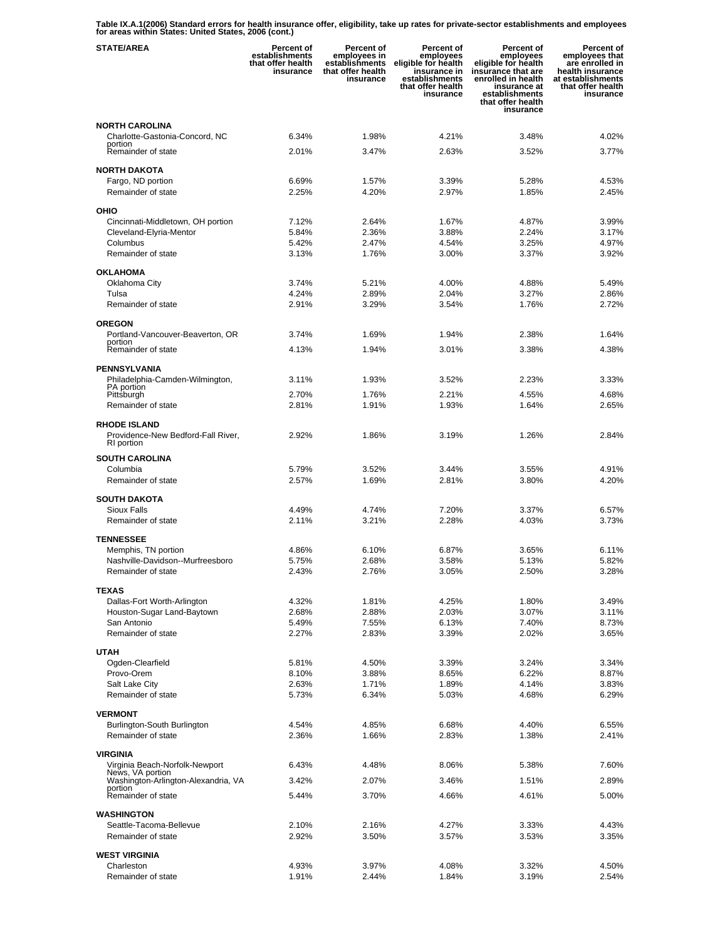**Table IX.A.1(2006) Standard errors for health insurance offer, eligibility, take up rates for private-sector establishments and employees for areas within States: United States, 2006 (cont.)** 

| <b>STATE/AREA</b>                                         | <b>Percent of</b><br>establishments<br>that offer health<br>insurance | <b>Percent of</b><br>employees in<br>establishments<br>that offer health<br>insurance | Percent of<br>employees<br>eligible for health<br>insurance in<br>establishments<br>that offer health<br>insurance | Percent of<br>employees<br>eligible for health<br>insurance that are<br>enrolled in health<br>insurance at<br>establishments<br>that offer health<br>insurance | Percent of<br>employees that<br>are enrolled in<br>health insurance<br>at establishments<br>that offer health<br>insurance |
|-----------------------------------------------------------|-----------------------------------------------------------------------|---------------------------------------------------------------------------------------|--------------------------------------------------------------------------------------------------------------------|----------------------------------------------------------------------------------------------------------------------------------------------------------------|----------------------------------------------------------------------------------------------------------------------------|
| <b>NORTH CAROLINA</b>                                     |                                                                       |                                                                                       |                                                                                                                    |                                                                                                                                                                |                                                                                                                            |
| Charlotte-Gastonia-Concord, NC                            | 6.34%                                                                 | 1.98%                                                                                 | 4.21%                                                                                                              | 3.48%                                                                                                                                                          | 4.02%                                                                                                                      |
| portion<br>Remainder of state                             | 2.01%                                                                 | 3.47%                                                                                 | 2.63%                                                                                                              | 3.52%                                                                                                                                                          | 3.77%                                                                                                                      |
| <b>NORTH DAKOTA</b>                                       |                                                                       |                                                                                       |                                                                                                                    |                                                                                                                                                                |                                                                                                                            |
| Fargo, ND portion                                         | 6.69%                                                                 | 1.57%                                                                                 | 3.39%                                                                                                              | 5.28%                                                                                                                                                          | 4.53%                                                                                                                      |
| Remainder of state                                        | 2.25%                                                                 | 4.20%                                                                                 | 2.97%                                                                                                              | 1.85%                                                                                                                                                          | 2.45%                                                                                                                      |
| OHIO                                                      |                                                                       |                                                                                       |                                                                                                                    |                                                                                                                                                                |                                                                                                                            |
| Cincinnati-Middletown, OH portion                         | 7.12%                                                                 | 2.64%                                                                                 | 1.67%                                                                                                              | 4.87%                                                                                                                                                          | 3.99%                                                                                                                      |
| Cleveland-Elyria-Mentor                                   | 5.84%                                                                 | 2.36%                                                                                 | 3.88%                                                                                                              | 2.24%                                                                                                                                                          | 3.17%                                                                                                                      |
| Columbus                                                  | 5.42%                                                                 | 2.47%                                                                                 | 4.54%                                                                                                              | 3.25%                                                                                                                                                          | 4.97%                                                                                                                      |
| Remainder of state                                        | 3.13%                                                                 | 1.76%                                                                                 | 3.00%                                                                                                              | 3.37%                                                                                                                                                          | 3.92%                                                                                                                      |
| <b>OKLAHOMA</b>                                           |                                                                       |                                                                                       |                                                                                                                    |                                                                                                                                                                |                                                                                                                            |
| Oklahoma City                                             | 3.74%                                                                 | 5.21%                                                                                 | 4.00%                                                                                                              | 4.88%                                                                                                                                                          | 5.49%                                                                                                                      |
| Tulsa                                                     | 4.24%                                                                 | 2.89%                                                                                 | 2.04%                                                                                                              | 3.27%                                                                                                                                                          | 2.86%                                                                                                                      |
| Remainder of state                                        | 2.91%                                                                 | 3.29%                                                                                 | 3.54%                                                                                                              | 1.76%                                                                                                                                                          | 2.72%                                                                                                                      |
| <b>OREGON</b>                                             |                                                                       |                                                                                       |                                                                                                                    |                                                                                                                                                                |                                                                                                                            |
| Portland-Vancouver-Beaverton, OR<br>portion               | 3.74%                                                                 | 1.69%                                                                                 | 1.94%                                                                                                              | 2.38%                                                                                                                                                          | 1.64%                                                                                                                      |
| Remainder of state                                        | 4.13%                                                                 | 1.94%                                                                                 | 3.01%                                                                                                              | 3.38%                                                                                                                                                          | 4.38%                                                                                                                      |
| <b>PENNSYLVANIA</b>                                       |                                                                       |                                                                                       |                                                                                                                    |                                                                                                                                                                |                                                                                                                            |
| Philadelphia-Camden-Wilmington,                           | 3.11%                                                                 | 1.93%                                                                                 | 3.52%                                                                                                              | 2.23%                                                                                                                                                          | 3.33%                                                                                                                      |
| PA portion<br>Pittsburgh                                  | 2.70%                                                                 | 1.76%                                                                                 | 2.21%                                                                                                              | 4.55%                                                                                                                                                          | 4.68%                                                                                                                      |
| Remainder of state                                        | 2.81%                                                                 | 1.91%                                                                                 | 1.93%                                                                                                              | 1.64%                                                                                                                                                          | 2.65%                                                                                                                      |
|                                                           |                                                                       |                                                                                       |                                                                                                                    |                                                                                                                                                                |                                                                                                                            |
| <b>RHODE ISLAND</b><br>Providence-New Bedford-Fall River, | 2.92%                                                                 | 1.86%                                                                                 | 3.19%                                                                                                              | 1.26%                                                                                                                                                          | 2.84%                                                                                                                      |
| RI portion                                                |                                                                       |                                                                                       |                                                                                                                    |                                                                                                                                                                |                                                                                                                            |
| <b>SOUTH CAROLINA</b>                                     |                                                                       |                                                                                       |                                                                                                                    |                                                                                                                                                                |                                                                                                                            |
| Columbia                                                  | 5.79%                                                                 | 3.52%                                                                                 | 3.44%                                                                                                              | 3.55%                                                                                                                                                          | 4.91%                                                                                                                      |
| Remainder of state                                        | 2.57%                                                                 | 1.69%                                                                                 | 2.81%                                                                                                              | 3.80%                                                                                                                                                          | 4.20%                                                                                                                      |
| <b>SOUTH DAKOTA</b>                                       |                                                                       |                                                                                       |                                                                                                                    |                                                                                                                                                                |                                                                                                                            |
| Sioux Falls                                               | 4.49%                                                                 | 4.74%                                                                                 | 7.20%                                                                                                              | 3.37%                                                                                                                                                          | 6.57%                                                                                                                      |
| Remainder of state                                        | 2.11%                                                                 | 3.21%                                                                                 | 2.28%                                                                                                              | 4.03%                                                                                                                                                          | 3.73%                                                                                                                      |
| <b>TENNESSEE</b>                                          |                                                                       |                                                                                       |                                                                                                                    |                                                                                                                                                                |                                                                                                                            |
| Memphis, TN portion                                       | 4.86%                                                                 | 6.10%                                                                                 | 6.87%                                                                                                              | 3.65%                                                                                                                                                          | 6.11%                                                                                                                      |
| Nashville-Davidson--Murfreesboro                          | 5.75%                                                                 | 2.68%                                                                                 | 3.58%                                                                                                              | 5.13%                                                                                                                                                          | 5.82%                                                                                                                      |
| Remainder of state                                        | 2.43%                                                                 | 2.76%                                                                                 | 3.05%                                                                                                              | 2.50%                                                                                                                                                          | 3.28%                                                                                                                      |
| <b>TEXAS</b>                                              |                                                                       |                                                                                       |                                                                                                                    |                                                                                                                                                                |                                                                                                                            |
| Dallas-Fort Worth-Arlington                               | 4.32%                                                                 | 1.81%                                                                                 | 4.25%                                                                                                              | 1.80%                                                                                                                                                          | 3.49%                                                                                                                      |
| Houston-Sugar Land-Baytown<br>San Antonio                 | 2.68%<br>5.49%                                                        | 2.88%<br>7.55%                                                                        | 2.03%<br>6.13%                                                                                                     | 3.07%<br>7.40%                                                                                                                                                 | 3.11%<br>8.73%                                                                                                             |
| Remainder of state                                        | 2.27%                                                                 | 2.83%                                                                                 | 3.39%                                                                                                              | 2.02%                                                                                                                                                          | 3.65%                                                                                                                      |
|                                                           |                                                                       |                                                                                       |                                                                                                                    |                                                                                                                                                                |                                                                                                                            |
| <b>UTAH</b><br>Ogden-Clearfield                           | 5.81%                                                                 | 4.50%                                                                                 | 3.39%                                                                                                              | 3.24%                                                                                                                                                          | 3.34%                                                                                                                      |
| Provo-Orem                                                | 8.10%                                                                 | 3.88%                                                                                 | 8.65%                                                                                                              | 6.22%                                                                                                                                                          | 8.87%                                                                                                                      |
| Salt Lake City                                            | 2.63%                                                                 | 1.71%                                                                                 | 1.89%                                                                                                              | 4.14%                                                                                                                                                          | 3.83%                                                                                                                      |
| Remainder of state                                        | 5.73%                                                                 | 6.34%                                                                                 | 5.03%                                                                                                              | 4.68%                                                                                                                                                          | 6.29%                                                                                                                      |
| <b>VERMONT</b>                                            |                                                                       |                                                                                       |                                                                                                                    |                                                                                                                                                                |                                                                                                                            |
| Burlington-South Burlington                               | 4.54%                                                                 | 4.85%                                                                                 | 6.68%                                                                                                              | 4.40%                                                                                                                                                          | 6.55%                                                                                                                      |
| Remainder of state                                        | 2.36%                                                                 | 1.66%                                                                                 | 2.83%                                                                                                              | 1.38%                                                                                                                                                          | 2.41%                                                                                                                      |
| <b>VIRGINIA</b>                                           |                                                                       |                                                                                       |                                                                                                                    |                                                                                                                                                                |                                                                                                                            |
| Virginia Beach-Norfolk-Newport                            | 6.43%                                                                 | 4.48%                                                                                 | 8.06%                                                                                                              | 5.38%                                                                                                                                                          | 7.60%                                                                                                                      |
| News, VA portion<br>Washington-Arlington-Alexandria, VA   | 3.42%                                                                 | 2.07%                                                                                 | 3.46%                                                                                                              | 1.51%                                                                                                                                                          | 2.89%                                                                                                                      |
| portion                                                   |                                                                       |                                                                                       |                                                                                                                    |                                                                                                                                                                |                                                                                                                            |
| Remainder of state                                        | 5.44%                                                                 | 3.70%                                                                                 | 4.66%                                                                                                              | 4.61%                                                                                                                                                          | 5.00%                                                                                                                      |
| <b>WASHINGTON</b>                                         |                                                                       |                                                                                       |                                                                                                                    |                                                                                                                                                                |                                                                                                                            |
| Seattle-Tacoma-Bellevue                                   | 2.10%                                                                 | 2.16%                                                                                 | 4.27%                                                                                                              | 3.33%                                                                                                                                                          | 4.43%                                                                                                                      |
| Remainder of state                                        | 2.92%                                                                 | 3.50%                                                                                 | 3.57%                                                                                                              | 3.53%                                                                                                                                                          | 3.35%                                                                                                                      |
| <b>WEST VIRGINIA</b>                                      |                                                                       |                                                                                       |                                                                                                                    |                                                                                                                                                                |                                                                                                                            |
| Charleston                                                | 4.93%                                                                 | 3.97%                                                                                 | 4.08%                                                                                                              | 3.32%                                                                                                                                                          | 4.50%                                                                                                                      |
| Remainder of state                                        | 1.91%                                                                 | 2.44%                                                                                 | 1.84%                                                                                                              | 3.19%                                                                                                                                                          | 2.54%                                                                                                                      |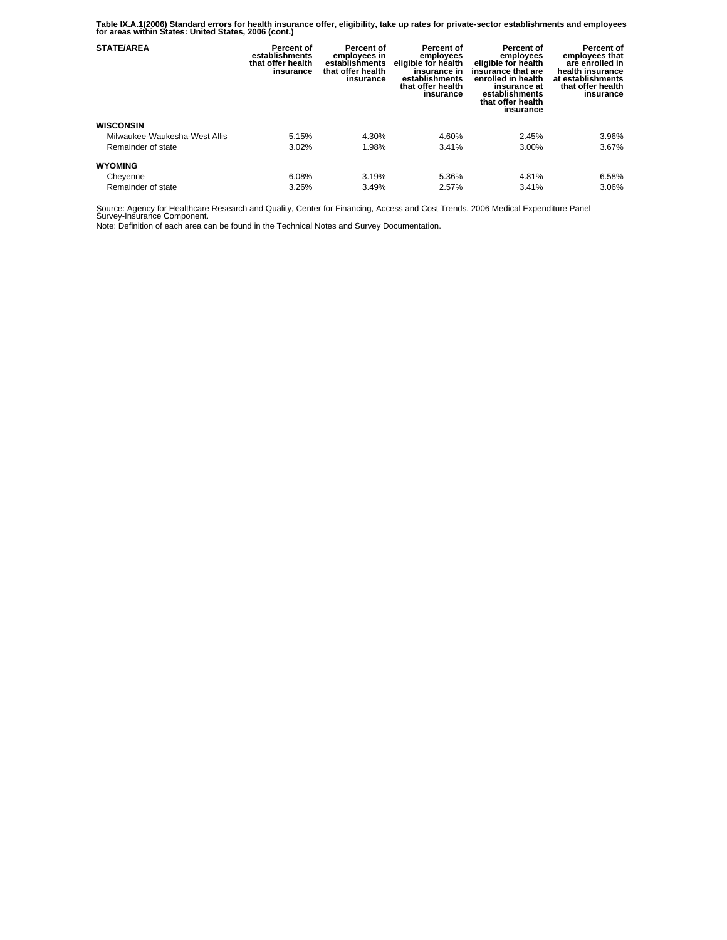**Table IX.A.1(2006) Standard errors for health insurance offer, eligibility, take up rates for private-sector establishments and employees for areas within States: United States, 2006 (cont.)** 

| <b>STATE/AREA</b>             | Percent of<br>establishments<br>that offer health<br>insurance | Percent of<br>employees in<br>establishments<br>that offer health<br>insurance | Percent of<br>employees<br>eligible for health<br>insurance in<br>establishments<br>that offer health<br>insurance | <b>Percent of</b><br>employees<br>eligible for health<br>insurance that are<br>enrolled in health<br>insurance at<br>establishments<br>that offer health<br>insurance | Percent of<br>employees that<br>are enrolled in<br>health insurance<br>at establishments<br>that offer health<br>insurance |
|-------------------------------|----------------------------------------------------------------|--------------------------------------------------------------------------------|--------------------------------------------------------------------------------------------------------------------|-----------------------------------------------------------------------------------------------------------------------------------------------------------------------|----------------------------------------------------------------------------------------------------------------------------|
| <b>WISCONSIN</b>              |                                                                |                                                                                |                                                                                                                    |                                                                                                                                                                       |                                                                                                                            |
| Milwaukee-Waukesha-West Allis | 5.15%                                                          | 4.30%                                                                          | 4.60%                                                                                                              | 2.45%                                                                                                                                                                 | 3.96%                                                                                                                      |
| Remainder of state            | 3.02%                                                          | 1.98%                                                                          | 3.41%                                                                                                              | 3.00%                                                                                                                                                                 | 3.67%                                                                                                                      |
| <b>WYOMING</b>                |                                                                |                                                                                |                                                                                                                    |                                                                                                                                                                       |                                                                                                                            |
| Cheyenne                      | 6.08%                                                          | 3.19%                                                                          | 5.36%                                                                                                              | 4.81%                                                                                                                                                                 | 6.58%                                                                                                                      |
| Remainder of state            | 3.26%                                                          | 3.49%                                                                          | 2.57%                                                                                                              | 3.41%                                                                                                                                                                 | 3.06%                                                                                                                      |

Source: Agency for Healthcare Research and Quality, Center for Financing, Access and Cost Trends. 2006 Medical Expenditure Panel Survey-Insurance Component.

Note: Definition of each area can be found in the Technical Notes and Survey Documentation.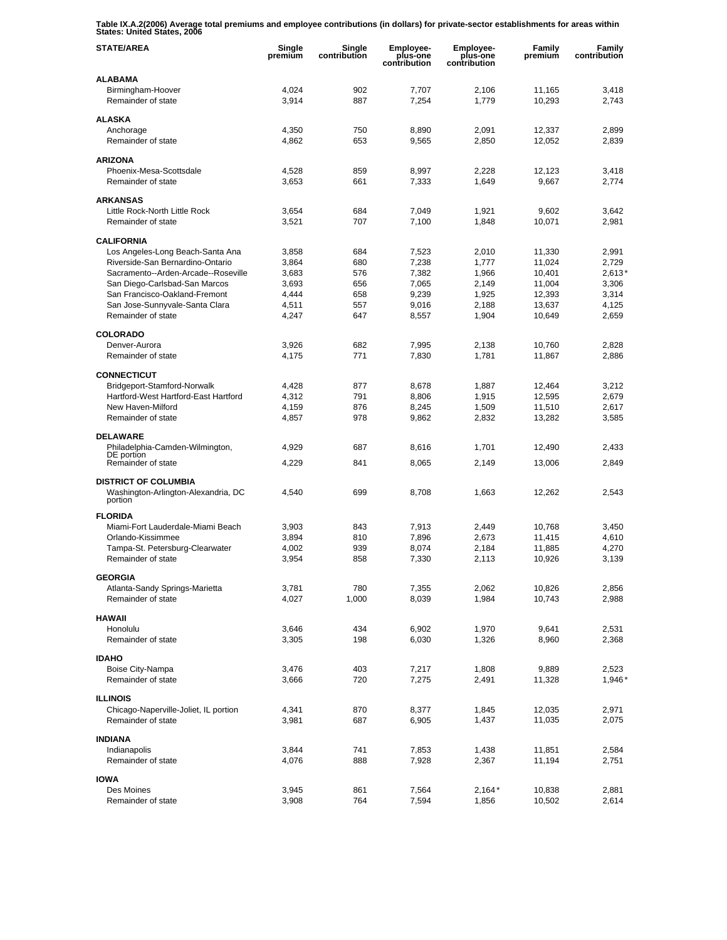**Table IX.A.2(2006) Average total premiums and employee contributions (in dollars) for private-sector establishments for areas within States: United States, 2006** 

| <b>STATE/AREA</b>                                                             | Single<br>premium | Single<br>contribution | Employee-<br>plus-one<br>contribution | Employee-<br>plus-one<br>contribution | Family<br>premium | Family<br>contribution |
|-------------------------------------------------------------------------------|-------------------|------------------------|---------------------------------------|---------------------------------------|-------------------|------------------------|
| <b>ALABAMA</b>                                                                |                   |                        |                                       |                                       |                   |                        |
| Birmingham-Hoover<br>Remainder of state                                       | 4,024<br>3,914    | 902<br>887             | 7,707<br>7,254                        | 2,106<br>1,779                        | 11,165<br>10,293  | 3,418<br>2,743         |
| <b>ALASKA</b>                                                                 |                   |                        |                                       |                                       |                   |                        |
| Anchorage                                                                     | 4,350             | 750                    | 8,890                                 | 2,091                                 | 12,337            | 2,899                  |
| Remainder of state                                                            | 4,862             | 653                    | 9,565                                 | 2,850                                 | 12,052            | 2,839                  |
| <b>ARIZONA</b>                                                                |                   |                        |                                       |                                       |                   |                        |
| Phoenix-Mesa-Scottsdale                                                       | 4,528             | 859                    | 8,997                                 | 2,228                                 | 12,123            | 3,418                  |
| Remainder of state                                                            | 3,653             | 661                    | 7,333                                 | 1,649                                 | 9,667             | 2,774                  |
| <b>ARKANSAS</b>                                                               |                   |                        |                                       |                                       |                   |                        |
| Little Rock-North Little Rock                                                 | 3,654             | 684                    | 7,049                                 | 1,921                                 | 9,602             | 3,642                  |
| Remainder of state                                                            | 3,521             | 707                    | 7,100                                 | 1,848                                 | 10,071            | 2,981                  |
| <b>CALIFORNIA</b>                                                             |                   |                        |                                       |                                       |                   |                        |
| Los Angeles-Long Beach-Santa Ana                                              | 3,858             | 684                    | 7,523                                 | 2,010                                 | 11,330            | 2,991                  |
| Riverside-San Bernardino-Ontario                                              | 3,864             | 680                    | 7,238                                 | 1,777                                 | 11,024            | 2,729                  |
| Sacramento--Arden-Arcade--Roseville                                           | 3,683             | 576                    | 7,382                                 | 1,966                                 | 10,401            | $2,613*$               |
| San Diego-Carlsbad-San Marcos                                                 | 3.693             | 656                    | 7,065                                 | 2,149                                 | 11,004            | 3,306                  |
| San Francisco-Oakland-Fremont<br>San Jose-Sunnyvale-Santa Clara               | 4,444<br>4,511    | 658<br>557             | 9,239<br>9,016                        | 1,925<br>2,188                        | 12,393<br>13,637  | 3,314<br>4,125         |
| Remainder of state                                                            | 4,247             | 647                    | 8,557                                 | 1,904                                 | 10,649            | 2,659                  |
|                                                                               |                   |                        |                                       |                                       |                   |                        |
| <b>COLORADO</b>                                                               |                   |                        |                                       |                                       |                   |                        |
| Denver-Aurora                                                                 | 3,926             | 682                    | 7,995                                 | 2,138                                 | 10,760            | 2.828                  |
| Remainder of state                                                            | 4,175             | 771                    | 7,830                                 | 1,781                                 | 11,867            | 2,886                  |
| <b>CONNECTICUT</b>                                                            |                   |                        |                                       |                                       |                   |                        |
| Bridgeport-Stamford-Norwalk                                                   | 4,428             | 877                    | 8,678                                 | 1,887                                 | 12,464            | 3,212                  |
| Hartford-West Hartford-East Hartford                                          | 4,312             | 791                    | 8,806                                 | 1,915                                 | 12,595            | 2,679                  |
| New Haven-Milford                                                             | 4,159             | 876                    | 8,245                                 | 1,509                                 | 11,510            | 2,617                  |
| Remainder of state                                                            | 4,857             | 978                    | 9,862                                 | 2,832                                 | 13,282            | 3,585                  |
| <b>DELAWARE</b>                                                               |                   |                        |                                       |                                       |                   |                        |
| Philadelphia-Camden-Wilmington,                                               | 4,929             | 687                    | 8,616                                 | 1,701                                 | 12,490            | 2,433                  |
| DE portion<br>Remainder of state                                              | 4,229             | 841                    | 8,065                                 | 2,149                                 | 13,006            | 2,849                  |
|                                                                               |                   |                        |                                       |                                       |                   |                        |
| <b>DISTRICT OF COLUMBIA</b><br>Washington-Arlington-Alexandria, DC<br>portion | 4,540             | 699                    | 8,708                                 | 1,663                                 | 12,262            | 2,543                  |
| <b>FLORIDA</b>                                                                |                   |                        |                                       |                                       |                   |                        |
| Miami-Fort Lauderdale-Miami Beach                                             | 3,903             | 843                    | 7.913                                 | 2,449                                 | 10,768            | 3,450                  |
| Orlando-Kissimmee                                                             | 3,894             | 810                    | 7,896                                 | 2,673                                 | 11,415            | 4,610                  |
| Tampa-St. Petersburg-Clearwater                                               | 4,002             | 939                    | 8,074                                 | 2,184                                 | 11,885            | 4,270                  |
| Remainder of state                                                            | 3,954             | 858                    | 7,330                                 | 2,113                                 | 10,926            | 3,139                  |
| <b>GEORGIA</b>                                                                |                   |                        |                                       |                                       |                   |                        |
| Atlanta-Sandy Springs-Marietta                                                | 3,781             | 780                    | 7,355                                 | 2,062                                 | 10,826            | 2,856                  |
| Remainder of state                                                            | 4,027             | 1,000                  | 8,039                                 | 1,984                                 | 10,743            | 2,988                  |
| <b>HAWAII</b>                                                                 |                   |                        |                                       |                                       |                   |                        |
| Honolulu                                                                      | 3,646             | 434                    | 6,902                                 | 1,970                                 | 9,641             | 2,531                  |
| Remainder of state                                                            | 3,305             | 198                    | 6,030                                 | 1,326                                 | 8,960             | 2,368                  |
| <b>IDAHO</b>                                                                  |                   |                        |                                       |                                       |                   |                        |
| Boise City-Nampa                                                              | 3,476             | 403                    | 7,217                                 | 1,808                                 | 9,889             | 2,523                  |
| Remainder of state                                                            | 3,666             | 720                    | 7,275                                 | 2,491                                 | 11,328            | 1,946*                 |
|                                                                               |                   |                        |                                       |                                       |                   |                        |
| <b>ILLINOIS</b>                                                               |                   |                        |                                       |                                       |                   |                        |
| Chicago-Naperville-Joliet, IL portion<br>Remainder of state                   | 4,341<br>3,981    | 870<br>687             | 8,377<br>6,905                        | 1,845<br>1,437                        | 12,035<br>11,035  | 2,971<br>2,075         |
|                                                                               |                   |                        |                                       |                                       |                   |                        |
| <b>INDIANA</b>                                                                |                   |                        |                                       |                                       |                   |                        |
| Indianapolis                                                                  | 3,844             | 741                    | 7,853                                 | 1,438                                 | 11,851            | 2,584                  |
| Remainder of state                                                            | 4,076             | 888                    | 7,928                                 | 2,367                                 | 11,194            | 2,751                  |
| <b>IOWA</b>                                                                   |                   |                        |                                       |                                       |                   |                        |
| Des Moines                                                                    | 3,945             | 861                    | 7,564                                 | $2,164*$                              | 10,838            | 2,881                  |
| Remainder of state                                                            | 3,908             | 764                    | 7,594                                 | 1,856                                 | 10,502            | 2,614                  |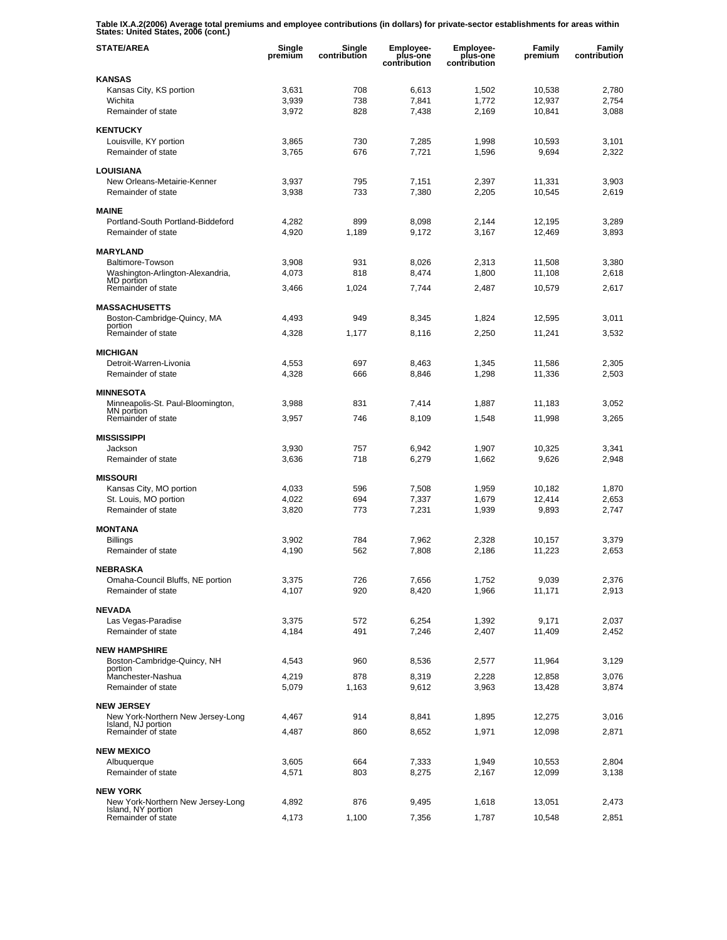**Table IX.A.2(2006) Average total premiums and employee contributions (in dollars) for private-sector establishments for areas within States: United States, 2006 (cont.)** 

| <b>STATE/AREA</b>                                       | Single<br>premiūm | Single<br>contribution | Employee-<br>plus-one<br>contribution | <b>Employee-</b><br>plus-one<br>contribution | Family<br>premium | Family<br>contribution |
|---------------------------------------------------------|-------------------|------------------------|---------------------------------------|----------------------------------------------|-------------------|------------------------|
| <b>KANSAS</b>                                           |                   |                        |                                       |                                              |                   |                        |
| Kansas City, KS portion                                 | 3,631             | 708                    | 6,613                                 | 1,502                                        | 10,538            | 2,780                  |
| Wichita                                                 | 3.939             | 738                    | 7,841                                 | 1,772                                        | 12,937            | 2,754                  |
| Remainder of state                                      | 3,972             | 828                    | 7,438                                 | 2,169                                        | 10,841            | 3,088                  |
| <b>KENTUCKY</b>                                         |                   |                        |                                       |                                              |                   |                        |
| Louisville, KY portion                                  | 3,865             | 730                    | 7,285                                 | 1,998                                        | 10,593            | 3,101                  |
| Remainder of state                                      | 3,765             | 676                    | 7,721                                 | 1,596                                        | 9,694             | 2,322                  |
| <b>LOUISIANA</b>                                        |                   |                        |                                       |                                              |                   |                        |
| New Orleans-Metairie-Kenner                             | 3,937             | 795                    | 7,151                                 | 2,397                                        | 11,331            | 3,903                  |
| Remainder of state                                      | 3,938             | 733                    | 7,380                                 | 2,205                                        | 10,545            | 2,619                  |
| <b>MAINE</b>                                            |                   |                        |                                       |                                              |                   |                        |
| Portland-South Portland-Biddeford                       | 4,282             | 899                    | 8,098                                 | 2,144                                        | 12,195            | 3,289                  |
| Remainder of state                                      | 4,920             | 1,189                  | 9,172                                 | 3,167                                        | 12,469            | 3,893                  |
| <b>MARYLAND</b>                                         |                   |                        |                                       |                                              |                   |                        |
| Baltimore-Towson                                        | 3,908             | 931                    | 8,026                                 | 2,313                                        | 11,508            | 3,380                  |
| Washington-Arlington-Alexandria,                        | 4,073             | 818                    | 8,474                                 | 1,800                                        | 11,108            | 2,618                  |
| MD portion<br>Remainder of state                        | 3,466             | 1,024                  | 7,744                                 | 2,487                                        | 10,579            | 2,617                  |
|                                                         |                   |                        |                                       |                                              |                   |                        |
| <b>MASSACHUSETTS</b>                                    |                   |                        |                                       |                                              |                   |                        |
| Boston-Cambridge-Quincy, MA<br>portion                  | 4,493             | 949                    | 8,345                                 | 1,824                                        | 12,595            | 3,011                  |
| Remainder of state                                      | 4,328             | 1,177                  | 8,116                                 | 2,250                                        | 11,241            | 3,532                  |
| <b>MICHIGAN</b>                                         |                   |                        |                                       |                                              |                   |                        |
| Detroit-Warren-Livonia                                  | 4,553             | 697                    | 8,463                                 | 1,345                                        | 11,586            | 2,305                  |
| Remainder of state                                      | 4,328             | 666                    | 8,846                                 | 1,298                                        | 11,336            | 2,503                  |
| <b>MINNESOTA</b>                                        |                   |                        |                                       |                                              |                   |                        |
| Minneapolis-St. Paul-Bloomington,                       | 3,988             | 831                    | 7,414                                 | 1,887                                        | 11,183            | 3,052                  |
| MN portion                                              |                   |                        |                                       |                                              |                   |                        |
| Remainder of state                                      | 3,957             | 746                    | 8,109                                 | 1,548                                        | 11,998            | 3,265                  |
| <b>MISSISSIPPI</b>                                      |                   |                        |                                       |                                              |                   |                        |
| Jackson                                                 | 3,930             | 757                    | 6,942                                 | 1,907                                        | 10,325            | 3,341                  |
| Remainder of state                                      | 3,636             | 718                    | 6,279                                 | 1,662                                        | 9,626             | 2,948                  |
| <b>MISSOURI</b>                                         |                   |                        |                                       |                                              |                   |                        |
| Kansas City, MO portion                                 | 4,033             | 596                    | 7,508                                 | 1,959                                        | 10,182            | 1,870                  |
| St. Louis, MO portion                                   | 4,022             | 694                    | 7,337                                 | 1,679                                        | 12,414            | 2,653                  |
| Remainder of state                                      | 3,820             | 773                    | 7,231                                 | 1,939                                        | 9,893             | 2,747                  |
| <b>MONTANA</b>                                          |                   |                        |                                       |                                              |                   |                        |
| <b>Billings</b>                                         | 3,902             | 784                    | 7,962                                 | 2,328                                        | 10,157            | 3,379                  |
| Remainder of state                                      | 4,190             | 562                    | 7,808                                 | 2,186                                        | 11,223            | 2,653                  |
| <b>NEBRASKA</b>                                         |                   |                        |                                       |                                              |                   |                        |
| Omaha-Council Bluffs, NE portion                        | 3,375             | 726                    | 7,656                                 | 1,752                                        | 9,039             | 2,376                  |
| Remainder of state                                      | 4,107             | 920                    | 8,420                                 | 1,966                                        | 11,171            | 2,913                  |
| <b>NEVADA</b>                                           |                   |                        |                                       |                                              |                   |                        |
| Las Vegas-Paradise                                      | 3,375             | 572                    | 6,254                                 | 1,392                                        | 9,171             | 2,037                  |
| Remainder of state                                      | 4,184             | 491                    | 7,246                                 | 2,407                                        | 11,409            | 2,452                  |
| <b>NEW HAMPSHIRE</b>                                    |                   |                        |                                       |                                              |                   |                        |
| Boston-Cambridge-Quincy, NH                             | 4,543             | 960                    | 8,536                                 | 2,577                                        | 11,964            | 3,129                  |
| portion                                                 |                   |                        |                                       |                                              |                   |                        |
| Manchester-Nashua<br>Remainder of state                 | 4,219<br>5,079    | 878<br>1,163           | 8,319<br>9,612                        | 2,228<br>3,963                               | 12,858<br>13,428  | 3,076<br>3,874         |
|                                                         |                   |                        |                                       |                                              |                   |                        |
| <b>NEW JERSEY</b>                                       |                   |                        |                                       |                                              |                   |                        |
| New York-Northern New Jersey-Long<br>Island, NJ portion | 4,467             | 914                    | 8,841                                 | 1,895                                        | 12,275            | 3,016                  |
| Remainder of state                                      | 4,487             | 860                    | 8,652                                 | 1,971                                        | 12,098            | 2,871                  |
| <b>NEW MEXICO</b>                                       |                   |                        |                                       |                                              |                   |                        |
| Albuquerque                                             | 3,605             | 664                    | 7,333                                 | 1,949                                        | 10,553            | 2,804                  |
| Remainder of state                                      | 4,571             | 803                    | 8,275                                 | 2,167                                        | 12,099            | 3,138                  |
|                                                         |                   |                        |                                       |                                              |                   |                        |
| <b>NEW YORK</b><br>New York-Northern New Jersey-Long    | 4,892             | 876                    | 9,495                                 | 1,618                                        | 13,051            | 2,473                  |
| Island, NY portion                                      |                   |                        |                                       |                                              |                   |                        |
| Remainder of state                                      | 4,173             | 1,100                  | 7,356                                 | 1,787                                        | 10,548            | 2,851                  |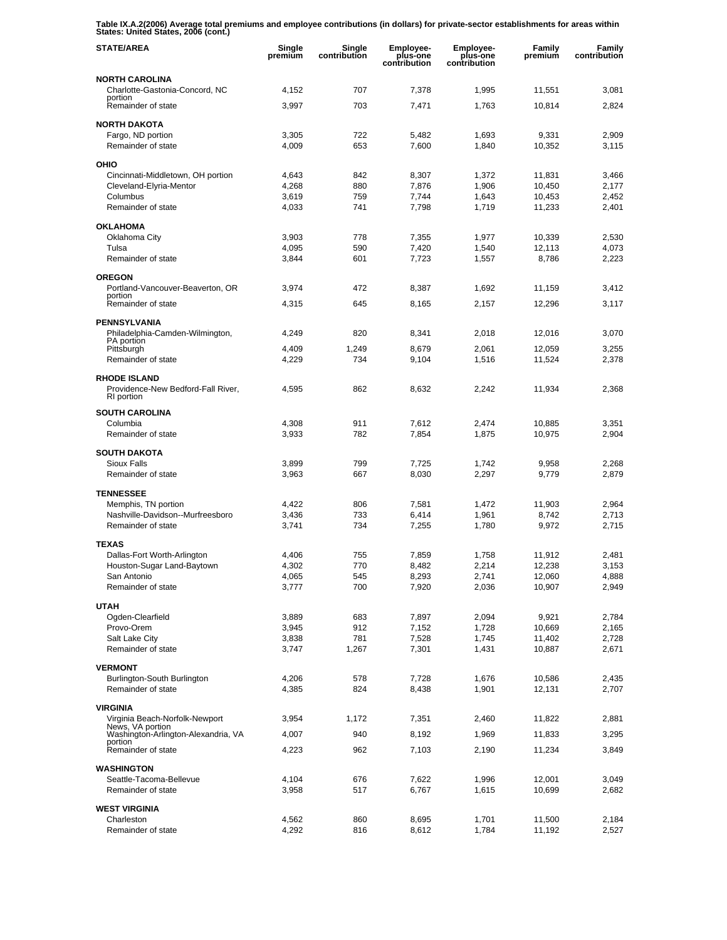**Table IX.A.2(2006) Average total premiums and employee contributions (in dollars) for private-sector establishments for areas within States: United States, 2006 (cont.)** 

| <b>STATE/AREA</b>                                       | Single<br>premiūm | Single<br>contribution | <b>Employee-</b><br>plus-one<br>contribution | <b>Employee-</b><br>plus-one<br>contribution | Family<br>premium | Family<br>contribution |
|---------------------------------------------------------|-------------------|------------------------|----------------------------------------------|----------------------------------------------|-------------------|------------------------|
| <b>NORTH CAROLINA</b>                                   |                   |                        |                                              |                                              |                   |                        |
| Charlotte-Gastonia-Concord, NC<br>portion               | 4,152             | 707                    | 7,378                                        | 1,995                                        | 11,551            | 3,081                  |
| Remainder of state                                      | 3,997             | 703                    | 7,471                                        | 1,763                                        | 10,814            | 2,824                  |
| <b>NORTH DAKOTA</b>                                     |                   |                        |                                              |                                              |                   |                        |
| Fargo, ND portion                                       | 3,305             | 722                    | 5,482                                        | 1,693                                        | 9,331             | 2,909                  |
| Remainder of state                                      | 4,009             | 653                    | 7,600                                        | 1,840                                        | 10,352            | 3,115                  |
| OHIO                                                    |                   |                        |                                              |                                              |                   |                        |
| Cincinnati-Middletown, OH portion                       | 4,643             | 842                    | 8,307                                        | 1,372                                        | 11,831            | 3,466                  |
| Cleveland-Elyria-Mentor                                 | 4,268             | 880                    | 7,876                                        | 1,906                                        | 10,450            | 2,177                  |
| Columbus<br>Remainder of state                          | 3,619<br>4,033    | 759<br>741             | 7,744<br>7,798                               | 1,643<br>1,719                               | 10,453            | 2.452<br>2,401         |
|                                                         |                   |                        |                                              |                                              | 11,233            |                        |
| <b>OKLAHOMA</b>                                         |                   |                        |                                              |                                              |                   |                        |
| Oklahoma City                                           | 3,903             | 778                    | 7,355                                        | 1,977                                        | 10,339            | 2,530                  |
| Tulsa<br>Remainder of state                             | 4,095<br>3,844    | 590<br>601             | 7,420<br>7,723                               | 1,540<br>1,557                               | 12,113<br>8,786   | 4,073<br>2,223         |
|                                                         |                   |                        |                                              |                                              |                   |                        |
| <b>OREGON</b>                                           |                   |                        |                                              |                                              |                   |                        |
| Portland-Vancouver-Beaverton, OR<br>portion             | 3,974             | 472                    | 8,387                                        | 1,692                                        | 11,159            | 3,412                  |
| Remainder of state                                      | 4,315             | 645                    | 8.165                                        | 2,157                                        | 12,296            | 3.117                  |
| <b>PENNSYLVANIA</b>                                     |                   |                        |                                              |                                              |                   |                        |
| Philadelphia-Camden-Wilmington,                         | 4,249             | 820                    | 8,341                                        | 2,018                                        | 12,016            | 3,070                  |
| PA portion<br>Pittsburgh                                | 4,409             | 1,249                  | 8,679                                        | 2,061                                        | 12,059            | 3,255                  |
| Remainder of state                                      | 4,229             | 734                    | 9,104                                        | 1,516                                        | 11,524            | 2,378                  |
| <b>RHODE ISLAND</b>                                     |                   |                        |                                              |                                              |                   |                        |
| Providence-New Bedford-Fall River,<br>RI portion        | 4,595             | 862                    | 8,632                                        | 2,242                                        | 11,934            | 2,368                  |
| <b>SOUTH CAROLINA</b>                                   |                   |                        |                                              |                                              |                   |                        |
| Columbia                                                | 4,308             | 911                    | 7,612                                        | 2,474                                        | 10,885            | 3,351                  |
| Remainder of state                                      | 3,933             | 782                    | 7,854                                        | 1,875                                        | 10,975            | 2,904                  |
| <b>SOUTH DAKOTA</b>                                     |                   |                        |                                              |                                              |                   |                        |
| Sioux Falls                                             | 3,899             | 799                    | 7,725                                        | 1,742                                        | 9,958             | 2,268                  |
| Remainder of state                                      | 3,963             | 667                    | 8,030                                        | 2,297                                        | 9,779             | 2,879                  |
| <b>TENNESSEE</b>                                        |                   |                        |                                              |                                              |                   |                        |
| Memphis, TN portion                                     | 4,422             | 806                    | 7,581                                        | 1,472                                        | 11,903            | 2,964                  |
| Nashville-Davidson--Murfreesboro                        | 3,436             | 733                    | 6,414                                        | 1,961                                        | 8,742             | 2,713                  |
| Remainder of state                                      | 3,741             | 734                    | 7,255                                        | 1,780                                        | 9,972             | 2,715                  |
| <b>TEXAS</b>                                            |                   |                        |                                              |                                              |                   |                        |
| Dallas-Fort Worth-Arlington                             | 4,406             | 755                    | 7,859                                        | 1,758                                        | 11,912            | 2,481                  |
| Houston-Sugar Land-Baytown                              | 4,302             | 770                    | 8,482                                        | 2,214                                        | 12,238            | 3,153                  |
| San Antonio<br>Remainder of state                       | 4,065<br>3,777    | 545<br>700             | 8,293<br>7,920                               | 2,741<br>2,036                               | 12,060<br>10,907  | 4,888<br>2,949         |
|                                                         |                   |                        |                                              |                                              |                   |                        |
| <b>UTAH</b>                                             |                   |                        |                                              |                                              |                   |                        |
| Ogden-Clearfield<br>Provo-Orem                          | 3,889<br>3,945    | 683<br>912             | 7,897<br>7,152                               | 2,094<br>1,728                               | 9,921<br>10,669   | 2,784<br>2,165         |
| Salt Lake City                                          | 3,838             | 781                    | 7,528                                        | 1,745                                        | 11,402            | 2,728                  |
| Remainder of state                                      | 3,747             | 1,267                  | 7,301                                        | 1,431                                        | 10,887            | 2,671                  |
| <b>VERMONT</b>                                          |                   |                        |                                              |                                              |                   |                        |
| Burlington-South Burlington                             | 4,206             | 578                    | 7,728                                        | 1,676                                        | 10,586            | 2,435                  |
| Remainder of state                                      | 4,385             | 824                    | 8,438                                        | 1,901                                        | 12,131            | 2,707                  |
| <b>VIRGINIA</b>                                         |                   |                        |                                              |                                              |                   |                        |
| Virginia Beach-Norfolk-Newport                          | 3,954             | 1,172                  | 7,351                                        | 2,460                                        | 11,822            | 2,881                  |
| News, VA portion<br>Washington-Arlington-Alexandria, VA |                   | 940                    |                                              |                                              |                   |                        |
| portion                                                 | 4,007             |                        | 8,192                                        | 1,969                                        | 11,833            | 3,295                  |
| Remainder of state                                      | 4,223             | 962                    | 7,103                                        | 2,190                                        | 11,234            | 3,849                  |
| <b>WASHINGTON</b>                                       |                   |                        |                                              |                                              |                   |                        |
| Seattle-Tacoma-Bellevue                                 | 4,104             | 676                    | 7,622                                        | 1,996                                        | 12,001            | 3,049                  |
| Remainder of state                                      | 3,958             | 517                    | 6,767                                        | 1,615                                        | 10,699            | 2,682                  |
| <b>WEST VIRGINIA</b>                                    |                   |                        |                                              |                                              |                   |                        |
| Charleston                                              | 4,562             | 860                    | 8,695                                        | 1,701                                        | 11,500            | 2,184                  |
| Remainder of state                                      | 4,292             | 816                    | 8,612                                        | 1,784                                        | 11,192            | 2,527                  |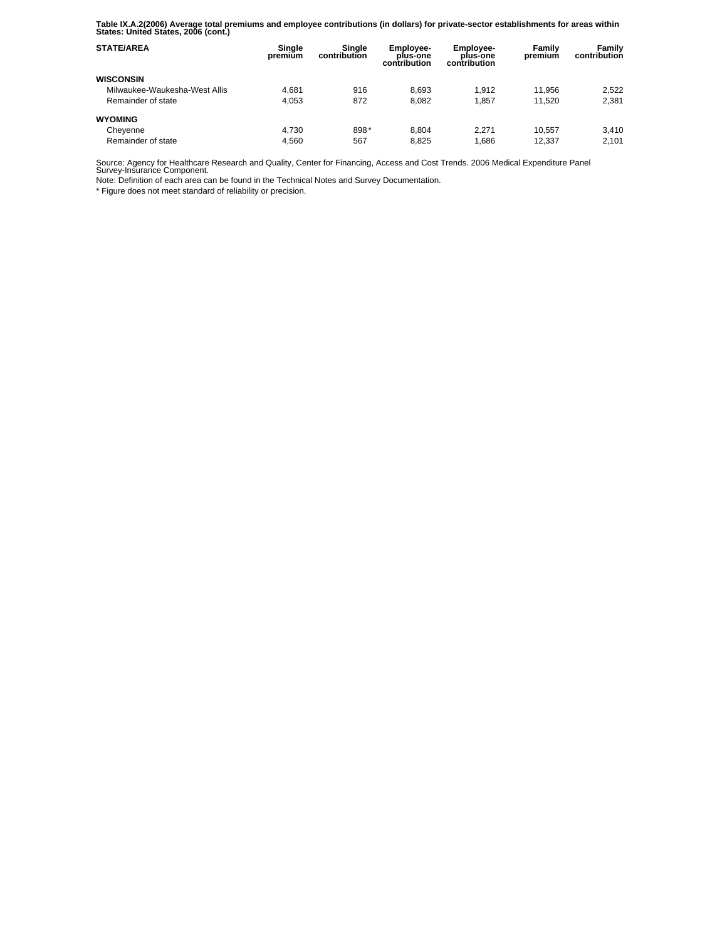**Table IX.A.2(2006) Average total premiums and employee contributions (in dollars) for private-sector establishments for areas within States: United States, 2006 (cont.)** 

| <b>STATE/AREA</b>             | Single<br>premium | Sinale<br>contribution | Employee-<br>plus-one<br>contribution | Employee-<br>plus-one<br>contribution | Family<br>premium | Family<br>contribution |
|-------------------------------|-------------------|------------------------|---------------------------------------|---------------------------------------|-------------------|------------------------|
| <b>WISCONSIN</b>              |                   |                        |                                       |                                       |                   |                        |
| Milwaukee-Waukesha-West Allis | 4.681             | 916                    | 8.693                                 | 1.912                                 | 11.956            | 2.522                  |
| Remainder of state            | 4.053             | 872                    | 8.082                                 | 1.857                                 | 11.520            | 2,381                  |
| <b>WYOMING</b>                |                   |                        |                                       |                                       |                   |                        |
| Cheyenne                      | 4.730             | 898*                   | 8.804                                 | 2.271                                 | 10.557            | 3.410                  |
| Remainder of state            | 4.560             | 567                    | 8.825                                 | 1.686                                 | 12.337            | 2.101                  |

Source: Agency for Healthcare Research and Quality, Center for Financing, Access and Cost Trends. 2006 Medical Expenditure Panel Survey-Insurance Component.

Note: Definition of each area can be found in the Technical Notes and Survey Documentation.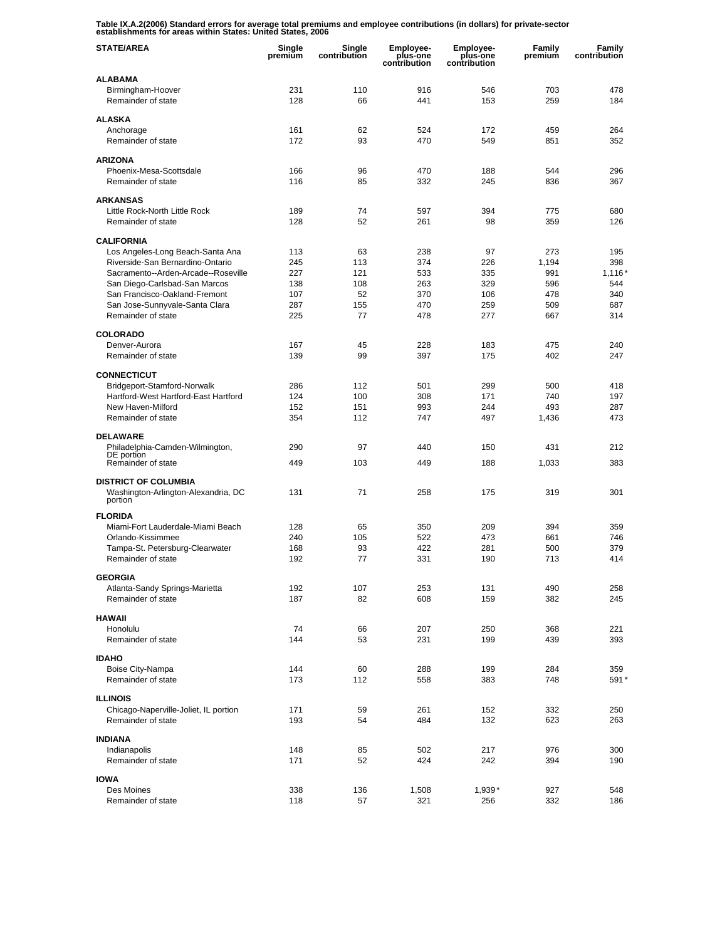**Table IX.A.2(2006) Standard errors for average total premiums and employee contributions (in dollars) for private-sector establishments for areas within States: United States, 2006** 

| <b>STATE/AREA</b>                                                  | Single<br>premium | Single<br>contribution | Employee-<br>plus-one<br>contribution | <b>Employee-</b><br>plus-one<br>contribution | Family<br>premium | Family<br>contribution |
|--------------------------------------------------------------------|-------------------|------------------------|---------------------------------------|----------------------------------------------|-------------------|------------------------|
| <b>ALABAMA</b>                                                     |                   |                        |                                       |                                              |                   |                        |
| Birmingham-Hoover<br>Remainder of state                            | 231<br>128        | 110<br>66              | 916<br>441                            | 546<br>153                                   | 703<br>259        | 478<br>184             |
| <b>ALASKA</b>                                                      |                   |                        |                                       |                                              |                   |                        |
| Anchorage                                                          | 161               | 62                     | 524                                   | 172                                          | 459               | 264                    |
| Remainder of state                                                 | 172               | 93                     | 470                                   | 549                                          | 851               | 352                    |
| <b>ARIZONA</b>                                                     |                   |                        |                                       |                                              |                   |                        |
| Phoenix-Mesa-Scottsdale                                            | 166               | 96                     | 470                                   | 188                                          | 544               | 296                    |
| Remainder of state                                                 | 116               | 85                     | 332                                   | 245                                          | 836               | 367                    |
| <b>ARKANSAS</b>                                                    |                   |                        |                                       |                                              |                   |                        |
| Little Rock-North Little Rock                                      | 189               | 74                     | 597                                   | 394                                          | 775               | 680                    |
| Remainder of state                                                 | 128               | 52                     | 261                                   | 98                                           | 359               | 126                    |
| <b>CALIFORNIA</b>                                                  |                   |                        |                                       |                                              |                   |                        |
| Los Angeles-Long Beach-Santa Ana                                   | 113               | 63                     | 238                                   | 97                                           | 273               | 195                    |
| Riverside-San Bernardino-Ontario                                   | 245               | 113                    | 374                                   | 226                                          | 1,194             | 398                    |
| Sacramento--Arden-Arcade--Roseville                                | 227               | 121                    | 533                                   | 335                                          | 991               | 1,116'                 |
| San Diego-Carlsbad-San Marcos                                      | 138               | 108                    | 263                                   | 329                                          | 596               | 544                    |
| San Francisco-Oakland-Fremont                                      | 107               | 52                     | 370                                   | 106                                          | 478<br>509        | 340<br>687             |
| San Jose-Sunnyvale-Santa Clara<br>Remainder of state               | 287<br>225        | 155<br>77              | 470<br>478                            | 259<br>277                                   | 667               | 314                    |
|                                                                    |                   |                        |                                       |                                              |                   |                        |
| <b>COLORADO</b>                                                    |                   |                        |                                       |                                              |                   |                        |
| Denver-Aurora                                                      | 167               | 45                     | 228                                   | 183                                          | 475               | 240                    |
| Remainder of state                                                 | 139               | 99                     | 397                                   | 175                                          | 402               | 247                    |
| <b>CONNECTICUT</b>                                                 |                   |                        |                                       |                                              |                   |                        |
| Bridgeport-Stamford-Norwalk                                        | 286               | 112                    | 501                                   | 299                                          | 500               | 418                    |
| Hartford-West Hartford-East Hartford                               | 124               | 100                    | 308                                   | 171                                          | 740               | 197                    |
| New Haven-Milford                                                  | 152               | 151                    | 993                                   | 244                                          | 493               | 287                    |
| Remainder of state                                                 | 354               | 112                    | 747                                   | 497                                          | 1,436             | 473                    |
| <b>DELAWARE</b>                                                    |                   |                        |                                       |                                              |                   |                        |
| Philadelphia-Camden-Wilmington,                                    | 290               | 97                     | 440                                   | 150                                          | 431               | 212                    |
| DE portion<br>Remainder of state                                   | 449               | 103                    | 449                                   | 188                                          | 1,033             | 383                    |
|                                                                    |                   |                        |                                       |                                              |                   |                        |
| <b>DISTRICT OF COLUMBIA</b><br>Washington-Arlington-Alexandria, DC | 131               | 71                     | 258                                   | 175                                          | 319               | 301                    |
| portion                                                            |                   |                        |                                       |                                              |                   |                        |
| <b>FLORIDA</b>                                                     |                   |                        |                                       |                                              |                   |                        |
| Miami-Fort Lauderdale-Miami Beach                                  | 128               | 65                     | 350                                   | 209                                          | 394               | 359                    |
| Orlando-Kissimmee                                                  | 240               | 105                    | 522                                   | 473                                          | 661               | 746                    |
| Tampa-St. Petersburg-Clearwater                                    | 168               | 93                     | 422                                   | 281                                          | 500               | 379                    |
| Remainder of state                                                 | 192               | 77                     | 331                                   | 190                                          | 713               | 414                    |
| <b>GEORGIA</b>                                                     |                   |                        |                                       |                                              |                   |                        |
| Atlanta-Sandy Springs-Marietta                                     | 192               | 107                    | 253                                   | 131                                          | 490               | 258                    |
| Remainder of state                                                 | 187               | 82                     | 608                                   | 159                                          | 382               | 245                    |
| <b>HAWAII</b>                                                      |                   |                        |                                       |                                              |                   |                        |
| Honolulu                                                           | 74                | 66                     | 207                                   | 250                                          | 368               | 221                    |
| Remainder of state                                                 | 144               | 53                     | 231                                   | 199                                          | 439               | 393                    |
| <b>IDAHO</b>                                                       |                   |                        |                                       |                                              |                   |                        |
| Boise City-Nampa                                                   | 144               | 60                     | 288                                   | 199                                          | 284               | 359                    |
| Remainder of state                                                 | 173               | 112                    | 558                                   | 383                                          | 748               | 591*                   |
|                                                                    |                   |                        |                                       |                                              |                   |                        |
| <b>ILLINOIS</b><br>Chicago-Naperville-Joliet, IL portion           | 171               | 59                     | 261                                   | 152                                          | 332               | 250                    |
| Remainder of state                                                 | 193               | 54                     | 484                                   | 132                                          | 623               | 263                    |
|                                                                    |                   |                        |                                       |                                              |                   |                        |
| <b>INDIANA</b>                                                     |                   |                        |                                       |                                              |                   |                        |
| Indianapolis<br>Remainder of state                                 | 148<br>171        | 85<br>52               | 502<br>424                            | 217<br>242                                   | 976<br>394        | 300<br>190             |
|                                                                    |                   |                        |                                       |                                              |                   |                        |
| <b>IOWA</b>                                                        |                   |                        |                                       |                                              |                   |                        |
| Des Moines                                                         | 338               | 136                    | 1,508                                 | $1,939*$                                     | 927               | 548                    |
| Remainder of state                                                 | 118               | 57                     | 321                                   | 256                                          | 332               | 186                    |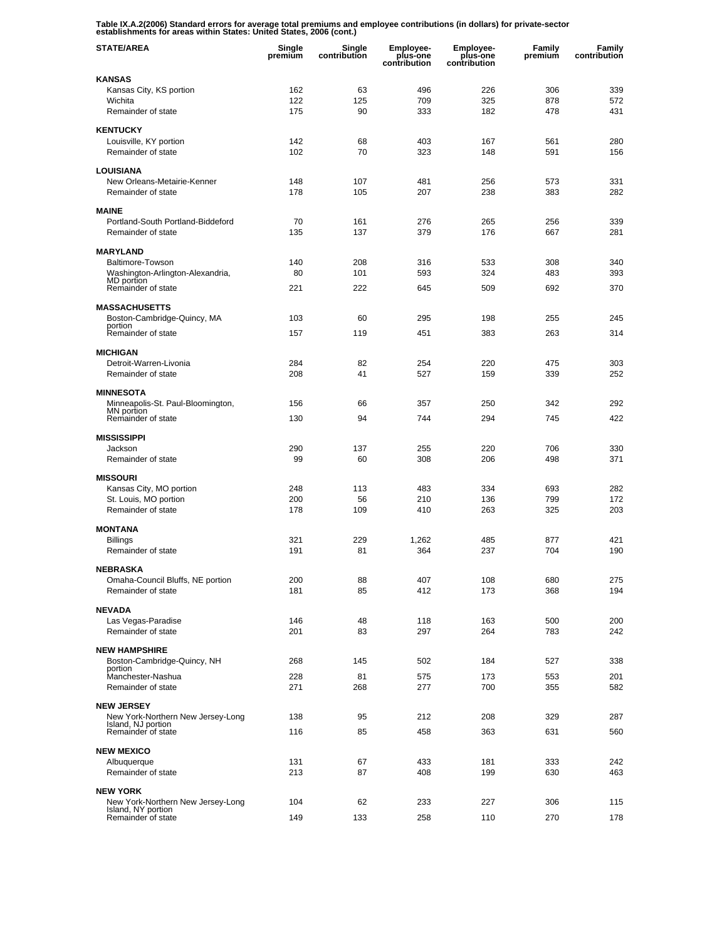**Table IX.A.2(2006) Standard errors for average total premiums and employee contributions (in dollars) for private-sector establishments for areas within States: United States, 2006 (cont.)** 

| <b>STATE/AREA</b>                                       | Single<br>premium | Single<br>contribution | <b>Employee-</b><br>plus-one<br>contribution | <b>Employee-</b><br>plus-one<br>contribution | Family<br>premium | Family<br>contribution |
|---------------------------------------------------------|-------------------|------------------------|----------------------------------------------|----------------------------------------------|-------------------|------------------------|
| <b>KANSAS</b>                                           |                   |                        |                                              |                                              |                   |                        |
| Kansas City, KS portion                                 | 162               | 63                     | 496                                          | 226                                          | 306               | 339                    |
| Wichita                                                 | 122               | 125                    | 709                                          | 325                                          | 878               | 572                    |
| Remainder of state                                      | 175               | 90                     | 333                                          | 182                                          | 478               | 431                    |
| <b>KENTUCKY</b>                                         |                   |                        |                                              |                                              |                   |                        |
| Louisville, KY portion                                  | 142               | 68                     | 403                                          | 167                                          | 561               | 280                    |
| Remainder of state                                      | 102               | 70                     | 323                                          | 148                                          | 591               | 156                    |
| <b>LOUISIANA</b>                                        |                   |                        |                                              |                                              |                   |                        |
| New Orleans-Metairie-Kenner                             | 148               | 107                    | 481                                          | 256                                          | 573               | 331                    |
| Remainder of state                                      | 178               | 105                    | 207                                          | 238                                          | 383               | 282                    |
| <b>MAINE</b>                                            |                   |                        |                                              |                                              |                   |                        |
| Portland-South Portland-Biddeford                       | 70                | 161                    | 276                                          | 265                                          | 256               | 339                    |
| Remainder of state                                      | 135               | 137                    | 379                                          | 176                                          | 667               | 281                    |
|                                                         |                   |                        |                                              |                                              |                   |                        |
| <b>MARYLAND</b>                                         |                   |                        |                                              |                                              |                   |                        |
| Baltimore-Towson<br>Washington-Arlington-Alexandria,    | 140<br>80         | 208<br>101             | 316<br>593                                   | 533<br>324                                   | 308<br>483        | 340<br>393             |
| MD portion                                              |                   |                        |                                              |                                              |                   |                        |
| Remainder of state                                      | 221               | 222                    | 645                                          | 509                                          | 692               | 370                    |
| <b>MASSACHUSETTS</b>                                    |                   |                        |                                              |                                              |                   |                        |
| Boston-Cambridge-Quincy, MA                             | 103               | 60                     | 295                                          | 198                                          | 255               | 245                    |
| portion<br>Remainder of state                           | 157               | 119                    | 451                                          | 383                                          | 263               | 314                    |
|                                                         |                   |                        |                                              |                                              |                   |                        |
| <b>MICHIGAN</b>                                         |                   |                        |                                              |                                              |                   |                        |
| Detroit-Warren-Livonia                                  | 284               | 82                     | 254                                          | 220                                          | 475               | 303                    |
| Remainder of state                                      | 208               | 41                     | 527                                          | 159                                          | 339               | 252                    |
| <b>MINNESOTA</b>                                        |                   |                        |                                              |                                              |                   |                        |
| Minneapolis-St. Paul-Bloomington,                       | 156               | 66                     | 357                                          | 250                                          | 342               | 292                    |
| MN portion<br>Remainder of state                        | 130               | 94                     | 744                                          | 294                                          | 745               | 422                    |
|                                                         |                   |                        |                                              |                                              |                   |                        |
| <b>MISSISSIPPI</b>                                      |                   |                        |                                              |                                              |                   |                        |
| Jackson<br>Remainder of state                           | 290<br>99         | 137<br>60              | 255<br>308                                   | 220<br>206                                   | 706<br>498        | 330<br>371             |
|                                                         |                   |                        |                                              |                                              |                   |                        |
| <b>MISSOURI</b>                                         |                   |                        |                                              |                                              |                   |                        |
| Kansas City, MO portion                                 | 248               | 113                    | 483                                          | 334                                          | 693               | 282                    |
| St. Louis, MO portion<br>Remainder of state             | 200<br>178        | 56<br>109              | 210<br>410                                   | 136<br>263                                   | 799<br>325        | 172<br>203             |
|                                                         |                   |                        |                                              |                                              |                   |                        |
| <b>MONTANA</b>                                          |                   |                        |                                              |                                              |                   |                        |
| <b>Billings</b>                                         | 321               | 229                    | 1,262                                        | 485                                          | 877               | 421                    |
| Remainder of state                                      | 191               | 81                     | 364                                          | 237                                          | 704               | 190                    |
| <b>NEBRASKA</b>                                         |                   |                        |                                              |                                              |                   |                        |
| Omaha-Council Bluffs, NE portion                        | 200               | 88                     | 407                                          | 108                                          | 680               | 275                    |
| Remainder of state                                      | 181               | 85                     | 412                                          | 173                                          | 368               | 194                    |
| <b>NEVADA</b>                                           |                   |                        |                                              |                                              |                   |                        |
| Las Vegas-Paradise                                      | 146               | 48                     | 118                                          | 163                                          | 500               | 200                    |
| Remainder of state                                      | 201               | 83                     | 297                                          | 264                                          | 783               | 242                    |
|                                                         |                   |                        |                                              |                                              |                   |                        |
| <b>NEW HAMPSHIRE</b><br>Boston-Cambridge-Quincy, NH     | 268               | 145                    | 502                                          | 184                                          | 527               | 338                    |
| portion                                                 |                   |                        |                                              |                                              |                   |                        |
| Manchester-Nashua                                       | 228               | 81                     | 575                                          | 173                                          | 553               | 201                    |
| Remainder of state                                      | 271               | 268                    | 277                                          | 700                                          | 355               | 582                    |
| <b>NEW JERSEY</b>                                       |                   |                        |                                              |                                              |                   |                        |
| New York-Northern New Jersey-Long                       | 138               | 95                     | 212                                          | 208                                          | 329               | 287                    |
| Island, NJ portion<br>Remainder of state                | 116               | 85                     | 458                                          | 363                                          | 631               | 560                    |
|                                                         |                   |                        |                                              |                                              |                   |                        |
| <b>NEW MEXICO</b>                                       |                   |                        |                                              |                                              |                   |                        |
| Albuquerque<br>Remainder of state                       | 131<br>213        | 67<br>87               | 433<br>408                                   | 181<br>199                                   | 333<br>630        | 242<br>463             |
|                                                         |                   |                        |                                              |                                              |                   |                        |
| <b>NEW YORK</b>                                         |                   |                        |                                              |                                              |                   |                        |
| New York-Northern New Jersey-Long<br>Island, NY portion | 104               | 62                     | 233                                          | 227                                          | 306               | 115                    |
| Remainder of state                                      | 149               | 133                    | 258                                          | 110                                          | 270               | 178                    |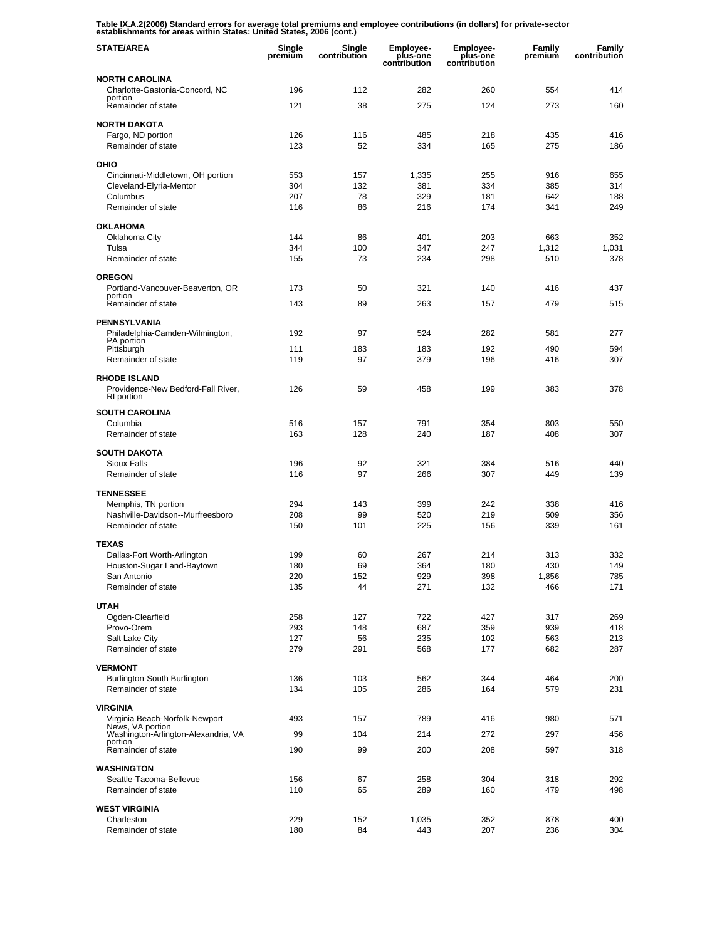**Table IX.A.2(2006) Standard errors for average total premiums and employee contributions (in dollars) for private-sector establishments for areas within States: United States, 2006 (cont.)** 

| <b>STATE/AREA</b>                                                       | Single<br>premium | Single<br>contribution | <b>Employee-</b><br>plus-one<br>contribution | Employee-<br>plus-one<br>contribution | Family<br>premium | Family<br>contribution |
|-------------------------------------------------------------------------|-------------------|------------------------|----------------------------------------------|---------------------------------------|-------------------|------------------------|
| <b>NORTH CAROLINA</b>                                                   |                   |                        |                                              |                                       |                   |                        |
| Charlotte-Gastonia-Concord, NC<br>portion                               | 196               | 112                    | 282                                          | 260                                   | 554               | 414                    |
| Remainder of state                                                      | 121               | 38                     | 275                                          | 124                                   | 273               | 160                    |
| <b>NORTH DAKOTA</b>                                                     |                   |                        |                                              |                                       |                   |                        |
| Fargo, ND portion<br>Remainder of state                                 | 126<br>123        | 116<br>52              | 485<br>334                                   | 218<br>165                            | 435<br>275        | 416<br>186             |
|                                                                         |                   |                        |                                              |                                       |                   |                        |
| OHIO<br>Cincinnati-Middletown, OH portion                               | 553               | 157                    | 1,335                                        | 255                                   | 916               | 655                    |
| Cleveland-Elyria-Mentor                                                 | 304               | 132                    | 381                                          | 334                                   | 385               | 314                    |
| Columbus<br>Remainder of state                                          | 207<br>116        | 78<br>86               | 329<br>216                                   | 181<br>174                            | 642<br>341        | 188<br>249             |
|                                                                         |                   |                        |                                              |                                       |                   |                        |
| <b>OKLAHOMA</b><br>Oklahoma City                                        | 144               | 86                     | 401                                          | 203                                   | 663               | 352                    |
| Tulsa                                                                   | 344               | 100                    | 347                                          | 247                                   | 1,312             | 1,031                  |
| Remainder of state                                                      | 155               | 73                     | 234                                          | 298                                   | 510               | 378                    |
| <b>OREGON</b>                                                           |                   |                        |                                              |                                       |                   |                        |
| Portland-Vancouver-Beaverton, OR<br>portion                             | 173               | 50                     | 321                                          | 140                                   | 416               | 437                    |
| Remainder of state                                                      | 143               | 89                     | 263                                          | 157                                   | 479               | 515                    |
| <b>PENNSYLVANIA</b>                                                     |                   |                        |                                              |                                       |                   |                        |
| Philadelphia-Camden-Wilmington,<br>PA portion                           | 192               | 97                     | 524                                          | 282                                   | 581               | 277                    |
| Pittsburgh                                                              | 111               | 183                    | 183                                          | 192                                   | 490               | 594                    |
| Remainder of state                                                      | 119               | 97                     | 379                                          | 196                                   | 416               | 307                    |
| <b>RHODE ISLAND</b><br>Providence-New Bedford-Fall River,<br>RI portion | 126               | 59                     | 458                                          | 199                                   | 383               | 378                    |
| <b>SOUTH CAROLINA</b>                                                   |                   |                        |                                              |                                       |                   |                        |
| Columbia                                                                | 516               | 157                    | 791                                          | 354                                   | 803               | 550                    |
| Remainder of state                                                      | 163               | 128                    | 240                                          | 187                                   | 408               | 307                    |
| <b>SOUTH DAKOTA</b>                                                     |                   |                        |                                              |                                       |                   |                        |
| Sioux Falls<br>Remainder of state                                       | 196<br>116        | 92<br>97               | 321<br>266                                   | 384<br>307                            | 516<br>449        | 440<br>139             |
|                                                                         |                   |                        |                                              |                                       |                   |                        |
| <b>TENNESSEE</b><br>Memphis, TN portion                                 | 294               | 143                    | 399                                          | 242                                   | 338               | 416                    |
| Nashville-Davidson--Murfreesboro                                        | 208               | 99                     | 520                                          | 219                                   | 509               | 356                    |
| Remainder of state                                                      | 150               | 101                    | 225                                          | 156                                   | 339               | 161                    |
| <b>TEXAS</b>                                                            |                   |                        |                                              |                                       |                   |                        |
| Dallas-Fort Worth-Arlington                                             | 199               | 60<br>69               | 267<br>364                                   | 214<br>180                            | 313<br>430        | 332<br>149             |
| Houston-Sugar Land-Baytown<br>San Antonio                               | 180<br>220        | 152                    | 929                                          | 398                                   | 1,856             | 785                    |
| Remainder of state                                                      | 135               | 44                     | 271                                          | 132                                   | 466               | 171                    |
| <b>UTAH</b>                                                             |                   |                        |                                              |                                       |                   |                        |
| Ogden-Clearfield                                                        | 258               | 127                    | 722                                          | 427                                   | 317               | 269                    |
| Provo-Orem<br>Salt Lake City                                            | 293<br>127        | 148<br>56              | 687<br>235                                   | 359<br>102                            | 939<br>563        | 418<br>213             |
| Remainder of state                                                      | 279               | 291                    | 568                                          | 177                                   | 682               | 287                    |
| <b>VERMONT</b>                                                          |                   |                        |                                              |                                       |                   |                        |
| Burlington-South Burlington                                             | 136               | 103                    | 562                                          | 344                                   | 464               | 200                    |
| Remainder of state                                                      | 134               | 105                    | 286                                          | 164                                   | 579               | 231                    |
| <b>VIRGINIA</b>                                                         |                   |                        |                                              |                                       |                   |                        |
| Virginia Beach-Norfolk-Newport<br>News, VA portion                      | 493               | 157                    | 789                                          | 416                                   | 980               | 571                    |
| Washington-Arlington-Alexandria, VA<br>portion                          | 99                | 104                    | 214                                          | 272                                   | 297               | 456                    |
| Remainder of state                                                      | 190               | 99                     | 200                                          | 208                                   | 597               | 318                    |
| <b>WASHINGTON</b>                                                       |                   |                        |                                              |                                       |                   |                        |
| Seattle-Tacoma-Bellevue<br>Remainder of state                           | 156<br>110        | 67<br>65               | 258<br>289                                   | 304<br>160                            | 318<br>479        | 292<br>498             |
|                                                                         |                   |                        |                                              |                                       |                   |                        |
| <b>WEST VIRGINIA</b><br>Charleston                                      | 229               | 152                    | 1,035                                        | 352                                   | 878               | 400                    |
| Remainder of state                                                      | 180               | 84                     | 443                                          | 207                                   | 236               | 304                    |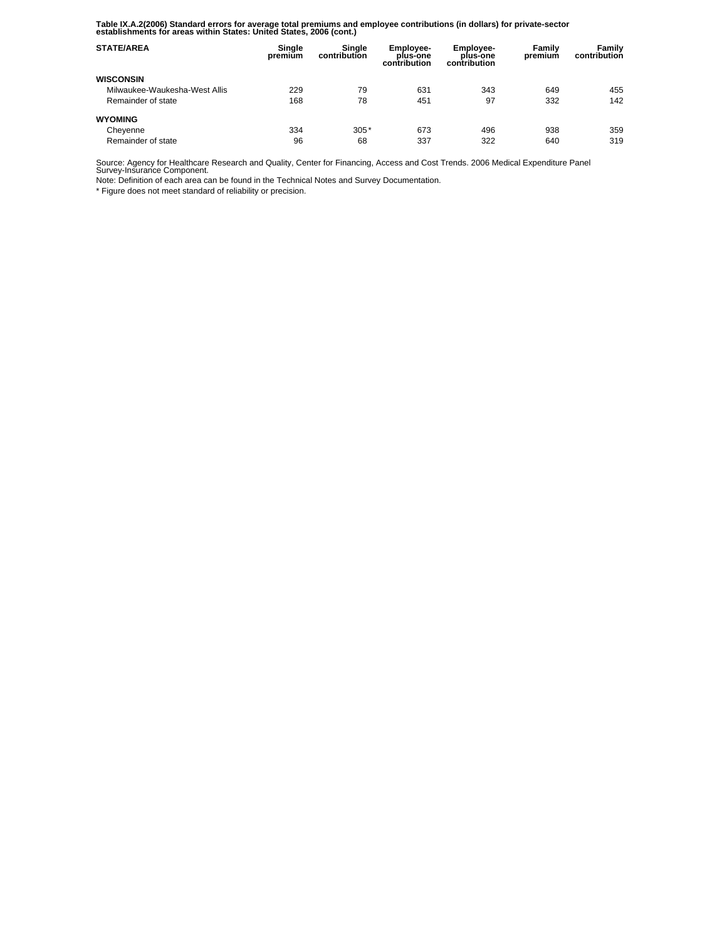**Table IX.A.2(2006) Standard errors for average total premiums and employee contributions (in dollars) for private-sector establishments for areas within States: United States, 2006 (cont.)** 

| <b>STATE/AREA</b>             | Single<br>premium | Single<br>contribution | <b>Employee-</b><br>plus-one<br>contribution | Employee-<br>plus-one<br>contribution | Family<br>premium | Family<br>contribution |
|-------------------------------|-------------------|------------------------|----------------------------------------------|---------------------------------------|-------------------|------------------------|
| <b>WISCONSIN</b>              |                   |                        |                                              |                                       |                   |                        |
| Milwaukee-Waukesha-West Allis | 229               | 79                     | 631                                          | 343                                   | 649               | 455                    |
| Remainder of state            | 168               | 78                     | 451                                          | 97                                    | 332               | 142                    |
| <b>WYOMING</b>                |                   |                        |                                              |                                       |                   |                        |
| Cheyenne                      | 334               | $305*$                 | 673                                          | 496                                   | 938               | 359                    |
| Remainder of state            | 96                | 68                     | 337                                          | 322                                   | 640               | 319                    |

Source: Agency for Healthcare Research and Quality, Center for Financing, Access and Cost Trends. 2006 Medical Expenditure Panel Survey-Insurance Component.

Note: Definition of each area can be found in the Technical Notes and Survey Documentation.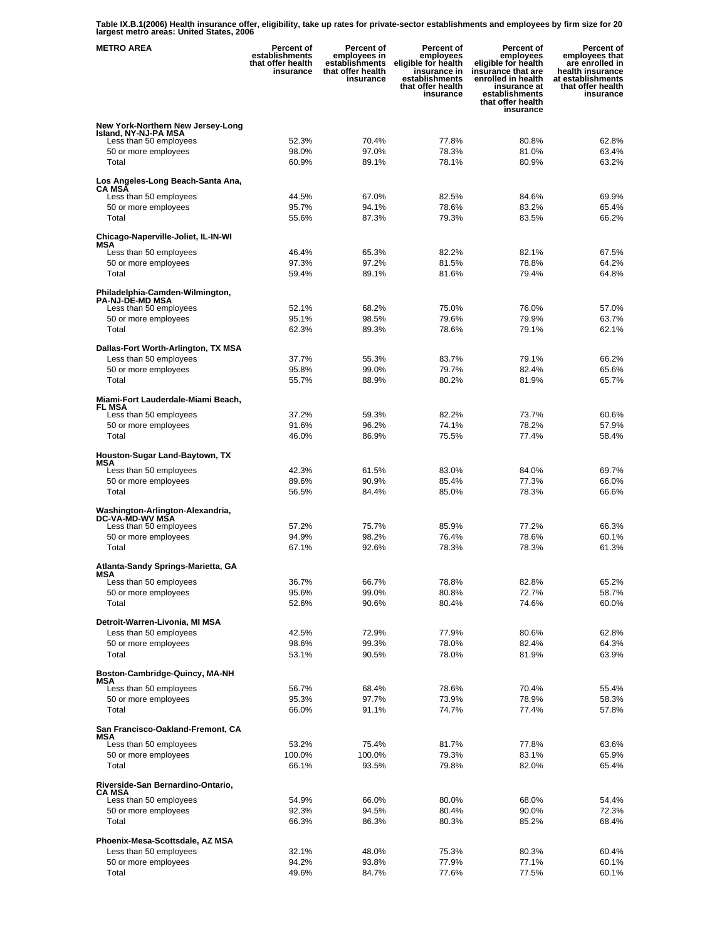**Table IX.B.1(2006) Health insurance offer, eligibility, take up rates for private-sector establishments and employees by firm size for 20 largest metro areas: United States, 2006** 

| <b>METRO AREA</b>                                                                   | Percent of<br>establishments<br>that offer health<br>insurance | Percent of<br>employees in<br>establishments<br>that offer health<br>insurance | Percent of<br>employees<br>eligible for health<br>insurance in<br>establishments<br>that offer health<br>insurance | <b>Percent of</b><br>employees<br>eligible for health<br>insurance that are<br>enrolled in health<br>insurance at<br>establishments<br>that offer health<br>insurance | Percent of<br>employees that<br>are enrolled in<br>health insurance<br>at establishments<br>that offer health<br>insurance |
|-------------------------------------------------------------------------------------|----------------------------------------------------------------|--------------------------------------------------------------------------------|--------------------------------------------------------------------------------------------------------------------|-----------------------------------------------------------------------------------------------------------------------------------------------------------------------|----------------------------------------------------------------------------------------------------------------------------|
| New York-Northern New Jersey-Long<br>Island, NY-NJ-PA MSA<br>Less than 50 employees | 52.3%                                                          | 70.4%                                                                          | 77.8%                                                                                                              | 80.8%                                                                                                                                                                 | 62.8%                                                                                                                      |
| 50 or more employees                                                                | 98.0%                                                          | 97.0%                                                                          | 78.3%                                                                                                              | 81.0%                                                                                                                                                                 | 63.4%                                                                                                                      |
| Total                                                                               | 60.9%                                                          | 89.1%                                                                          | 78.1%                                                                                                              | 80.9%                                                                                                                                                                 | 63.2%                                                                                                                      |
| Los Angeles-Long Beach-Santa Ana,<br>CA MSA                                         | 44.5%                                                          |                                                                                | 82.5%                                                                                                              | 84.6%                                                                                                                                                                 | 69.9%                                                                                                                      |
| Less than 50 employees<br>50 or more employees                                      | 95.7%                                                          | 67.0%<br>94.1%                                                                 | 78.6%                                                                                                              | 83.2%                                                                                                                                                                 | 65.4%                                                                                                                      |
| Total                                                                               | 55.6%                                                          | 87.3%                                                                          | 79.3%                                                                                                              | 83.5%                                                                                                                                                                 | 66.2%                                                                                                                      |
| Chicago-Naperville-Joliet, IL-IN-WI<br>MSA                                          |                                                                |                                                                                |                                                                                                                    |                                                                                                                                                                       |                                                                                                                            |
| Less than 50 employees                                                              | 46.4%                                                          | 65.3%                                                                          | 82.2%                                                                                                              | 82.1%                                                                                                                                                                 | 67.5%                                                                                                                      |
| 50 or more employees                                                                | 97.3%                                                          | 97.2%                                                                          | 81.5%                                                                                                              | 78.8%                                                                                                                                                                 | 64.2%                                                                                                                      |
| Total                                                                               | 59.4%                                                          | 89.1%                                                                          | 81.6%                                                                                                              | 79.4%                                                                                                                                                                 | 64.8%                                                                                                                      |
| Philadelphia-Camden-Wilmington,<br><b>PA-NJ-DE-MD MSA</b>                           |                                                                |                                                                                |                                                                                                                    |                                                                                                                                                                       |                                                                                                                            |
| Less than 50 employees                                                              | 52.1%                                                          | 68.2%                                                                          | 75.0%                                                                                                              | 76.0%                                                                                                                                                                 | 57.0%                                                                                                                      |
| 50 or more employees                                                                | 95.1%                                                          | 98.5%                                                                          | 79.6%                                                                                                              | 79.9%                                                                                                                                                                 | 63.7%                                                                                                                      |
| Total                                                                               | 62.3%                                                          | 89.3%                                                                          | 78.6%                                                                                                              | 79.1%                                                                                                                                                                 | 62.1%                                                                                                                      |
| Dallas-Fort Worth-Arlington, TX MSA<br>Less than 50 employees                       | 37.7%                                                          | 55.3%                                                                          | 83.7%                                                                                                              | 79.1%                                                                                                                                                                 | 66.2%                                                                                                                      |
| 50 or more employees                                                                | 95.8%                                                          | 99.0%                                                                          | 79.7%                                                                                                              | 82.4%                                                                                                                                                                 | 65.6%                                                                                                                      |
| Total                                                                               | 55.7%                                                          | 88.9%                                                                          | 80.2%                                                                                                              | 81.9%                                                                                                                                                                 | 65.7%                                                                                                                      |
| Miami-Fort Lauderdale-Miami Beach,<br>FL MSA                                        |                                                                |                                                                                |                                                                                                                    |                                                                                                                                                                       |                                                                                                                            |
| Less than 50 employees                                                              | 37.2%                                                          | 59.3%                                                                          | 82.2%                                                                                                              | 73.7%                                                                                                                                                                 | 60.6%                                                                                                                      |
| 50 or more employees                                                                | 91.6%                                                          | 96.2%                                                                          | 74.1%                                                                                                              | 78.2%                                                                                                                                                                 | 57.9%                                                                                                                      |
| Total                                                                               | 46.0%                                                          | 86.9%                                                                          | 75.5%                                                                                                              | 77.4%                                                                                                                                                                 | 58.4%                                                                                                                      |
| Houston-Sugar Land-Baytown, TX<br>MSA                                               |                                                                |                                                                                |                                                                                                                    |                                                                                                                                                                       |                                                                                                                            |
| Less than 50 employees                                                              | 42.3%                                                          | 61.5%                                                                          | 83.0%                                                                                                              | 84.0%                                                                                                                                                                 | 69.7%                                                                                                                      |
| 50 or more employees<br>Total                                                       | 89.6%<br>56.5%                                                 | 90.9%<br>84.4%                                                                 | 85.4%<br>85.0%                                                                                                     | 77.3%<br>78.3%                                                                                                                                                        | 66.0%<br>66.6%                                                                                                             |
| Washington-Arlington-Alexandria.<br>DC-VA-MD-WV MŠA                                 |                                                                |                                                                                |                                                                                                                    |                                                                                                                                                                       |                                                                                                                            |
| Less than 50 employees                                                              | 57.2%                                                          | 75.7%                                                                          | 85.9%                                                                                                              | 77.2%                                                                                                                                                                 | 66.3%                                                                                                                      |
| 50 or more employees                                                                | 94.9%                                                          | 98.2%                                                                          | 76.4%                                                                                                              | 78.6%                                                                                                                                                                 | 60.1%                                                                                                                      |
| Total                                                                               | 67.1%                                                          | 92.6%                                                                          | 78.3%                                                                                                              | 78.3%                                                                                                                                                                 | 61.3%                                                                                                                      |
| Atlanta-Sandy Springs-Marietta, GA<br>MSA                                           |                                                                |                                                                                |                                                                                                                    |                                                                                                                                                                       |                                                                                                                            |
| Less than 50 employees<br>50 or more employees                                      | 36.7%<br>95.6%                                                 | 66.7%<br>99.0%                                                                 | 78.8%<br>80.8%                                                                                                     | 82.8%<br>72.7%                                                                                                                                                        | 65.2%<br>58.7%                                                                                                             |
| Total                                                                               | 52.6%                                                          | 90.6%                                                                          | 80.4%                                                                                                              | 74.6%                                                                                                                                                                 | 60.0%                                                                                                                      |
| Detroit-Warren-Livonia, MI MSA                                                      |                                                                |                                                                                |                                                                                                                    |                                                                                                                                                                       |                                                                                                                            |
| Less than 50 employees                                                              | 42.5%                                                          | 72.9%                                                                          | 77.9%                                                                                                              | 80.6%                                                                                                                                                                 | 62.8%                                                                                                                      |
| 50 or more employees                                                                | 98.6%                                                          | 99.3%                                                                          | 78.0%                                                                                                              | 82.4%                                                                                                                                                                 | 64.3%                                                                                                                      |
| Total                                                                               | 53.1%                                                          | 90.5%                                                                          | 78.0%                                                                                                              | 81.9%                                                                                                                                                                 | 63.9%                                                                                                                      |
| Boston-Cambridge-Quincy, MA-NH<br>MSA                                               |                                                                |                                                                                |                                                                                                                    |                                                                                                                                                                       |                                                                                                                            |
| Less than 50 employees                                                              | 56.7%                                                          | 68.4%                                                                          | 78.6%                                                                                                              | 70.4%                                                                                                                                                                 | 55.4%                                                                                                                      |
| 50 or more employees<br>Total                                                       | 95.3%<br>66.0%                                                 | 97.7%<br>91.1%                                                                 | 73.9%<br>74.7%                                                                                                     | 78.9%<br>77.4%                                                                                                                                                        | 58.3%<br>57.8%                                                                                                             |
| San Francisco-Oakland-Fremont, CA                                                   |                                                                |                                                                                |                                                                                                                    |                                                                                                                                                                       |                                                                                                                            |
| MSA<br>Less than 50 employees                                                       | 53.2%                                                          | 75.4%                                                                          | 81.7%                                                                                                              | 77.8%                                                                                                                                                                 | 63.6%                                                                                                                      |
| 50 or more employees                                                                | 100.0%                                                         | 100.0%                                                                         | 79.3%                                                                                                              | 83.1%                                                                                                                                                                 | 65.9%                                                                                                                      |
| Total                                                                               | 66.1%                                                          | 93.5%                                                                          | 79.8%                                                                                                              | 82.0%                                                                                                                                                                 | 65.4%                                                                                                                      |
| Riverside-San Bernardino-Ontario,<br><b>CA MSA</b>                                  |                                                                |                                                                                |                                                                                                                    |                                                                                                                                                                       |                                                                                                                            |
| Less than 50 employees                                                              | 54.9%                                                          | 66.0%                                                                          | 80.0%                                                                                                              | 68.0%                                                                                                                                                                 | 54.4%                                                                                                                      |
| 50 or more employees                                                                | 92.3%                                                          | 94.5%                                                                          | 80.4%                                                                                                              | 90.0%                                                                                                                                                                 | 72.3%                                                                                                                      |
| Total                                                                               | 66.3%                                                          | 86.3%                                                                          | 80.3%                                                                                                              | 85.2%                                                                                                                                                                 | 68.4%                                                                                                                      |
| Phoenix-Mesa-Scottsdale, AZ MSA<br>Less than 50 employees                           | 32.1%                                                          | 48.0%                                                                          | 75.3%                                                                                                              | 80.3%                                                                                                                                                                 | 60.4%                                                                                                                      |
| 50 or more employees                                                                | 94.2%                                                          | 93.8%                                                                          | 77.9%                                                                                                              | 77.1%                                                                                                                                                                 | 60.1%                                                                                                                      |
| Total                                                                               | 49.6%                                                          | 84.7%                                                                          | 77.6%                                                                                                              | 77.5%                                                                                                                                                                 | 60.1%                                                                                                                      |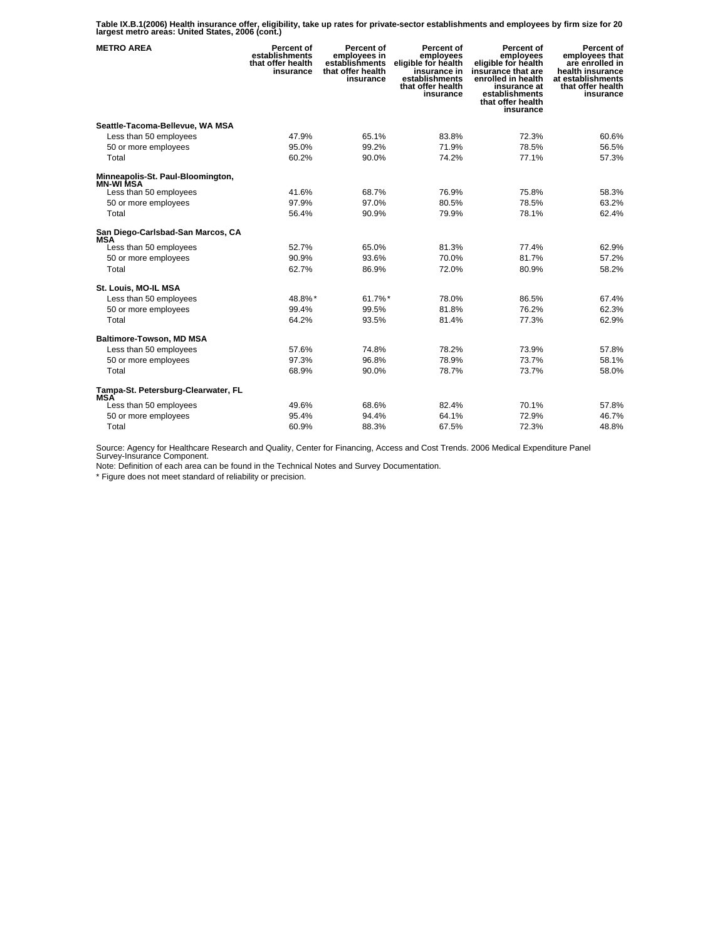**Table IX.B.1(2006) Health insurance offer, eligibility, take up rates for private-sector establishments and employees by firm size for 20 largest metro areas: United States, 2006 (cont.)** 

| <b>METRO AREA</b>                                     | Percent of<br>establishments<br>that offer health<br>insurance | Percent of<br>employees in<br>establishments<br>that offer health<br>insurance | Percent of<br>employees<br>eligible for health<br>insurance in<br>establishments<br>that offer health<br>insurance | Percent of<br>employees<br>eligible for health<br>insūrance that are<br>enrolled in health<br>insurance at<br>establishments<br>that offer health<br>insurance | Percent of<br>employees that<br>are enrolled in<br>health insurance<br>at establishments<br>that offer health<br>insurance |
|-------------------------------------------------------|----------------------------------------------------------------|--------------------------------------------------------------------------------|--------------------------------------------------------------------------------------------------------------------|----------------------------------------------------------------------------------------------------------------------------------------------------------------|----------------------------------------------------------------------------------------------------------------------------|
| Seattle-Tacoma-Bellevue, WA MSA                       |                                                                |                                                                                |                                                                                                                    |                                                                                                                                                                |                                                                                                                            |
| Less than 50 employees                                | 47.9%                                                          | 65.1%                                                                          | 83.8%                                                                                                              | 72.3%                                                                                                                                                          | 60.6%                                                                                                                      |
| 50 or more employees                                  | 95.0%                                                          | 99.2%                                                                          | 71.9%                                                                                                              | 78.5%                                                                                                                                                          | 56.5%                                                                                                                      |
| Total                                                 | 60.2%                                                          | 90.0%                                                                          | 74.2%                                                                                                              | 77.1%                                                                                                                                                          | 57.3%                                                                                                                      |
| Minneapolis-St. Paul-Bloomington,<br><b>MN-WI MSA</b> |                                                                |                                                                                |                                                                                                                    |                                                                                                                                                                |                                                                                                                            |
| Less than 50 employees                                | 41.6%                                                          | 68.7%                                                                          | 76.9%                                                                                                              | 75.8%                                                                                                                                                          | 58.3%                                                                                                                      |
| 50 or more employees                                  | 97.9%                                                          | 97.0%                                                                          | 80.5%                                                                                                              | 78.5%                                                                                                                                                          | 63.2%                                                                                                                      |
| Total                                                 | 56.4%                                                          | 90.9%                                                                          | 79.9%                                                                                                              | 78.1%                                                                                                                                                          | 62.4%                                                                                                                      |
| San Diego-Carlsbad-San Marcos, CA<br><b>MSA</b>       |                                                                |                                                                                |                                                                                                                    |                                                                                                                                                                |                                                                                                                            |
| Less than 50 employees                                | 52.7%                                                          | 65.0%                                                                          | 81.3%                                                                                                              | 77.4%                                                                                                                                                          | 62.9%                                                                                                                      |
| 50 or more employees                                  | 90.9%                                                          | 93.6%                                                                          | 70.0%                                                                                                              | 81.7%                                                                                                                                                          | 57.2%                                                                                                                      |
| Total                                                 | 62.7%                                                          | 86.9%                                                                          | 72.0%                                                                                                              | 80.9%                                                                                                                                                          | 58.2%                                                                                                                      |
| St. Louis, MO-IL MSA                                  |                                                                |                                                                                |                                                                                                                    |                                                                                                                                                                |                                                                                                                            |
| Less than 50 employees                                | 48.8%*                                                         | 61.7%*                                                                         | 78.0%                                                                                                              | 86.5%                                                                                                                                                          | 67.4%                                                                                                                      |
| 50 or more employees                                  | 99.4%                                                          | 99.5%                                                                          | 81.8%                                                                                                              | 76.2%                                                                                                                                                          | 62.3%                                                                                                                      |
| Total                                                 | 64.2%                                                          | 93.5%                                                                          | 81.4%                                                                                                              | 77.3%                                                                                                                                                          | 62.9%                                                                                                                      |
| <b>Baltimore-Towson, MD MSA</b>                       |                                                                |                                                                                |                                                                                                                    |                                                                                                                                                                |                                                                                                                            |
| Less than 50 employees                                | 57.6%                                                          | 74.8%                                                                          | 78.2%                                                                                                              | 73.9%                                                                                                                                                          | 57.8%                                                                                                                      |
| 50 or more employees                                  | 97.3%                                                          | 96.8%                                                                          | 78.9%                                                                                                              | 73.7%                                                                                                                                                          | 58.1%                                                                                                                      |
| Total                                                 | 68.9%                                                          | 90.0%                                                                          | 78.7%                                                                                                              | 73.7%                                                                                                                                                          | 58.0%                                                                                                                      |
| Tampa-St. Petersburg-Clearwater, FL<br><b>MSA</b>     |                                                                |                                                                                |                                                                                                                    |                                                                                                                                                                |                                                                                                                            |
| Less than 50 employees                                | 49.6%                                                          | 68.6%                                                                          | 82.4%                                                                                                              | 70.1%                                                                                                                                                          | 57.8%                                                                                                                      |
| 50 or more employees                                  | 95.4%                                                          | 94.4%                                                                          | 64.1%                                                                                                              | 72.9%                                                                                                                                                          | 46.7%                                                                                                                      |
| Total                                                 | 60.9%                                                          | 88.3%                                                                          | 67.5%                                                                                                              | 72.3%                                                                                                                                                          | 48.8%                                                                                                                      |

Source: Agency for Healthcare Research and Quality, Center for Financing, Access and Cost Trends. 2006 Medical Expenditure Panel Survey-Insurance Component.

Note: Definition of each area can be found in the Technical Notes and Survey Documentation.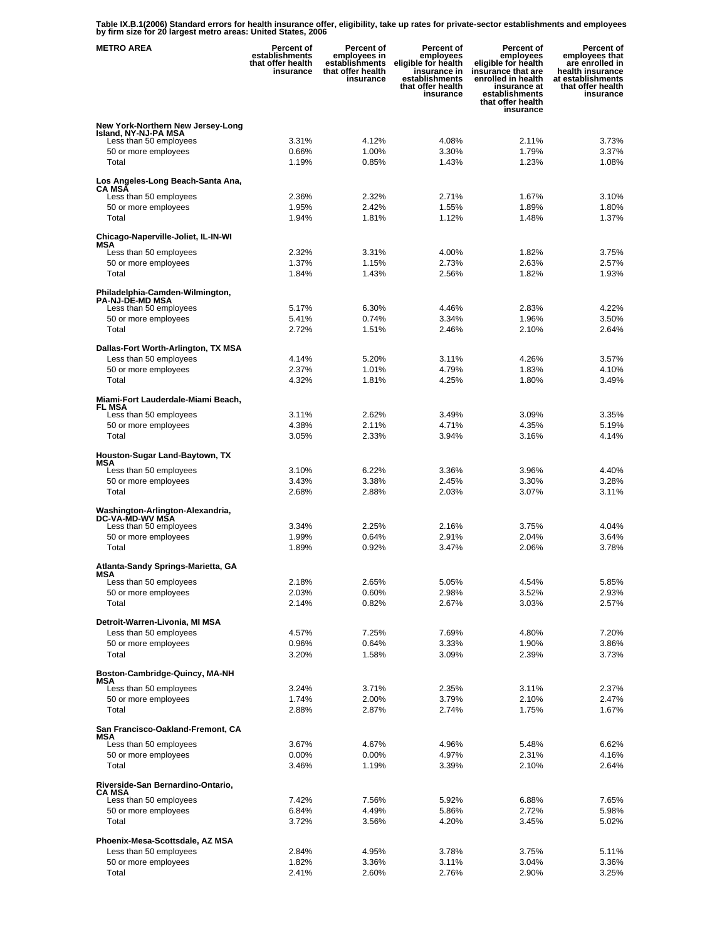**Table IX.B.1(2006) Standard errors for health insurance offer, eligibility, take up rates for private-sector establishments and employees by firm size for 20 largest metro areas: United States, 2006** 

| <b>METRO AREA</b>                                                                   | Percent of<br>establishments<br>that offer health<br>insurance | Percent of<br>employees in<br>establishments<br>that offer health<br>insurance | Percent of<br>employees<br>eligible for health<br>insurance in<br>establishments<br>that offer health<br>insurance | <b>Percent of</b><br>employees<br>eligible for health<br>insurance that are<br>enrolled in health<br>insurance at<br>establishments<br>that offer health<br>insurance | Percent of<br>employees that<br>are enrolled in<br>health insurance<br>at establishments<br>that offer health<br>insurance |
|-------------------------------------------------------------------------------------|----------------------------------------------------------------|--------------------------------------------------------------------------------|--------------------------------------------------------------------------------------------------------------------|-----------------------------------------------------------------------------------------------------------------------------------------------------------------------|----------------------------------------------------------------------------------------------------------------------------|
| New York-Northern New Jersey-Long<br>Island, NY-NJ-PA MSA<br>Less than 50 employees | 3.31%                                                          | 4.12%                                                                          | 4.08%                                                                                                              | 2.11%                                                                                                                                                                 | 3.73%                                                                                                                      |
| 50 or more employees<br>Total                                                       | 0.66%<br>1.19%                                                 | 1.00%<br>0.85%                                                                 | 3.30%<br>1.43%                                                                                                     | 1.79%<br>1.23%                                                                                                                                                        | 3.37%<br>1.08%                                                                                                             |
| Los Angeles-Long Beach-Santa Ana,<br>CA MSA<br>Less than 50 employees               | 2.36%                                                          | 2.32%                                                                          | 2.71%                                                                                                              | 1.67%                                                                                                                                                                 | 3.10%                                                                                                                      |
| 50 or more employees                                                                | 1.95%                                                          | 2.42%                                                                          | 1.55%                                                                                                              | 1.89%                                                                                                                                                                 | 1.80%                                                                                                                      |
| Total                                                                               | 1.94%                                                          | 1.81%                                                                          | 1.12%                                                                                                              | 1.48%                                                                                                                                                                 | 1.37%                                                                                                                      |
| Chicago-Naperville-Joliet, IL-IN-WI<br>MSA                                          |                                                                |                                                                                |                                                                                                                    |                                                                                                                                                                       |                                                                                                                            |
| Less than 50 employees                                                              | 2.32%                                                          | 3.31%                                                                          | 4.00%                                                                                                              | 1.82%                                                                                                                                                                 | 3.75%                                                                                                                      |
| 50 or more employees                                                                | 1.37%                                                          | 1.15%                                                                          | 2.73%                                                                                                              | 2.63%                                                                                                                                                                 | 2.57%                                                                                                                      |
| Total                                                                               | 1.84%                                                          | 1.43%                                                                          | 2.56%                                                                                                              | 1.82%                                                                                                                                                                 | 1.93%                                                                                                                      |
| Philadelphia-Camden-Wilmington,<br><b>PA-NJ-DE-MD MSA</b>                           |                                                                |                                                                                |                                                                                                                    |                                                                                                                                                                       |                                                                                                                            |
| Less than 50 employees                                                              | 5.17%                                                          | 6.30%                                                                          | 4.46%                                                                                                              | 2.83%                                                                                                                                                                 | 4.22%                                                                                                                      |
| 50 or more employees                                                                | 5.41%                                                          | 0.74%                                                                          | 3.34%                                                                                                              | 1.96%                                                                                                                                                                 | 3.50%                                                                                                                      |
| Total                                                                               | 2.72%                                                          | 1.51%                                                                          | 2.46%                                                                                                              | 2.10%                                                                                                                                                                 | 2.64%                                                                                                                      |
| Dallas-Fort Worth-Arlington, TX MSA                                                 |                                                                | 5.20%                                                                          | 3.11%                                                                                                              |                                                                                                                                                                       | 3.57%                                                                                                                      |
| Less than 50 employees<br>50 or more employees                                      | 4.14%<br>2.37%                                                 | 1.01%                                                                          | 4.79%                                                                                                              | 4.26%<br>1.83%                                                                                                                                                        | 4.10%                                                                                                                      |
| Total                                                                               | 4.32%                                                          | 1.81%                                                                          | 4.25%                                                                                                              | 1.80%                                                                                                                                                                 | 3.49%                                                                                                                      |
| Miami-Fort Lauderdale-Miami Beach,                                                  |                                                                |                                                                                |                                                                                                                    |                                                                                                                                                                       |                                                                                                                            |
| FL MSA<br>Less than 50 employees                                                    | 3.11%                                                          | 2.62%                                                                          | 3.49%                                                                                                              | 3.09%                                                                                                                                                                 | 3.35%                                                                                                                      |
| 50 or more employees                                                                | 4.38%                                                          | 2.11%                                                                          | 4.71%                                                                                                              | 4.35%                                                                                                                                                                 | 5.19%                                                                                                                      |
| Total                                                                               | 3.05%                                                          | 2.33%                                                                          | 3.94%                                                                                                              | 3.16%                                                                                                                                                                 | 4.14%                                                                                                                      |
| Houston-Sugar Land-Baytown, TX                                                      |                                                                |                                                                                |                                                                                                                    |                                                                                                                                                                       |                                                                                                                            |
| MSA<br>Less than 50 employees                                                       | 3.10%                                                          | 6.22%                                                                          | 3.36%                                                                                                              | 3.96%                                                                                                                                                                 | 4.40%                                                                                                                      |
| 50 or more employees                                                                | 3.43%                                                          | 3.38%                                                                          | 2.45%                                                                                                              | 3.30%                                                                                                                                                                 | 3.28%                                                                                                                      |
| Total                                                                               | 2.68%                                                          | 2.88%                                                                          | 2.03%                                                                                                              | 3.07%                                                                                                                                                                 | 3.11%                                                                                                                      |
| Washington-Arlington-Alexandria,<br>DC-VA-MD-WV MŠA                                 |                                                                |                                                                                |                                                                                                                    |                                                                                                                                                                       |                                                                                                                            |
| Less than 50 employees                                                              | 3.34%                                                          | 2.25%                                                                          | 2.16%                                                                                                              | 3.75%                                                                                                                                                                 | 4.04%                                                                                                                      |
| 50 or more employees<br>Total                                                       | 1.99%<br>1.89%                                                 | 0.64%<br>0.92%                                                                 | 2.91%<br>3.47%                                                                                                     | 2.04%<br>2.06%                                                                                                                                                        | 3.64%<br>3.78%                                                                                                             |
| Atlanta-Sandy Springs-Marietta, GA                                                  |                                                                |                                                                                |                                                                                                                    |                                                                                                                                                                       |                                                                                                                            |
| MSA<br>Less than 50 employees                                                       | 2.18%                                                          | 2.65%                                                                          | 5.05%                                                                                                              | 4.54%                                                                                                                                                                 | 5.85%                                                                                                                      |
| 50 or more employees                                                                | 2.03%                                                          | 0.60%                                                                          | 2.98%                                                                                                              | 3.52%                                                                                                                                                                 | 2.93%                                                                                                                      |
| Total                                                                               | 2.14%                                                          | 0.82%                                                                          | 2.67%                                                                                                              | 3.03%                                                                                                                                                                 | 2.57%                                                                                                                      |
| Detroit-Warren-Livonia, MI MSA                                                      |                                                                |                                                                                |                                                                                                                    |                                                                                                                                                                       |                                                                                                                            |
| Less than 50 employees                                                              | 4.57%                                                          | 7.25%                                                                          | 7.69%                                                                                                              | 4.80%<br>1.90%                                                                                                                                                        | 7.20%                                                                                                                      |
| 50 or more employees<br>Total                                                       | 0.96%<br>3.20%                                                 | 0.64%<br>1.58%                                                                 | 3.33%<br>3.09%                                                                                                     | 2.39%                                                                                                                                                                 | 3.86%<br>3.73%                                                                                                             |
| Boston-Cambridge-Quincy, MA-NH                                                      |                                                                |                                                                                |                                                                                                                    |                                                                                                                                                                       |                                                                                                                            |
| MSA<br>Less than 50 employees                                                       | 3.24%                                                          | 3.71%                                                                          | 2.35%                                                                                                              | 3.11%                                                                                                                                                                 | 2.37%                                                                                                                      |
| 50 or more employees                                                                | 1.74%                                                          | 2.00%                                                                          | 3.79%                                                                                                              | 2.10%                                                                                                                                                                 | 2.47%                                                                                                                      |
| Total                                                                               | 2.88%                                                          | 2.87%                                                                          | 2.74%                                                                                                              | 1.75%                                                                                                                                                                 | 1.67%                                                                                                                      |
| San Francisco-Oakland-Fremont, CA<br>MSA                                            |                                                                |                                                                                |                                                                                                                    |                                                                                                                                                                       |                                                                                                                            |
| Less than 50 employees                                                              | 3.67%                                                          | 4.67%                                                                          | 4.96%                                                                                                              | 5.48%                                                                                                                                                                 | 6.62%                                                                                                                      |
| 50 or more employees                                                                | 0.00%                                                          | $0.00\%$                                                                       | 4.97%                                                                                                              | 2.31%                                                                                                                                                                 | 4.16%                                                                                                                      |
| Total                                                                               | 3.46%                                                          | 1.19%                                                                          | 3.39%                                                                                                              | 2.10%                                                                                                                                                                 | 2.64%                                                                                                                      |
| Riverside-San Bernardino-Ontario,<br><b>CA MSA</b>                                  |                                                                |                                                                                |                                                                                                                    |                                                                                                                                                                       |                                                                                                                            |
| Less than 50 employees                                                              | 7.42%                                                          | 7.56%                                                                          | 5.92%                                                                                                              | 6.88%                                                                                                                                                                 | 7.65%                                                                                                                      |
| 50 or more employees<br>Total                                                       | 6.84%<br>3.72%                                                 | 4.49%<br>3.56%                                                                 | 5.86%<br>4.20%                                                                                                     | 2.72%<br>3.45%                                                                                                                                                        | 5.98%<br>5.02%                                                                                                             |
|                                                                                     |                                                                |                                                                                |                                                                                                                    |                                                                                                                                                                       |                                                                                                                            |
| Phoenix-Mesa-Scottsdale, AZ MSA<br>Less than 50 employees                           | 2.84%                                                          | 4.95%                                                                          | 3.78%                                                                                                              | 3.75%                                                                                                                                                                 | 5.11%                                                                                                                      |
| 50 or more employees                                                                | 1.82%                                                          | 3.36%                                                                          | 3.11%                                                                                                              | 3.04%                                                                                                                                                                 | 3.36%                                                                                                                      |
| Total                                                                               | 2.41%                                                          | 2.60%                                                                          | 2.76%                                                                                                              | 2.90%                                                                                                                                                                 | 3.25%                                                                                                                      |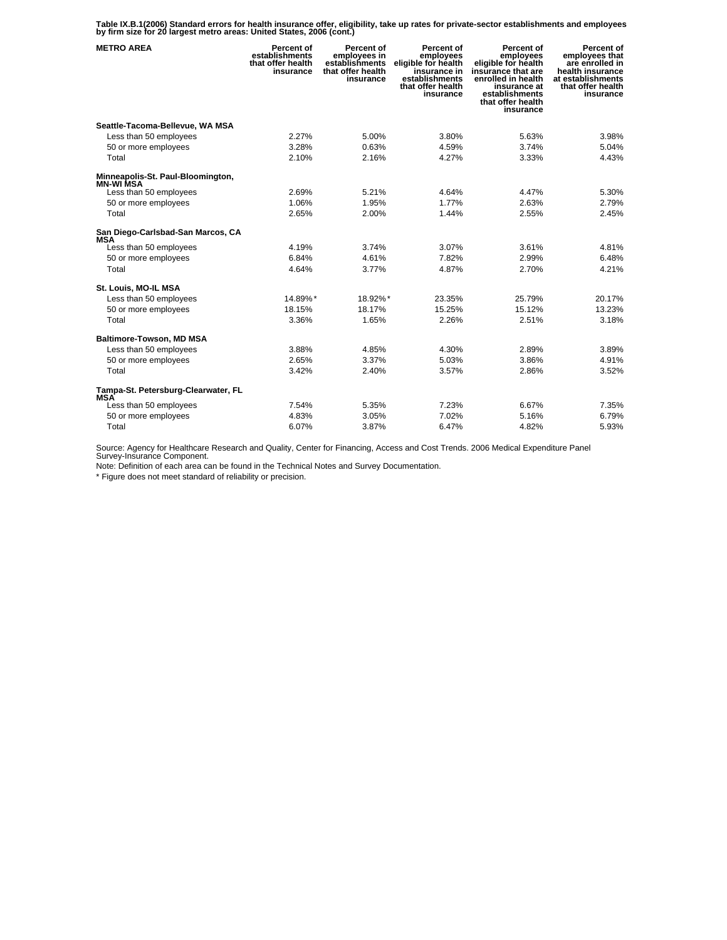**Table IX.B.1(2006) Standard errors for health insurance offer, eligibility, take up rates for private-sector establishments and employees by firm size for 20 largest metro areas: United States, 2006 (cont.)** 

| <b>METRO AREA</b>                                     | Percent of<br>establishments<br>that offer health<br>insurance | Percent of<br>employees in<br>establishments<br>that offer health<br>insurance | Percent of<br>employees<br>eligible for health<br>insurance in<br>establishments<br>that offer health<br>insurance | Percent of<br>employees<br>eligible for health<br>insūrance that are<br>enrolled in health<br>insurance at<br>establishments<br>that offer health<br>insurance | Percent of<br>employees that<br>are enrolled in<br>health insurance<br>at establishments<br>that offer health<br>insurance |
|-------------------------------------------------------|----------------------------------------------------------------|--------------------------------------------------------------------------------|--------------------------------------------------------------------------------------------------------------------|----------------------------------------------------------------------------------------------------------------------------------------------------------------|----------------------------------------------------------------------------------------------------------------------------|
| Seattle-Tacoma-Bellevue, WA MSA                       |                                                                |                                                                                |                                                                                                                    |                                                                                                                                                                |                                                                                                                            |
| Less than 50 employees                                | 2.27%                                                          | 5.00%                                                                          | 3.80%                                                                                                              | 5.63%                                                                                                                                                          | 3.98%                                                                                                                      |
| 50 or more employees                                  | 3.28%                                                          | 0.63%                                                                          | 4.59%                                                                                                              | 3.74%                                                                                                                                                          | 5.04%                                                                                                                      |
| Total                                                 | 2.10%                                                          | 2.16%                                                                          | 4.27%                                                                                                              | 3.33%                                                                                                                                                          | 4.43%                                                                                                                      |
| Minneapolis-St. Paul-Bloomington,<br><b>MN-WI MSA</b> |                                                                |                                                                                |                                                                                                                    |                                                                                                                                                                |                                                                                                                            |
| Less than 50 employees                                | 2.69%                                                          | 5.21%                                                                          | 4.64%                                                                                                              | 4.47%                                                                                                                                                          | 5.30%                                                                                                                      |
| 50 or more employees                                  | 1.06%                                                          | 1.95%                                                                          | 1.77%                                                                                                              | 2.63%                                                                                                                                                          | 2.79%                                                                                                                      |
| Total                                                 | 2.65%                                                          | 2.00%                                                                          | 1.44%                                                                                                              | 2.55%                                                                                                                                                          | 2.45%                                                                                                                      |
| San Diego-Carlsbad-San Marcos, CA<br><b>MSA</b>       |                                                                |                                                                                |                                                                                                                    |                                                                                                                                                                |                                                                                                                            |
| Less than 50 employees                                | 4.19%                                                          | 3.74%                                                                          | 3.07%                                                                                                              | 3.61%                                                                                                                                                          | 4.81%                                                                                                                      |
| 50 or more employees                                  | 6.84%                                                          | 4.61%                                                                          | 7.82%                                                                                                              | 2.99%                                                                                                                                                          | 6.48%                                                                                                                      |
| Total                                                 | 4.64%                                                          | 3.77%                                                                          | 4.87%                                                                                                              | 2.70%                                                                                                                                                          | 4.21%                                                                                                                      |
| St. Louis, MO-IL MSA                                  |                                                                |                                                                                |                                                                                                                    |                                                                                                                                                                |                                                                                                                            |
| Less than 50 employees                                | 14.89%*                                                        | 18.92%*                                                                        | 23.35%                                                                                                             | 25.79%                                                                                                                                                         | 20.17%                                                                                                                     |
| 50 or more employees                                  | 18.15%                                                         | 18.17%                                                                         | 15.25%                                                                                                             | 15.12%                                                                                                                                                         | 13.23%                                                                                                                     |
| Total                                                 | 3.36%                                                          | 1.65%                                                                          | 2.26%                                                                                                              | 2.51%                                                                                                                                                          | 3.18%                                                                                                                      |
| <b>Baltimore-Towson, MD MSA</b>                       |                                                                |                                                                                |                                                                                                                    |                                                                                                                                                                |                                                                                                                            |
| Less than 50 employees                                | 3.88%                                                          | 4.85%                                                                          | 4.30%                                                                                                              | 2.89%                                                                                                                                                          | 3.89%                                                                                                                      |
| 50 or more employees                                  | 2.65%                                                          | 3.37%                                                                          | 5.03%                                                                                                              | 3.86%                                                                                                                                                          | 4.91%                                                                                                                      |
| Total                                                 | 3.42%                                                          | 2.40%                                                                          | 3.57%                                                                                                              | 2.86%                                                                                                                                                          | 3.52%                                                                                                                      |
| Tampa-St. Petersburg-Clearwater, FL<br><b>MSA</b>     |                                                                |                                                                                |                                                                                                                    |                                                                                                                                                                |                                                                                                                            |
| Less than 50 employees                                | 7.54%                                                          | 5.35%                                                                          | 7.23%                                                                                                              | 6.67%                                                                                                                                                          | 7.35%                                                                                                                      |
| 50 or more employees                                  | 4.83%                                                          | 3.05%                                                                          | 7.02%                                                                                                              | 5.16%                                                                                                                                                          | 6.79%                                                                                                                      |
| Total                                                 | 6.07%                                                          | 3.87%                                                                          | 6.47%                                                                                                              | 4.82%                                                                                                                                                          | 5.93%                                                                                                                      |

Source: Agency for Healthcare Research and Quality, Center for Financing, Access and Cost Trends. 2006 Medical Expenditure Panel Survey-Insurance Component.

Note: Definition of each area can be found in the Technical Notes and Survey Documentation.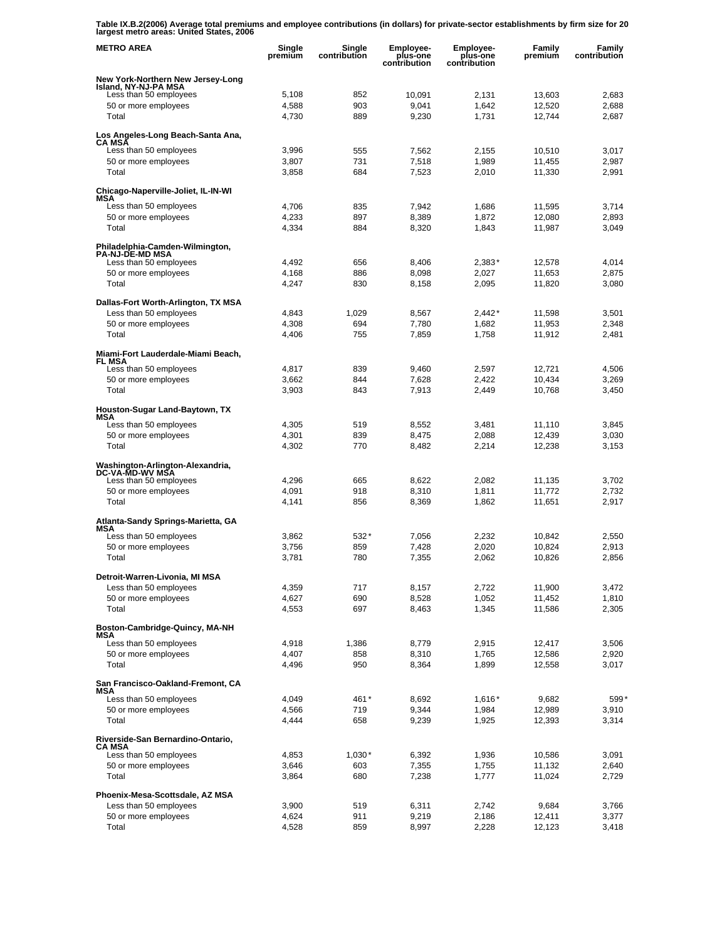**Table IX.B.2(2006) Average total premiums and employee contributions (in dollars) for private-sector establishments by firm size for 20 largest metro areas: United States, 2006** 

| <b>METRO AREA</b>                                         | Single<br>premium | Single<br>contribution | <b>Employee-</b><br>plus-one<br>contribution | Employee-<br>plus-one<br>contribution | Family<br>premium | Family<br>contribution |
|-----------------------------------------------------------|-------------------|------------------------|----------------------------------------------|---------------------------------------|-------------------|------------------------|
| New York-Northern New Jersey-Long<br>Island, NY-NJ-PA MSA |                   |                        |                                              |                                       |                   |                        |
| Less than 50 employees                                    | 5,108             | 852                    | 10,091                                       | 2,131                                 | 13,603            | 2,683                  |
| 50 or more employees                                      | 4,588             | 903                    | 9,041                                        | 1.642                                 | 12,520            | 2,688                  |
| Total                                                     | 4,730             | 889                    | 9,230                                        | 1,731                                 | 12,744            | 2,687                  |
| Los Angeles-Long Beach-Santa Ana,<br>CA MSĀ               |                   |                        |                                              |                                       |                   |                        |
| Less than 50 employees                                    | 3,996             | 555                    | 7,562                                        | 2,155                                 | 10,510            | 3,017                  |
| 50 or more employees                                      | 3,807             | 731<br>684             | 7,518                                        | 1,989                                 | 11,455            | 2,987                  |
| Total                                                     | 3,858             |                        | 7,523                                        | 2,010                                 | 11,330            | 2,991                  |
| Chicago-Naperville-Joliet, IL-IN-WI<br>MSA                |                   |                        |                                              |                                       |                   |                        |
| Less than 50 employees                                    | 4,706             | 835                    | 7,942                                        | 1,686                                 | 11,595            | 3,714                  |
| 50 or more employees                                      | 4,233             | 897                    | 8,389                                        | 1,872                                 | 12,080            | 2,893                  |
| Total                                                     | 4,334             | 884                    | 8,320                                        | 1,843                                 | 11,987            | 3,049                  |
| Philadelphia-Camden-Wilmington,<br><b>PA-NJ-DE-MD MSA</b> |                   |                        |                                              |                                       |                   |                        |
| Less than 50 employees                                    | 4,492             | 656                    | 8,406                                        | $2,383*$                              | 12,578            | 4,014                  |
| 50 or more employees                                      | 4,168             | 886                    | 8,098                                        | 2,027                                 | 11,653            | 2,875                  |
| Total                                                     | 4,247             | 830                    | 8,158                                        | 2,095                                 | 11,820            | 3,080                  |
| Dallas-Fort Worth-Arlington, TX MSA                       |                   |                        |                                              |                                       |                   |                        |
| Less than 50 employees                                    | 4,843             | 1,029                  | 8,567                                        | $2,442*$                              | 11,598            | 3,501                  |
| 50 or more employees                                      | 4,308             | 694                    | 7,780                                        | 1,682                                 | 11,953            | 2,348                  |
| Total                                                     | 4,406             | 755                    | 7,859                                        | 1,758                                 | 11,912            | 2,481                  |
| Miami-Fort Lauderdale-Miami Beach,<br>FL MSA              |                   |                        |                                              |                                       |                   |                        |
| Less than 50 employees                                    | 4,817             | 839                    | 9.460                                        | 2,597                                 | 12,721            | 4,506                  |
| 50 or more employees                                      | 3,662             | 844                    | 7.628                                        | 2.422                                 | 10,434            | 3,269                  |
| Total                                                     | 3,903             | 843                    | 7,913                                        | 2,449                                 | 10,768            | 3,450                  |
| Houston-Sugar Land-Baytown, TX<br>MSA                     |                   |                        |                                              |                                       |                   |                        |
| Less than 50 employees                                    | 4,305             | 519                    | 8,552                                        | 3,481                                 | 11,110            | 3,845                  |
| 50 or more employees                                      | 4,301             | 839                    | 8,475                                        | 2,088                                 | 12,439            | 3,030                  |
| Total                                                     | 4,302             | 770                    | 8,482                                        | 2,214                                 | 12,238            | 3,153                  |
| Washington-Arlington-Alexandria,<br>DC-VA-MD-WV MSA       |                   |                        |                                              |                                       |                   |                        |
| Less than 50 employees                                    | 4,296             | 665                    | 8,622                                        | 2,082                                 | 11,135            | 3,702                  |
| 50 or more employees                                      | 4,091             | 918                    | 8,310                                        | 1,811                                 | 11,772            | 2,732                  |
| Total                                                     | 4,141             | 856                    | 8,369                                        | 1,862                                 | 11,651            | 2,917                  |
| Atlanta-Sandy Springs-Marietta, GA<br>MSA                 |                   |                        |                                              |                                       |                   |                        |
| Less than 50 employees                                    | 3,862             | 532*                   | 7,056                                        | 2,232                                 | 10,842            | 2,550                  |
| 50 or more employees                                      | 3.756             | 859                    | 7,428                                        | 2,020                                 | 10,824            | 2,913                  |
| Total                                                     | 3,781             | 780                    | 7,355                                        | 2,062                                 | 10,826            | 2,856                  |
| Detroit-Warren-Livonia, MI MSA                            |                   |                        |                                              |                                       |                   |                        |
| Less than 50 employees                                    | 4,359             | 717                    | 8,157                                        | 2,722                                 | 11,900            | 3,472                  |
| 50 or more employees                                      | 4,627             | 690                    | 8,528                                        | 1,052                                 | 11,452            | 1,810                  |
| Total                                                     | 4,553             | 697                    | 8,463                                        | 1,345                                 | 11,586            | 2,305                  |
| Boston-Cambridge-Quincy, MA-NH<br>MSA                     |                   |                        |                                              |                                       |                   |                        |
| Less than 50 employees                                    | 4,918             | 1,386                  | 8,779                                        | 2,915                                 | 12,417            | 3,506                  |
| 50 or more employees                                      | 4,407             | 858                    | 8,310                                        | 1,765                                 | 12,586            | 2,920                  |
| Total                                                     | 4,496             | 950                    | 8,364                                        | 1,899                                 | 12,558            | 3,017                  |
| San Francisco-Oakland-Fremont, CA<br>MSA                  |                   |                        |                                              |                                       |                   |                        |
| Less than 50 employees                                    | 4,049             | 461*                   | 8,692                                        | $1,616*$                              | 9,682             | 599*                   |
| 50 or more employees                                      | 4,566             | 719                    | 9,344                                        | 1,984                                 | 12,989            | 3,910                  |
| Total                                                     | 4,444             | 658                    | 9,239                                        | 1,925                                 | 12,393            | 3,314                  |
| Riverside-San Bernardino-Ontario,<br><b>CA MSA</b>        |                   |                        |                                              |                                       |                   |                        |
| Less than 50 employees                                    | 4,853             | $1,030*$               | 6,392                                        | 1,936                                 | 10,586            | 3,091                  |
| 50 or more employees                                      | 3,646             | 603                    | 7,355                                        | 1,755                                 | 11,132            | 2,640                  |
| Total                                                     | 3,864             | 680                    | 7,238                                        | 1,777                                 | 11,024            | 2,729                  |
| Phoenix-Mesa-Scottsdale, AZ MSA                           |                   |                        |                                              |                                       |                   |                        |
| Less than 50 employees                                    | 3,900             | 519                    | 6,311                                        | 2,742                                 | 9,684             | 3,766                  |
| 50 or more employees                                      | 4,624             | 911                    | 9,219                                        | 2,186                                 | 12,411            | 3,377                  |
| Total                                                     | 4,528             | 859                    | 8,997                                        | 2,228                                 | 12,123            | 3,418                  |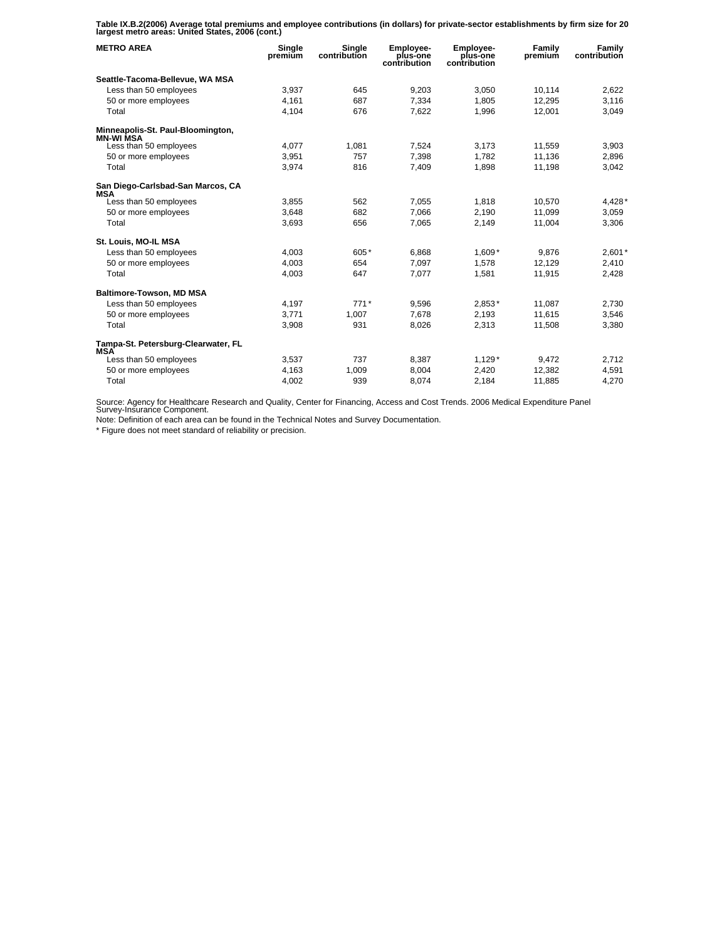**Table IX.B.2(2006) Average total premiums and employee contributions (in dollars) for private-sector establishments by firm size for 20 largest metro areas: United States, 2006 (cont.)** 

| <b>METRO AREA</b>                                 | Single<br>premium | Single<br>contribution | <b>Employee-</b><br>plus-one<br>contribution | Employee-<br>plus-one<br>contribution | Family<br>premium | Family<br>contribution |
|---------------------------------------------------|-------------------|------------------------|----------------------------------------------|---------------------------------------|-------------------|------------------------|
| Seattle-Tacoma-Bellevue, WA MSA                   |                   |                        |                                              |                                       |                   |                        |
| Less than 50 employees                            | 3,937             | 645                    | 9,203                                        | 3,050                                 | 10,114            | 2,622                  |
| 50 or more employees                              | 4.161             | 687                    | 7,334                                        | 1.805                                 | 12,295            | 3,116                  |
| Total                                             | 4,104             | 676                    | 7.622                                        | 1,996                                 | 12,001            | 3,049                  |
| Minneapolis-St. Paul-Bloomington,<br>MN-WI MSA    |                   |                        |                                              |                                       |                   |                        |
| Less than 50 employees                            | 4,077             | 1,081                  | 7,524                                        | 3,173                                 | 11,559            | 3,903                  |
| 50 or more employees                              | 3,951             | 757                    | 7,398                                        | 1,782                                 | 11,136            | 2,896                  |
| Total                                             | 3,974             | 816                    | 7,409                                        | 1,898                                 | 11,198            | 3,042                  |
| San Diego-Carlsbad-San Marcos, CA<br><b>MSA</b>   |                   |                        |                                              |                                       |                   |                        |
| Less than 50 employees                            | 3,855             | 562                    | 7,055                                        | 1,818                                 | 10,570            | 4,428*                 |
| 50 or more employees                              | 3,648             | 682                    | 7,066                                        | 2,190                                 | 11,099            | 3,059                  |
| Total                                             | 3,693             | 656                    | 7,065                                        | 2,149                                 | 11,004            | 3,306                  |
| St. Louis, MO-IL MSA                              |                   |                        |                                              |                                       |                   |                        |
| Less than 50 employees                            | 4.003             | 605*                   | 6.868                                        | $1.609*$                              | 9.876             | $2,601*$               |
| 50 or more employees                              | 4.003             | 654                    | 7.097                                        | 1,578                                 | 12.129            | 2,410                  |
| Total                                             | 4,003             | 647                    | 7,077                                        | 1,581                                 | 11,915            | 2,428                  |
| <b>Baltimore-Towson, MD MSA</b>                   |                   |                        |                                              |                                       |                   |                        |
| Less than 50 employees                            | 4,197             | $771*$                 | 9,596                                        | 2,853*                                | 11.087            | 2.730                  |
| 50 or more employees                              | 3.771             | 1.007                  | 7.678                                        | 2.193                                 | 11.615            | 3,546                  |
| Total                                             | 3,908             | 931                    | 8,026                                        | 2,313                                 | 11,508            | 3,380                  |
| Tampa-St. Petersburg-Clearwater, FL<br><b>MSA</b> |                   |                        |                                              |                                       |                   |                        |
| Less than 50 employees                            | 3,537             | 737                    | 8,387                                        | $1,129*$                              | 9,472             | 2,712                  |
| 50 or more employees                              | 4,163             | 1.009                  | 8,004                                        | 2,420                                 | 12,382            | 4,591                  |
| Total                                             | 4,002             | 939                    | 8,074                                        | 2.184                                 | 11,885            | 4.270                  |

Source: Agency for Healthcare Research and Quality, Center for Financing, Access and Cost Trends. 2006 Medical Expenditure Panel Survey-Insurance Component.

Note: Definition of each area can be found in the Technical Notes and Survey Documentation.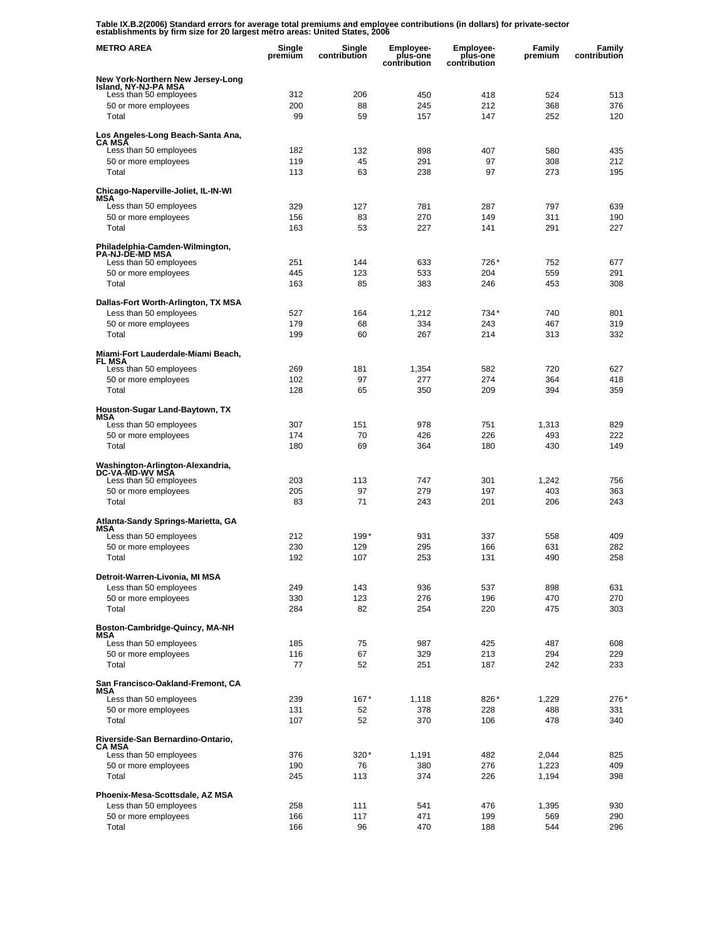**Table IX.B.2(2006) Standard errors for average total premiums and employee contributions (in dollars) for private-sector establishments by firm size for 20 largest metro areas: United States, 2006** 

| <b>METRO AREA</b>                                                     | Single<br>premium | Single<br>contribution | <b>Employee-</b><br>plus-one<br>contribution | <b>Employee-</b><br>plus-one<br>contribution | Family<br>premium | Family<br>contribution |
|-----------------------------------------------------------------------|-------------------|------------------------|----------------------------------------------|----------------------------------------------|-------------------|------------------------|
| New York-Northern New Jersey-Long<br>Island, NY-NJ-PA MSA             |                   |                        |                                              |                                              |                   |                        |
| Less than 50 employees                                                | 312               | 206                    | 450                                          | 418                                          | 524               | 513                    |
| 50 or more employees                                                  | 200               | 88                     | 245                                          | 212                                          | 368               | 376                    |
| Total                                                                 | 99                | 59                     | 157                                          | 147                                          | 252               | 120                    |
| Los Angeles-Long Beach-Santa Ana,<br>CA MSA<br>Less than 50 employees | 182               | 132                    | 898                                          | 407                                          | 580               | 435                    |
| 50 or more employees                                                  | 119               | 45                     | 291                                          | 97                                           | 308               | 212                    |
| Total                                                                 | 113               | 63                     | 238                                          | 97                                           | 273               | 195                    |
| Chicago-Naperville-Joliet, IL-IN-WI<br>MSA                            |                   |                        |                                              |                                              |                   |                        |
| Less than 50 employees                                                | 329               | 127                    | 781                                          | 287                                          | 797               | 639                    |
| 50 or more employees<br>Total                                         | 156<br>163        | 83<br>53               | 270<br>227                                   | 149<br>141                                   | 311<br>291        | 190<br>227             |
|                                                                       |                   |                        |                                              |                                              |                   |                        |
| Philadelphia-Camden-Wilmington,<br><b>PA-NJ-DE-MD MSA</b>             |                   |                        |                                              |                                              |                   |                        |
| Less than 50 employees<br>50 or more employees                        | 251<br>445        | 144<br>123             | 633<br>533                                   | 726*<br>204                                  | 752<br>559        | 677<br>291             |
| Total                                                                 | 163               | 85                     | 383                                          | 246                                          | 453               | 308                    |
|                                                                       |                   |                        |                                              |                                              |                   |                        |
| Dallas-Fort Worth-Arlington, TX MSA<br>Less than 50 employees         | 527               | 164                    | 1,212                                        | 734*                                         | 740               | 801                    |
| 50 or more employees                                                  | 179               | 68                     | 334                                          | 243                                          | 467               | 319                    |
| Total                                                                 | 199               | 60                     | 267                                          | 214                                          | 313               | 332                    |
| Miami-Fort Lauderdale-Miami Beach,<br>FL MSA                          |                   |                        |                                              |                                              |                   |                        |
| Less than 50 employees                                                | 269               | 181                    | 1,354                                        | 582                                          | 720               | 627                    |
| 50 or more employees<br>Total                                         | 102<br>128        | 97<br>65               | 277<br>350                                   | 274<br>209                                   | 364<br>394        | 418<br>359             |
|                                                                       |                   |                        |                                              |                                              |                   |                        |
| Houston-Sugar Land-Baytown, TX<br>MSA                                 |                   |                        |                                              |                                              |                   |                        |
| Less than 50 employees                                                | 307<br>174        | 151<br>70              | 978<br>426                                   | 751<br>226                                   | 1,313<br>493      | 829<br>222             |
| 50 or more employees<br>Total                                         | 180               | 69                     | 364                                          | 180                                          | 430               | 149                    |
|                                                                       |                   |                        |                                              |                                              |                   |                        |
| Washington-Arlington-Alexandria,<br>DC-VA-MD-WV MSA                   |                   |                        |                                              |                                              |                   |                        |
| Less than 50 employees<br>50 or more employees                        | 203<br>205        | 113<br>97              | 747<br>279                                   | 301<br>197                                   | 1,242<br>403      | 756<br>363             |
| Total                                                                 | 83                | 71                     | 243                                          | 201                                          | 206               | 243                    |
| Atlanta-Sandy Springs-Marietta, GA                                    |                   |                        |                                              |                                              |                   |                        |
| <b>MSA</b><br>Less than 50 employees                                  | 212               | 199*                   | 931                                          | 337                                          | 558               | 409                    |
| 50 or more employees                                                  | 230               | 129                    | 295                                          | 166                                          | 631               | 282                    |
| Total                                                                 | 192               | 107                    | 253                                          | 131                                          | 490               | 258                    |
| Detroit-Warren-Livonia, MI MSA                                        |                   |                        |                                              |                                              |                   |                        |
| Less than 50 employees                                                | 249<br>330        | 143<br>123             | 936<br>276                                   | 537<br>196                                   | 898<br>470        | 631<br>270             |
| 50 or more employees<br>Total                                         | 284               | 82                     | 254                                          | 220                                          | 475               | 303                    |
|                                                                       |                   |                        |                                              |                                              |                   |                        |
| Boston-Cambridge-Quincy, MA-NH<br>MSA                                 |                   |                        |                                              |                                              |                   |                        |
| Less than 50 employees<br>50 or more employees                        | 185<br>116        | 75<br>67               | 987<br>329                                   | 425<br>213                                   | 487<br>294        | 608<br>229             |
| Total                                                                 | 77                | 52                     | 251                                          | 187                                          | 242               | 233                    |
| San Francisco-Oakland-Fremont, CA<br>MSA                              |                   |                        |                                              |                                              |                   |                        |
| Less than 50 employees                                                | 239               | $167*$                 | 1,118                                        | 826*                                         | 1,229             | 276*                   |
| 50 or more employees                                                  | 131               | 52                     | 378                                          | 228                                          | 488               | 331                    |
| Total                                                                 | 107               | 52                     | 370                                          | 106                                          | 478               | 340                    |
| Riverside-San Bernardino-Ontario,<br><b>CA MSA</b>                    |                   |                        |                                              |                                              |                   |                        |
| Less than 50 employees<br>50 or more employees                        | 376<br>190        | 320*<br>76             | 1,191<br>380                                 | 482<br>276                                   | 2,044<br>1,223    | 825<br>409             |
| Total                                                                 | 245               | 113                    | 374                                          | 226                                          | 1,194             | 398                    |
| Phoenix-Mesa-Scottsdale, AZ MSA                                       |                   |                        |                                              |                                              |                   |                        |
| Less than 50 employees                                                | 258               | 111                    | 541                                          | 476                                          | 1,395             | 930                    |
| 50 or more employees                                                  | 166               | 117                    | 471                                          | 199                                          | 569               | 290                    |
| Total                                                                 | 166               | 96                     | 470                                          | 188                                          | 544               | 296                    |